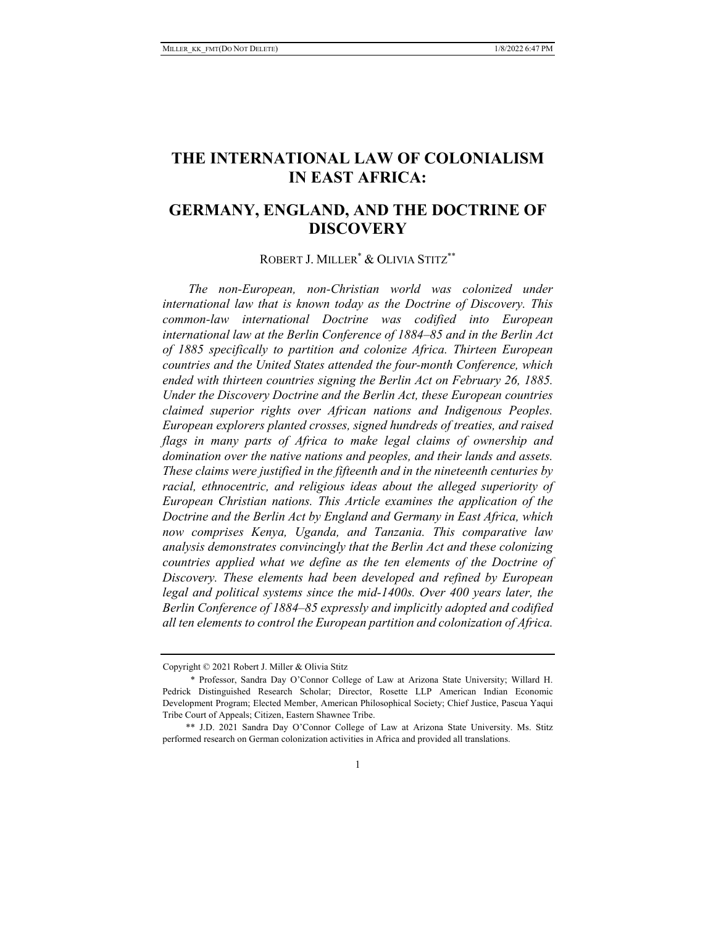# **THE INTERNATIONAL LAW OF COLONIALISM IN EAST AFRICA:**

# **GERMANY, ENGLAND, AND THE DOCTRINE OF DISCOVERY**

## ROBERT J. MILLER\* & OLIVIA STITZ\*\*

*The non-European, non-Christian world was colonized under international law that is known today as the Doctrine of Discovery. This common-law international Doctrine was codified into European international law at the Berlin Conference of 1884–85 and in the Berlin Act of 1885 specifically to partition and colonize Africa. Thirteen European countries and the United States attended the four-month Conference, which ended with thirteen countries signing the Berlin Act on February 26, 1885. Under the Discovery Doctrine and the Berlin Act, these European countries claimed superior rights over African nations and Indigenous Peoples. European explorers planted crosses, signed hundreds of treaties, and raised flags in many parts of Africa to make legal claims of ownership and domination over the native nations and peoples, and their lands and assets. These claims were justified in the fifteenth and in the nineteenth centuries by racial, ethnocentric, and religious ideas about the alleged superiority of European Christian nations. This Article examines the application of the Doctrine and the Berlin Act by England and Germany in East Africa, which now comprises Kenya, Uganda, and Tanzania. This comparative law analysis demonstrates convincingly that the Berlin Act and these colonizing countries applied what we define as the ten elements of the Doctrine of Discovery. These elements had been developed and refined by European legal and political systems since the mid-1400s. Over 400 years later, the Berlin Conference of 1884–85 expressly and implicitly adopted and codified all ten elements to control the European partition and colonization of Africa.* 

Copyright © 2021 Robert J. Miller & Olivia Stitz

 <sup>\*</sup> Professor, Sandra Day O'Connor College of Law at Arizona State University; Willard H. Pedrick Distinguished Research Scholar; Director, Rosette LLP American Indian Economic Development Program; Elected Member, American Philosophical Society; Chief Justice, Pascua Yaqui Tribe Court of Appeals; Citizen, Eastern Shawnee Tribe.

 <sup>\*\*</sup> J.D. 2021 Sandra Day O'Connor College of Law at Arizona State University. Ms. Stitz performed research on German colonization activities in Africa and provided all translations.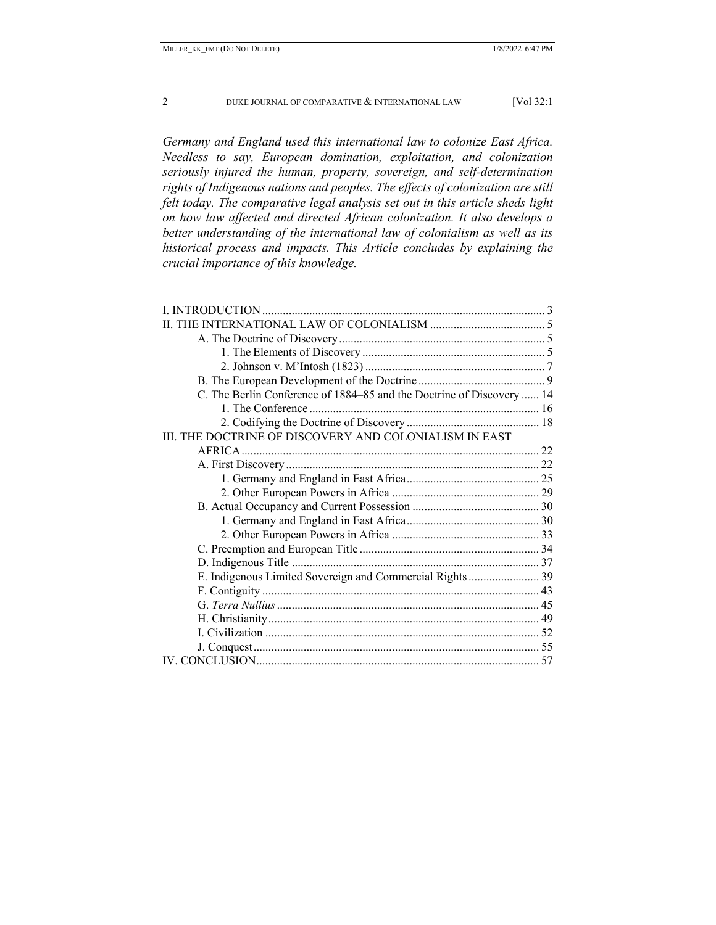*Germany and England used this international law to colonize East Africa. Needless to say, European domination, exploitation, and colonization seriously injured the human, property, sovereign, and self-determination rights of Indigenous nations and peoples. The effects of colonization are still felt today. The comparative legal analysis set out in this article sheds light on how law affected and directed African colonization. It also develops a better understanding of the international law of colonialism as well as its historical process and impacts. This Article concludes by explaining the crucial importance of this knowledge.* 

| C. The Berlin Conference of 1884–85 and the Doctrine of Discovery  14 |  |
|-----------------------------------------------------------------------|--|
|                                                                       |  |
|                                                                       |  |
| III. THE DOCTRINE OF DISCOVERY AND COLONIALISM IN EAST                |  |
|                                                                       |  |
|                                                                       |  |
|                                                                       |  |
|                                                                       |  |
|                                                                       |  |
|                                                                       |  |
|                                                                       |  |
|                                                                       |  |
|                                                                       |  |
| E. Indigenous Limited Sovereign and Commercial Rights 39              |  |
|                                                                       |  |
|                                                                       |  |
|                                                                       |  |
|                                                                       |  |
|                                                                       |  |
|                                                                       |  |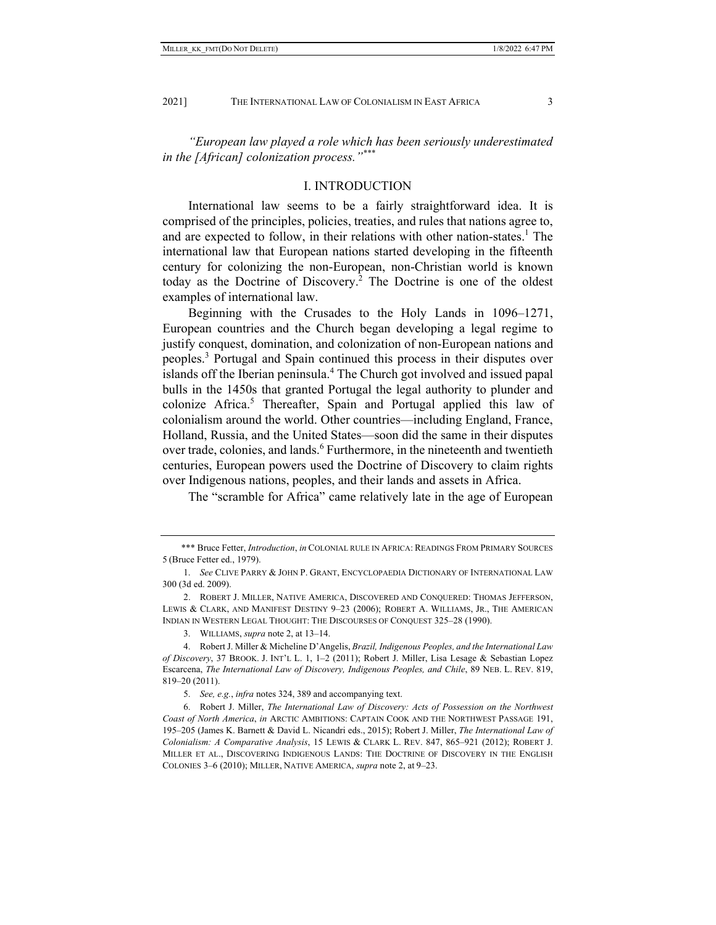*"European law played a role which has been seriously underestimated in the [African] colonization process."\*\*\**

## I. INTRODUCTION

International law seems to be a fairly straightforward idea. It is comprised of the principles, policies, treaties, and rules that nations agree to, and are expected to follow, in their relations with other nation-states.<sup>1</sup> The international law that European nations started developing in the fifteenth century for colonizing the non-European, non-Christian world is known today as the Doctrine of Discovery.<sup>2</sup> The Doctrine is one of the oldest examples of international law.

Beginning with the Crusades to the Holy Lands in 1096–1271, European countries and the Church began developing a legal regime to justify conquest, domination, and colonization of non-European nations and peoples.<sup>3</sup> Portugal and Spain continued this process in their disputes over islands off the Iberian peninsula.<sup>4</sup> The Church got involved and issued papal bulls in the 1450s that granted Portugal the legal authority to plunder and colonize Africa.<sup>5</sup> Thereafter, Spain and Portugal applied this law of colonialism around the world. Other countries—including England, France, Holland, Russia, and the United States—soon did the same in their disputes over trade, colonies, and lands.<sup>6</sup> Furthermore, in the nineteenth and twentieth centuries, European powers used the Doctrine of Discovery to claim rights over Indigenous nations, peoples, and their lands and assets in Africa.

The "scramble for Africa" came relatively late in the age of European

 <sup>\*\*\*</sup> Bruce Fetter, *Introduction*, *in* COLONIAL RULE IN AFRICA: READINGS FROM PRIMARY SOURCES 5 (Bruce Fetter ed., 1979).

 <sup>1.</sup> *See* CLIVE PARRY & JOHN P. GRANT, ENCYCLOPAEDIA DICTIONARY OF INTERNATIONAL LAW 300 (3d ed. 2009).

 <sup>2.</sup> ROBERT J. MILLER, NATIVE AMERICA, DISCOVERED AND CONQUERED: THOMAS JEFFERSON, LEWIS & CLARK, AND MANIFEST DESTINY 9–23 (2006); ROBERT A. WILLIAMS, JR., THE AMERICAN INDIAN IN WESTERN LEGAL THOUGHT: THE DISCOURSES OF CONQUEST 325–28 (1990).

 <sup>3.</sup> WILLIAMS, *supra* note 2, at 13–14.

 <sup>4.</sup> Robert J. Miller & Micheline D'Angelis, *Brazil, Indigenous Peoples, and the International Law of Discovery*, 37 BROOK. J. INT'L L. 1, 1–2 (2011); Robert J. Miller, Lisa Lesage & Sebastian Lopez Escarcena, *The International Law of Discovery, Indigenous Peoples, and Chile*, 89 NEB. L. REV. 819, 819–20 (2011).

 <sup>5.</sup> *See, e.g.*, *infra* notes 324, 389 and accompanying text.

 <sup>6.</sup> Robert J. Miller, *The International Law of Discovery: Acts of Possession on the Northwest Coast of North America*, *in* ARCTIC AMBITIONS: CAPTAIN COOK AND THE NORTHWEST PASSAGE 191, 195–205 (James K. Barnett & David L. Nicandri eds., 2015); Robert J. Miller, *The International Law of Colonialism: A Comparative Analysis*, 15 LEWIS & CLARK L. REV. 847, 865–921 (2012); ROBERT J. MILLER ET AL., DISCOVERING INDIGENOUS LANDS: THE DOCTRINE OF DISCOVERY IN THE ENGLISH COLONIES 3–6 (2010); MILLER, NATIVE AMERICA, *supra* note 2, at 9–23.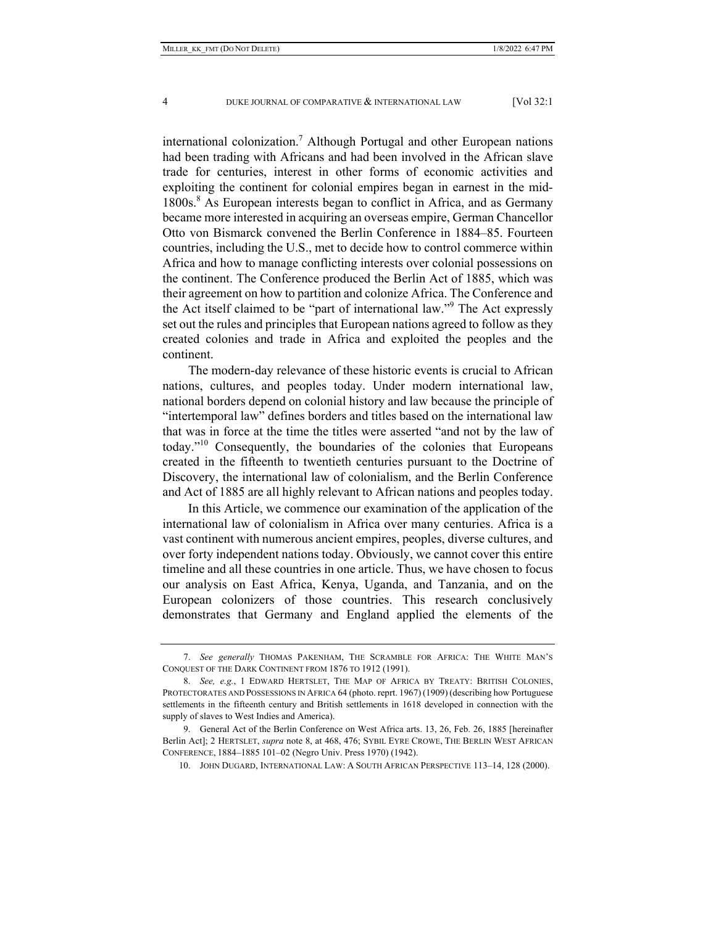international colonization.<sup>7</sup> Although Portugal and other European nations had been trading with Africans and had been involved in the African slave trade for centuries, interest in other forms of economic activities and exploiting the continent for colonial empires began in earnest in the mid-1800s.<sup>8</sup> As European interests began to conflict in Africa, and as Germany became more interested in acquiring an overseas empire, German Chancellor Otto von Bismarck convened the Berlin Conference in 1884–85. Fourteen countries, including the U.S., met to decide how to control commerce within Africa and how to manage conflicting interests over colonial possessions on the continent. The Conference produced the Berlin Act of 1885, which was their agreement on how to partition and colonize Africa. The Conference and the Act itself claimed to be "part of international law."<sup>9</sup> The Act expressly set out the rules and principles that European nations agreed to follow as they created colonies and trade in Africa and exploited the peoples and the continent.

The modern-day relevance of these historic events is crucial to African nations, cultures, and peoples today. Under modern international law, national borders depend on colonial history and law because the principle of "intertemporal law" defines borders and titles based on the international law that was in force at the time the titles were asserted "and not by the law of today."10 Consequently, the boundaries of the colonies that Europeans created in the fifteenth to twentieth centuries pursuant to the Doctrine of Discovery, the international law of colonialism, and the Berlin Conference and Act of 1885 are all highly relevant to African nations and peoples today.

In this Article, we commence our examination of the application of the international law of colonialism in Africa over many centuries. Africa is a vast continent with numerous ancient empires, peoples, diverse cultures, and over forty independent nations today. Obviously, we cannot cover this entire timeline and all these countries in one article. Thus, we have chosen to focus our analysis on East Africa, Kenya, Uganda, and Tanzania, and on the European colonizers of those countries. This research conclusively demonstrates that Germany and England applied the elements of the

 <sup>7.</sup> *See generally* THOMAS PAKENHAM, THE SCRAMBLE FOR AFRICA: THE WHITE MAN'S CONQUEST OF THE DARK CONTINENT FROM 1876 TO 1912 (1991).

 <sup>8.</sup> *See, e.g.*, 1 EDWARD HERTSLET, THE MAP OF AFRICA BY TREATY: BRITISH COLONIES, PROTECTORATES AND POSSESSIONS IN AFRICA 64 (photo. reprt. 1967) (1909) (describing how Portuguese settlements in the fifteenth century and British settlements in 1618 developed in connection with the supply of slaves to West Indies and America).

 <sup>9.</sup> General Act of the Berlin Conference on West Africa arts. 13, 26, Feb. 26, 1885 [hereinafter Berlin Act]; 2 HERTSLET, *supra* note 8, at 468, 476; SYBIL EYRE CROWE, THE BERLIN WEST AFRICAN CONFERENCE, 1884–1885 101–02 (Negro Univ. Press 1970) (1942).

 <sup>10.</sup> JOHN DUGARD, INTERNATIONAL LAW: A SOUTH AFRICAN PERSPECTIVE 113–14, 128 (2000).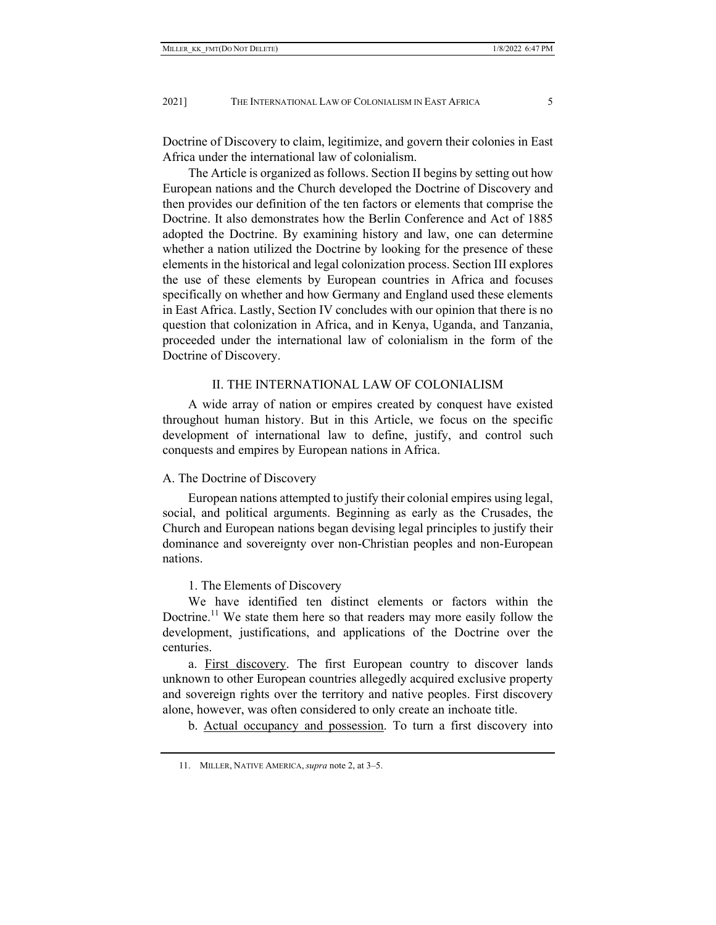Doctrine of Discovery to claim, legitimize, and govern their colonies in East Africa under the international law of colonialism.

The Article is organized as follows. Section II begins by setting out how European nations and the Church developed the Doctrine of Discovery and then provides our definition of the ten factors or elements that comprise the Doctrine. It also demonstrates how the Berlin Conference and Act of 1885 adopted the Doctrine. By examining history and law, one can determine whether a nation utilized the Doctrine by looking for the presence of these elements in the historical and legal colonization process. Section III explores the use of these elements by European countries in Africa and focuses specifically on whether and how Germany and England used these elements in East Africa. Lastly, Section IV concludes with our opinion that there is no question that colonization in Africa, and in Kenya, Uganda, and Tanzania, proceeded under the international law of colonialism in the form of the Doctrine of Discovery.

## II. THE INTERNATIONAL LAW OF COLONIALISM

A wide array of nation or empires created by conquest have existed throughout human history. But in this Article, we focus on the specific development of international law to define, justify, and control such conquests and empires by European nations in Africa.

## A. The Doctrine of Discovery

European nations attempted to justify their colonial empires using legal, social, and political arguments. Beginning as early as the Crusades, the Church and European nations began devising legal principles to justify their dominance and sovereignty over non-Christian peoples and non-European nations.

#### 1. The Elements of Discovery

We have identified ten distinct elements or factors within the Doctrine.<sup>11</sup> We state them here so that readers may more easily follow the development, justifications, and applications of the Doctrine over the centuries.

a. First discovery. The first European country to discover lands unknown to other European countries allegedly acquired exclusive property and sovereign rights over the territory and native peoples. First discovery alone, however, was often considered to only create an inchoate title.

b. Actual occupancy and possession. To turn a first discovery into

 <sup>11.</sup> MILLER, NATIVE AMERICA, *supra* note 2, at 3–5.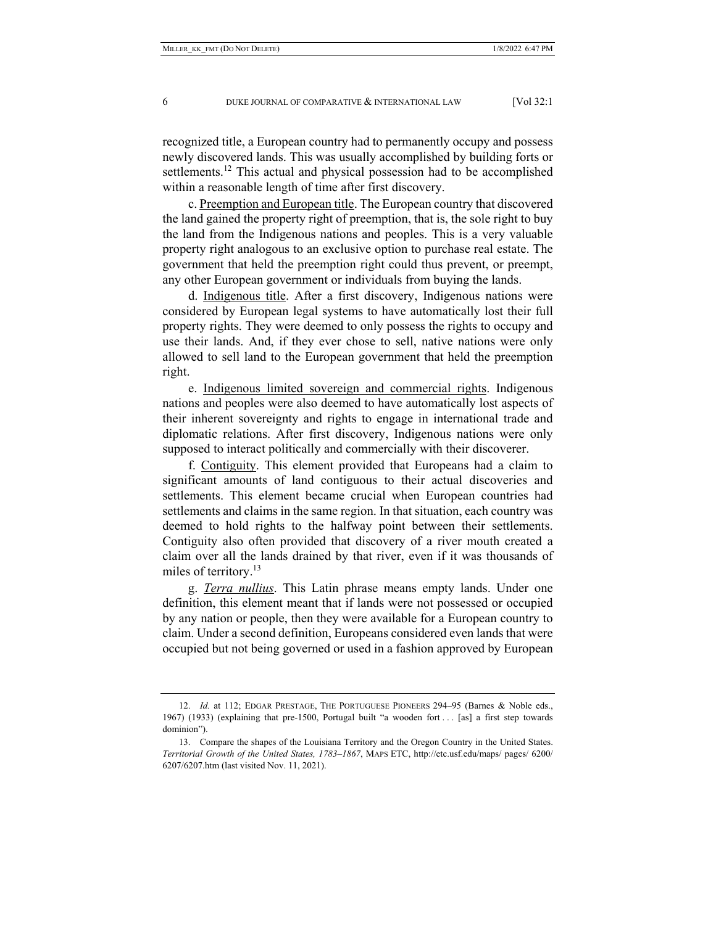recognized title, a European country had to permanently occupy and possess newly discovered lands. This was usually accomplished by building forts or settlements.<sup>12</sup> This actual and physical possession had to be accomplished within a reasonable length of time after first discovery.

c. Preemption and European title. The European country that discovered the land gained the property right of preemption, that is, the sole right to buy the land from the Indigenous nations and peoples. This is a very valuable property right analogous to an exclusive option to purchase real estate. The government that held the preemption right could thus prevent, or preempt, any other European government or individuals from buying the lands.

d. Indigenous title. After a first discovery, Indigenous nations were considered by European legal systems to have automatically lost their full property rights. They were deemed to only possess the rights to occupy and use their lands. And, if they ever chose to sell, native nations were only allowed to sell land to the European government that held the preemption right.

e. Indigenous limited sovereign and commercial rights. Indigenous nations and peoples were also deemed to have automatically lost aspects of their inherent sovereignty and rights to engage in international trade and diplomatic relations. After first discovery, Indigenous nations were only supposed to interact politically and commercially with their discoverer.

f. Contiguity. This element provided that Europeans had a claim to significant amounts of land contiguous to their actual discoveries and settlements. This element became crucial when European countries had settlements and claims in the same region. In that situation, each country was deemed to hold rights to the halfway point between their settlements. Contiguity also often provided that discovery of a river mouth created a claim over all the lands drained by that river, even if it was thousands of miles of territory.<sup>13</sup>

g. *Terra nullius*. This Latin phrase means empty lands. Under one definition, this element meant that if lands were not possessed or occupied by any nation or people, then they were available for a European country to claim. Under a second definition, Europeans considered even lands that were occupied but not being governed or used in a fashion approved by European

<sup>12.</sup> *Id.* at 112; EDGAR PRESTAGE, THE PORTUGUESE PIONEERS 294–95 (Barnes & Noble eds., 1967) (1933) (explaining that pre-1500, Portugal built "a wooden fort . . . [as] a first step towards dominion").

 <sup>13.</sup> Compare the shapes of the Louisiana Territory and the Oregon Country in the United States. *Territorial Growth of the United States, 1783–1867*, MAPS ETC, http://etc.usf.edu/maps/ pages/ 6200/ 6207/6207.htm (last visited Nov. 11, 2021).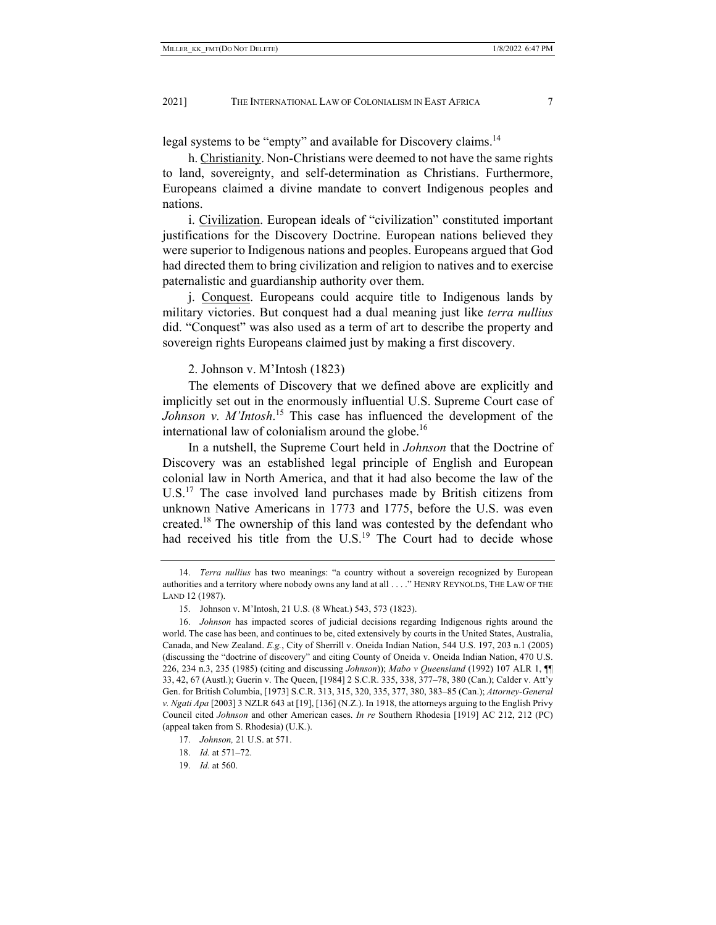legal systems to be "empty" and available for Discovery claims.<sup>14</sup>

h. Christianity. Non-Christians were deemed to not have the same rights to land, sovereignty, and self-determination as Christians. Furthermore, Europeans claimed a divine mandate to convert Indigenous peoples and nations.

i. Civilization. European ideals of "civilization" constituted important justifications for the Discovery Doctrine. European nations believed they were superior to Indigenous nations and peoples. Europeans argued that God had directed them to bring civilization and religion to natives and to exercise paternalistic and guardianship authority over them.

j. Conquest. Europeans could acquire title to Indigenous lands by military victories. But conquest had a dual meaning just like *terra nullius* did. "Conquest" was also used as a term of art to describe the property and sovereign rights Europeans claimed just by making a first discovery.

2. Johnson v. M'Intosh (1823)

The elements of Discovery that we defined above are explicitly and implicitly set out in the enormously influential U.S. Supreme Court case of *Johnson v. M'Intosh*. 15 This case has influenced the development of the international law of colonialism around the globe.<sup>16</sup>

In a nutshell, the Supreme Court held in *Johnson* that the Doctrine of Discovery was an established legal principle of English and European colonial law in North America, and that it had also become the law of the U.S.<sup>17</sup> The case involved land purchases made by British citizens from unknown Native Americans in 1773 and 1775, before the U.S. was even created.<sup>18</sup> The ownership of this land was contested by the defendant who had received his title from the U.S.<sup>19</sup> The Court had to decide whose

 <sup>14.</sup> *Terra nullius* has two meanings: "a country without a sovereign recognized by European authorities and a territory where nobody owns any land at all . . . ." HENRY REYNOLDS, THE LAW OF THE LAND 12 (1987).

 <sup>15.</sup> Johnson v. M'Intosh, 21 U.S. (8 Wheat.) 543, 573 (1823).

 <sup>16.</sup> *Johnson* has impacted scores of judicial decisions regarding Indigenous rights around the world. The case has been, and continues to be, cited extensively by courts in the United States, Australia, Canada, and New Zealand. *E.g.*, City of Sherrill v. Oneida Indian Nation, 544 U.S. 197, 203 n.1 (2005) (discussing the "doctrine of discovery" and citing County of Oneida v. Oneida Indian Nation, 470 U.S. 226, 234 n.3, 235 (1985) (citing and discussing *Johnson*)); *Mabo v Queensland* (1992) 107 ALR 1, ¶¶ 33, 42, 67 (Austl.); Guerin v. The Queen, [1984] 2 S.C.R. 335, 338, 377–78, 380 (Can.); Calder v. Att'y Gen. for British Columbia, [1973] S.C.R. 313, 315, 320, 335, 377, 380, 383–85 (Can.); *Attorney-General v. Ngati Apa* [2003] 3 NZLR 643 at [19], [136] (N.Z.). In 1918, the attorneys arguing to the English Privy Council cited *Johnson* and other American cases. *In re* Southern Rhodesia [1919] AC 212, 212 (PC) (appeal taken from S. Rhodesia) (U.K.).

 <sup>17.</sup> *Johnson,* 21 U.S. at 571.

 <sup>18.</sup> *Id.* at 571–72.

 <sup>19.</sup> *Id.* at 560.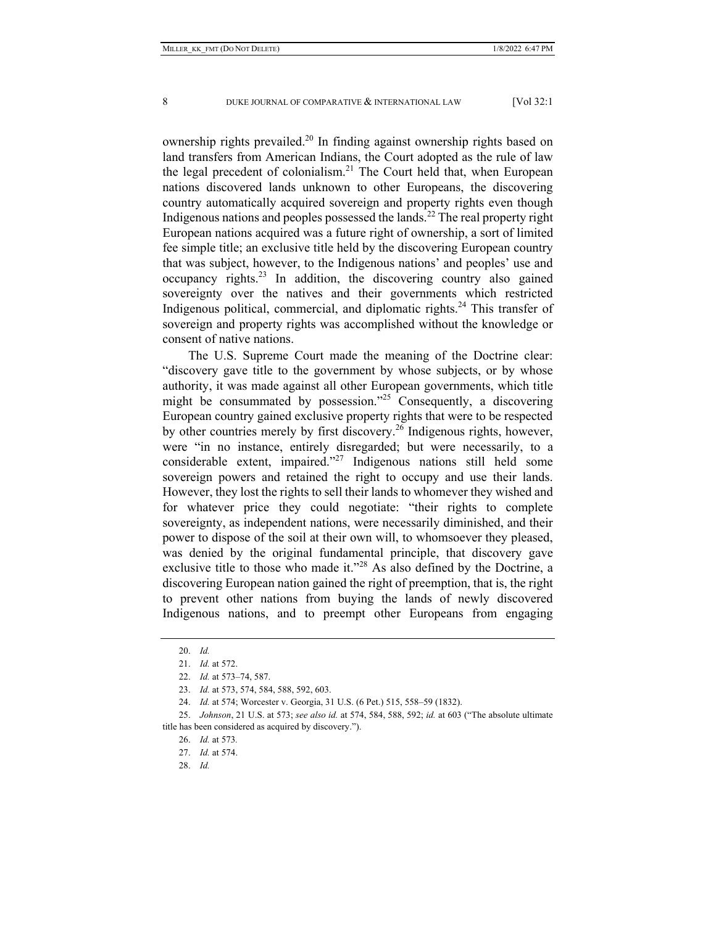ownership rights prevailed.<sup>20</sup> In finding against ownership rights based on land transfers from American Indians, the Court adopted as the rule of law the legal precedent of colonialism.<sup>21</sup> The Court held that, when European nations discovered lands unknown to other Europeans, the discovering country automatically acquired sovereign and property rights even though Indigenous nations and peoples possessed the lands.<sup>22</sup> The real property right European nations acquired was a future right of ownership, a sort of limited fee simple title; an exclusive title held by the discovering European country that was subject, however, to the Indigenous nations' and peoples' use and occupancy rights.<sup>23</sup> In addition, the discovering country also gained sovereignty over the natives and their governments which restricted Indigenous political, commercial, and diplomatic rights. $24$  This transfer of sovereign and property rights was accomplished without the knowledge or consent of native nations.

The U.S. Supreme Court made the meaning of the Doctrine clear: "discovery gave title to the government by whose subjects, or by whose authority, it was made against all other European governments, which title might be consummated by possession. $125$  Consequently, a discovering European country gained exclusive property rights that were to be respected by other countries merely by first discovery.26 Indigenous rights, however, were "in no instance, entirely disregarded; but were necessarily, to a considerable extent, impaired."27 Indigenous nations still held some sovereign powers and retained the right to occupy and use their lands. However, they lost the rights to sell their lands to whomever they wished and for whatever price they could negotiate: "their rights to complete sovereignty, as independent nations, were necessarily diminished, and their power to dispose of the soil at their own will, to whomsoever they pleased, was denied by the original fundamental principle, that discovery gave exclusive title to those who made it."<sup>28</sup> As also defined by the Doctrine, a discovering European nation gained the right of preemption, that is, the right to prevent other nations from buying the lands of newly discovered Indigenous nations, and to preempt other Europeans from engaging

28. *Id.*

 <sup>20.</sup> *Id.*

 <sup>21.</sup> *Id.* at 572.

 <sup>22.</sup> *Id.* at 573–74, 587.

 <sup>23.</sup> *Id.* at 573, 574, 584, 588, 592, 603.

 <sup>24.</sup> *Id.* at 574; Worcester v. Georgia, 31 U.S. (6 Pet.) 515, 558–59 (1832).

 <sup>25.</sup> *Johnson*, 21 U.S. at 573; *see also id.* at 574, 584, 588, 592; *id.* at 603 ("The absolute ultimate title has been considered as acquired by discovery.").

 <sup>26.</sup> *Id.* at 573*.* 

 <sup>27.</sup> *Id.* at 574.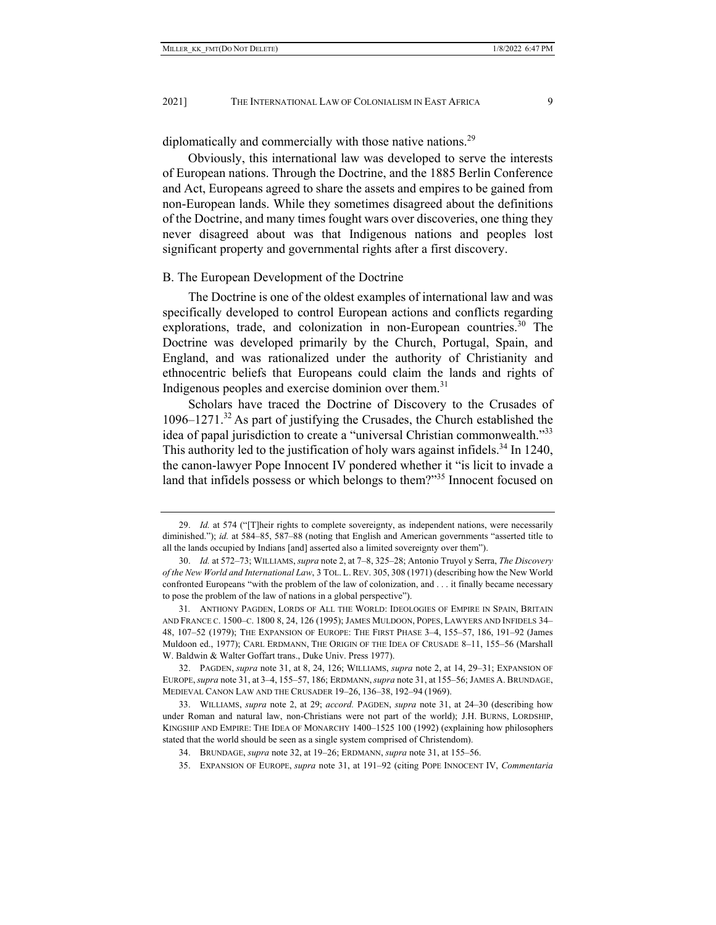diplomatically and commercially with those native nations.<sup>29</sup>

Obviously, this international law was developed to serve the interests of European nations. Through the Doctrine, and the 1885 Berlin Conference and Act, Europeans agreed to share the assets and empires to be gained from non-European lands. While they sometimes disagreed about the definitions of the Doctrine, and many times fought wars over discoveries, one thing they never disagreed about was that Indigenous nations and peoples lost significant property and governmental rights after a first discovery.

#### B. The European Development of the Doctrine

The Doctrine is one of the oldest examples of international law and was specifically developed to control European actions and conflicts regarding explorations, trade, and colonization in non-European countries.<sup>30</sup> The Doctrine was developed primarily by the Church, Portugal, Spain, and England, and was rationalized under the authority of Christianity and ethnocentric beliefs that Europeans could claim the lands and rights of Indigenous peoples and exercise dominion over them.<sup>31</sup>

Scholars have traced the Doctrine of Discovery to the Crusades of  $1096-1271$ .<sup>32</sup> As part of justifying the Crusades, the Church established the idea of papal jurisdiction to create a "universal Christian commonwealth."<sup>33</sup> This authority led to the justification of holy wars against infidels.<sup>34</sup> In 1240, the canon-lawyer Pope Innocent IV pondered whether it "is licit to invade a land that infidels possess or which belongs to them?"<sup>35</sup> Innocent focused on

 32. PAGDEN, *supra* note 31, at 8, 24, 126; WILLIAMS, *supra* note 2, at 14, 29–31; EXPANSION OF EUROPE,*supra* note 31, at 3–4, 155–57, 186; ERDMANN,*supra* note 31, at 155–56; JAMES A. BRUNDAGE, MEDIEVAL CANON LAW AND THE CRUSADER 19–26, 136–38, 192–94 (1969).

 33. WILLIAMS, *supra* note 2, at 29; *accord.* PAGDEN, *supra* note 31, at 24–30 (describing how under Roman and natural law, non-Christians were not part of the world); J.H. BURNS, LORDSHIP, KINGSHIP AND EMPIRE: THE IDEA OF MONARCHY 1400–1525 100 (1992) (explaining how philosophers stated that the world should be seen as a single system comprised of Christendom).

 <sup>29.</sup> *Id.* at 574 ("[T]heir rights to complete sovereignty, as independent nations, were necessarily diminished."); *id.* at 584–85, 587–88 (noting that English and American governments "asserted title to all the lands occupied by Indians [and] asserted also a limited sovereignty over them").

 <sup>30.</sup> *Id.* at 572–73; WILLIAMS, *supra* note 2, at 7–8, 325–28; Antonio Truyol y Serra, *The Discovery of the New World and International Law*, 3 TOL. L.REV. 305, 308 (1971) (describing how the New World confronted Europeans "with the problem of the law of colonization, and . . . it finally became necessary to pose the problem of the law of nations in a global perspective").

<sup>31</sup>*.* ANTHONY PAGDEN, LORDS OF ALL THE WORLD: IDEOLOGIES OF EMPIRE IN SPAIN, BRITAIN AND FRANCE C. 1500–C. 1800 8, 24, 126 (1995); JAMES MULDOON, POPES, LAWYERS AND INFIDELS 34– 48, 107–52 (1979); THE EXPANSION OF EUROPE: THE FIRST PHASE 3–4, 155–57, 186, 191–92 (James Muldoon ed., 1977); CARL ERDMANN, THE ORIGIN OF THE IDEA OF CRUSADE 8–11, 155–56 (Marshall W. Baldwin & Walter Goffart trans., Duke Univ. Press 1977).

 <sup>34.</sup> BRUNDAGE, *supra* note 32, at 19–26; ERDMANN, *supra* note 31, at 155–56.

 <sup>35.</sup> EXPANSION OF EUROPE, *supra* note 31, at 191–92 (citing POPE INNOCENT IV, *Commentaria*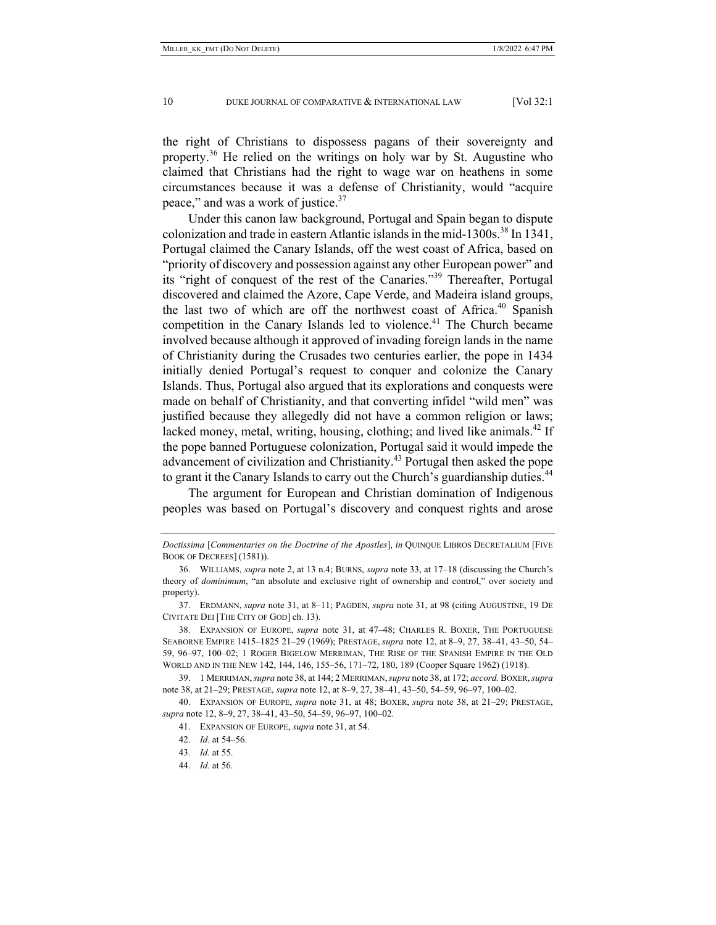the right of Christians to dispossess pagans of their sovereignty and property.<sup>36</sup> He relied on the writings on holy war by St. Augustine who claimed that Christians had the right to wage war on heathens in some circumstances because it was a defense of Christianity, would "acquire peace," and was a work of justice.<sup>37</sup>

Under this canon law background, Portugal and Spain began to dispute colonization and trade in eastern Atlantic islands in the mid-1300s.<sup>38</sup> In 1341, Portugal claimed the Canary Islands, off the west coast of Africa, based on "priority of discovery and possession against any other European power" and its "right of conquest of the rest of the Canaries."39 Thereafter, Portugal discovered and claimed the Azore, Cape Verde, and Madeira island groups, the last two of which are off the northwest coast of Africa.<sup>40</sup> Spanish competition in the Canary Islands led to violence.<sup>41</sup> The Church became involved because although it approved of invading foreign lands in the name of Christianity during the Crusades two centuries earlier, the pope in 1434 initially denied Portugal's request to conquer and colonize the Canary Islands. Thus, Portugal also argued that its explorations and conquests were made on behalf of Christianity, and that converting infidel "wild men" was justified because they allegedly did not have a common religion or laws; lacked money, metal, writing, housing, clothing; and lived like animals.<sup>42</sup> If the pope banned Portuguese colonization, Portugal said it would impede the advancement of civilization and Christianity.<sup>43</sup> Portugal then asked the pope to grant it the Canary Islands to carry out the Church's guardianship duties.<sup>44</sup>

The argument for European and Christian domination of Indigenous peoples was based on Portugal's discovery and conquest rights and arose

*Doctissima* [*Commentaries on the Doctrine of the Apostles*], *in* QUINQUE LIBROS DECRETALIUM [FIVE BOOK OF DECREES] (1581)).

 <sup>36.</sup> WILLIAMS, *supra* note 2, at 13 n.4; BURNS, *supra* note 33, at 17–18 (discussing the Church's theory of *dominimum*, "an absolute and exclusive right of ownership and control," over society and property).

 <sup>37.</sup> ERDMANN, *supra* note 31, at 8–11; PAGDEN, *supra* note 31, at 98 (citing AUGUSTINE, 19 DE CIVITATE DEI [THE CITY OF GOD] ch. 13).

 <sup>38.</sup> EXPANSION OF EUROPE, *supra* note 31, at 47–48; CHARLES R. BOXER, THE PORTUGUESE SEABORNE EMPIRE 1415–1825 21–29 (1969); PRESTAGE, *supra* note 12, at 8–9, 27, 38–41, 43–50, 54– 59, 96–97, 100–02; 1 ROGER BIGELOW MERRIMAN, THE RISE OF THE SPANISH EMPIRE IN THE OLD WORLD AND IN THE NEW 142, 144, 146, 155–56, 171–72, 180, 189 (Cooper Square 1962) (1918).

 <sup>39. 1</sup> MERRIMAN,*supra* note 38, at 144; 2 MERRIMAN,*supra* note 38, at 172; *accord.* BOXER, *supra* note 38, at 21–29; PRESTAGE, *supra* note 12, at 8–9, 27, 38–41, 43–50, 54–59, 96–97, 100–02.

 <sup>40.</sup> EXPANSION OF EUROPE, *supra* note 31, at 48; BOXER, *supra* note 38, at 21–29; PRESTAGE, *supra* note 12, 8–9, 27, 38–41, 43–50, 54–59, 96–97, 100–02.

 <sup>41.</sup> EXPANSION OF EUROPE, *supra* note 31, at 54.

 <sup>42.</sup> *Id.* at 54–56.

 <sup>43.</sup> *Id.* at 55.

 <sup>44.</sup> *Id.* at 56.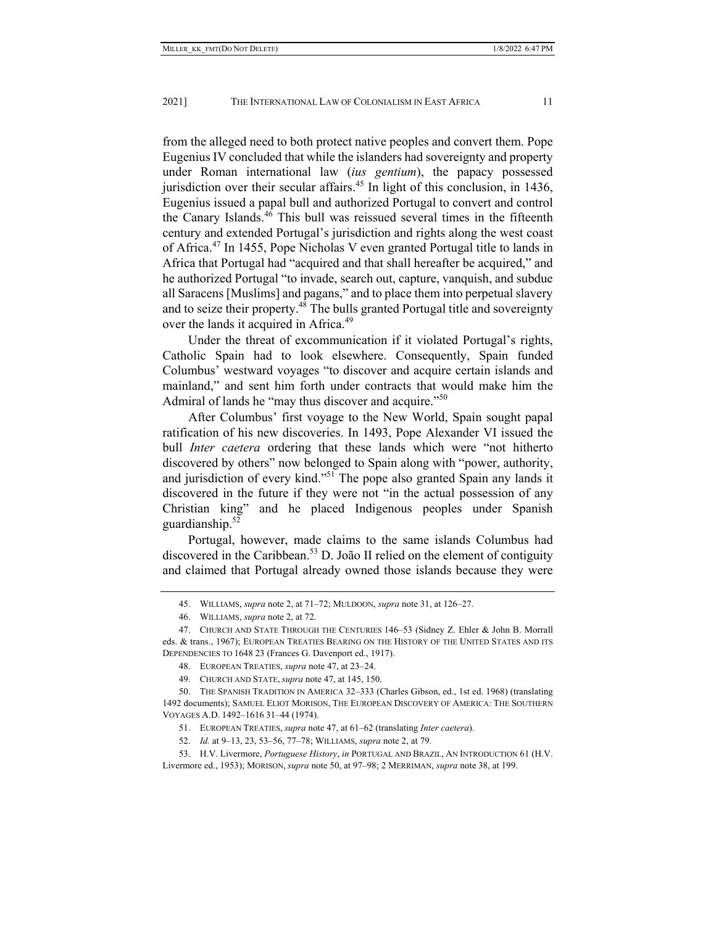from the alleged need to both protect native peoples and convert them. Pope Eugenius IV concluded that while the islanders had sovereignty and property under Roman international law (*ius gentium*), the papacy possessed jurisdiction over their secular affairs.<sup>45</sup> In light of this conclusion, in 1436, Eugenius issued a papal bull and authorized Portugal to convert and control the Canary Islands. $46$  This bull was reissued several times in the fifteenth century and extended Portugal's jurisdiction and rights along the west coast of Africa.47 In 1455, Pope Nicholas V even granted Portugal title to lands in Africa that Portugal had "acquired and that shall hereafter be acquired," and he authorized Portugal "to invade, search out, capture, vanquish, and subdue all Saracens [Muslims] and pagans," and to place them into perpetual slavery and to seize their property.<sup>48</sup> The bulls granted Portugal title and sovereignty over the lands it acquired in Africa.<sup>49</sup>

Under the threat of excommunication if it violated Portugal's rights, Catholic Spain had to look elsewhere. Consequently, Spain funded Columbus' westward voyages "to discover and acquire certain islands and mainland," and sent him forth under contracts that would make him the Admiral of lands he "may thus discover and acquire."<sup>50</sup>

After Columbus' first voyage to the New World, Spain sought papal ratification of his new discoveries. In 1493, Pope Alexander VI issued the bull *Inter caetera* ordering that these lands which were "not hitherto discovered by others" now belonged to Spain along with "power, authority, and jurisdiction of every kind."51 The pope also granted Spain any lands it discovered in the future if they were not "in the actual possession of any Christian king" and he placed Indigenous peoples under Spanish guardianship. $52$ 

Portugal, however, made claims to the same islands Columbus had discovered in the Caribbean.<sup>53</sup> D. João II relied on the element of contiguity and claimed that Portugal already owned those islands because they were

 <sup>45.</sup> WILLIAMS, *supra* note 2, at 71–72; MULDOON, *supra* note 31, at 126–27.

 <sup>46.</sup> WILLIAMS, *supra* note 2, at 72.

 <sup>47.</sup> CHURCH AND STATE THROUGH THE CENTURIES 146–53 (Sidney Z. Ehler & John B. Morrall eds. & trans., 1967); EUROPEAN TREATIES BEARING ON THE HISTORY OF THE UNITED STATES AND ITS DEPENDENCIES TO 1648 23 (Frances G. Davenport ed., 1917).

 <sup>48.</sup> EUROPEAN TREATIES, *supra* note 47, at 23–24.

 <sup>49.</sup> CHURCH AND STATE, *supra* note 47, at 145, 150.

 <sup>50.</sup> THE SPANISH TRADITION IN AMERICA 32–333 (Charles Gibson, ed., 1st ed. 1968) (translating 1492 documents); SAMUEL ELIOT MORISON, THE EUROPEAN DISCOVERY OF AMERICA: THE SOUTHERN VOYAGES A.D. 1492–1616 31–44 (1974).

 <sup>51.</sup> EUROPEAN TREATIES, *supra* note 47, at 61–62 (translating *Inter caetera*).

 <sup>52.</sup> *Id.* at 9–13, 23, 53–56, 77–78; WILLIAMS, *supra* note 2, at 79.

 <sup>53.</sup> H.V. Livermore, *Portuguese History*, *in* PORTUGAL AND BRAZIL, AN INTRODUCTION 61 (H.V. Livermore ed., 1953); MORISON, *supra* note 50, at 97–98; 2 MERRIMAN, *supra* note 38, at 199.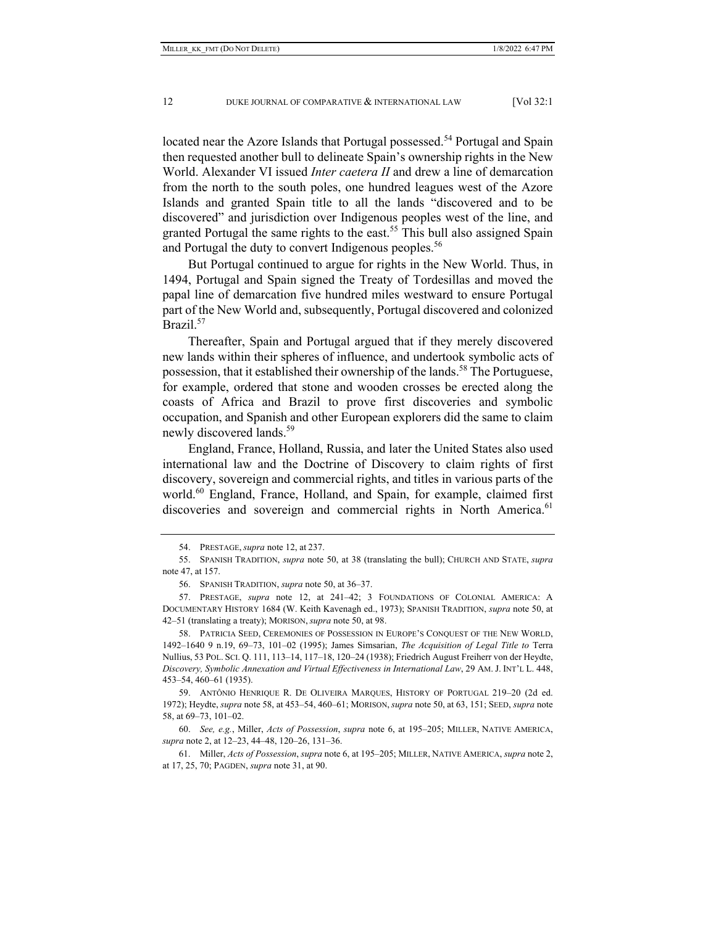located near the Azore Islands that Portugal possessed.<sup>54</sup> Portugal and Spain then requested another bull to delineate Spain's ownership rights in the New World. Alexander VI issued *Inter caetera II* and drew a line of demarcation from the north to the south poles, one hundred leagues west of the Azore Islands and granted Spain title to all the lands "discovered and to be discovered" and jurisdiction over Indigenous peoples west of the line, and granted Portugal the same rights to the east.<sup>55</sup> This bull also assigned Spain and Portugal the duty to convert Indigenous peoples.<sup>56</sup>

But Portugal continued to argue for rights in the New World. Thus, in 1494, Portugal and Spain signed the Treaty of Tordesillas and moved the papal line of demarcation five hundred miles westward to ensure Portugal part of the New World and, subsequently, Portugal discovered and colonized Brazil.<sup>57</sup>

Thereafter, Spain and Portugal argued that if they merely discovered new lands within their spheres of influence, and undertook symbolic acts of possession, that it established their ownership of the lands.<sup>58</sup> The Portuguese, for example, ordered that stone and wooden crosses be erected along the coasts of Africa and Brazil to prove first discoveries and symbolic occupation, and Spanish and other European explorers did the same to claim newly discovered lands.<sup>59</sup>

England, France, Holland, Russia, and later the United States also used international law and the Doctrine of Discovery to claim rights of first discovery, sovereign and commercial rights, and titles in various parts of the world.<sup>60</sup> England, France, Holland, and Spain, for example, claimed first discoveries and sovereign and commercial rights in North America.<sup>61</sup>

 <sup>54.</sup> PRESTAGE, *supra* note 12, at 237.

 <sup>55.</sup> SPANISH TRADITION, *supra* note 50, at 38 (translating the bull); CHURCH AND STATE, *supra* note 47, at 157.

 <sup>56.</sup> SPANISH TRADITION, *supra* note 50, at 36–37.

 <sup>57.</sup> PRESTAGE, *supra* note 12, at 241–42; 3 FOUNDATIONS OF COLONIAL AMERICA: A DOCUMENTARY HISTORY 1684 (W. Keith Kavenagh ed., 1973); SPANISH TRADITION, *supra* note 50, at 42–51 (translating a treaty); MORISON, *supra* note 50, at 98.

 <sup>58.</sup> PATRICIA SEED, CEREMONIES OF POSSESSION IN EUROPE'S CONQUEST OF THE NEW WORLD, 1492–1640 9 n.19, 69–73, 101–02 (1995); James Simsarian, *The Acquisition of Legal Title to* Terra Nullius, 53 POL. SCI. Q. 111, 113–14, 117–18, 120–24 (1938); Friedrich August Freiherr von der Heydte, *Discovery, Symbolic Annexation and Virtual Effectiveness in International Law*, 29 AM. J. INT'L L. 448, 453–54, 460–61 (1935).

 <sup>59.</sup> ANTÔNIO HENRIQUE R. DE OLIVEIRA MARQUES, HISTORY OF PORTUGAL 219–20 (2d ed. 1972); Heydte, *supra* note 58, at 453–54, 460–61; MORISON,*supra* note 50, at 63, 151; SEED, *supra* note 58, at 69–73, 101–02.

 <sup>60.</sup> *See, e.g.*, Miller, *Acts of Possession*, *supra* note 6, at 195–205; MILLER, NATIVE AMERICA, *supra* note 2, at 12–23, 44–48, 120–26, 131–36.

 <sup>61.</sup> Miller, *Acts of Possession*, *supra* note 6, at 195–205; MILLER, NATIVE AMERICA, *supra* note 2, at 17, 25, 70; PAGDEN, *supra* note 31, at 90.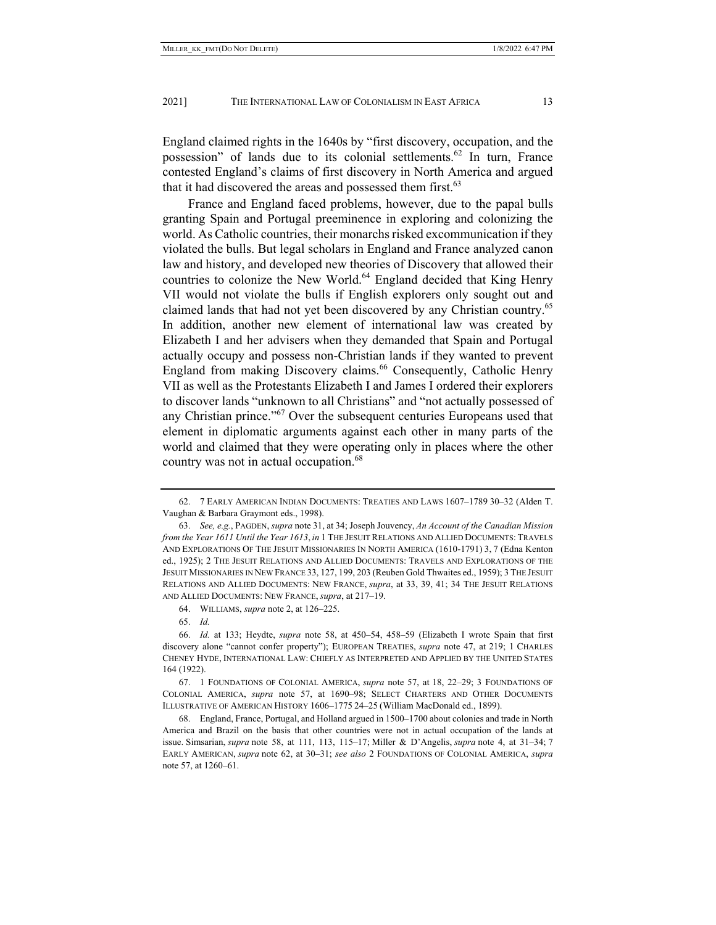England claimed rights in the 1640s by "first discovery, occupation, and the possession" of lands due to its colonial settlements.<sup>62</sup> In turn, France contested England's claims of first discovery in North America and argued that it had discovered the areas and possessed them first. $63$ 

France and England faced problems, however, due to the papal bulls granting Spain and Portugal preeminence in exploring and colonizing the world. As Catholic countries, their monarchs risked excommunication if they violated the bulls. But legal scholars in England and France analyzed canon law and history, and developed new theories of Discovery that allowed their countries to colonize the New World.<sup>64</sup> England decided that King Henry VII would not violate the bulls if English explorers only sought out and claimed lands that had not yet been discovered by any Christian country.<sup>65</sup> In addition, another new element of international law was created by Elizabeth I and her advisers when they demanded that Spain and Portugal actually occupy and possess non-Christian lands if they wanted to prevent England from making Discovery claims.<sup>66</sup> Consequently, Catholic Henry VII as well as the Protestants Elizabeth I and James I ordered their explorers to discover lands "unknown to all Christians" and "not actually possessed of any Christian prince."67 Over the subsequent centuries Europeans used that element in diplomatic arguments against each other in many parts of the world and claimed that they were operating only in places where the other country was not in actual occupation.<sup>68</sup>

 <sup>62. 7</sup> EARLY AMERICAN INDIAN DOCUMENTS: TREATIES AND LAWS 1607–1789 30–32 (Alden T. Vaughan & Barbara Graymont eds., 1998).

 <sup>63.</sup> *See, e.g.*, PAGDEN, *supra* note 31, at 34; Joseph Jouvency, *An Account of the Canadian Mission from the Year 1611 Until the Year 1613*, *in* 1 THE JESUIT RELATIONS AND ALLIED DOCUMENTS: TRAVELS AND EXPLORATIONS OF THE JESUIT MISSIONARIES IN NORTH AMERICA (1610-1791) 3, 7 (Edna Kenton ed., 1925); 2 THE JESUIT RELATIONS AND ALLIED DOCUMENTS: TRAVELS AND EXPLORATIONS OF THE JESUIT MISSIONARIES IN NEW FRANCE 33, 127, 199, 203 (Reuben Gold Thwaites ed., 1959); 3 THE JESUIT RELATIONS AND ALLIED DOCUMENTS: NEW FRANCE, *supra*, at 33, 39, 41; 34 THE JESUIT RELATIONS AND ALLIED DOCUMENTS: NEW FRANCE, *supra*, at 217–19.

 <sup>64.</sup> WILLIAMS, *supra* note 2, at 126–225.

 <sup>65.</sup> *Id.*

 <sup>66.</sup> *Id.* at 133; Heydte, *supra* note 58, at 450–54, 458–59 (Elizabeth I wrote Spain that first discovery alone "cannot confer property"); EUROPEAN TREATIES, *supra* note 47, at 219; 1 CHARLES CHENEY HYDE, INTERNATIONAL LAW: CHIEFLY AS INTERPRETED AND APPLIED BY THE UNITED STATES 164 (1922).

 <sup>67. 1</sup> FOUNDATIONS OF COLONIAL AMERICA, *supra* note 57, at 18, 22–29; 3 FOUNDATIONS OF COLONIAL AMERICA, *supra* note 57, at 1690–98; SELECT CHARTERS AND OTHER DOCUMENTS ILLUSTRATIVE OF AMERICAN HISTORY 1606–1775 24–25 (William MacDonald ed., 1899).

 <sup>68.</sup> England, France, Portugal, and Holland argued in 1500–1700 about colonies and trade in North America and Brazil on the basis that other countries were not in actual occupation of the lands at issue. Simsarian, *supra* note 58, at 111, 113, 115–17; Miller & D'Angelis, *supra* note 4, at 31–34; 7 EARLY AMERICAN, *supra* note 62, at 30–31; *see also* 2 FOUNDATIONS OF COLONIAL AMERICA, *supra*  note 57, at 1260–61.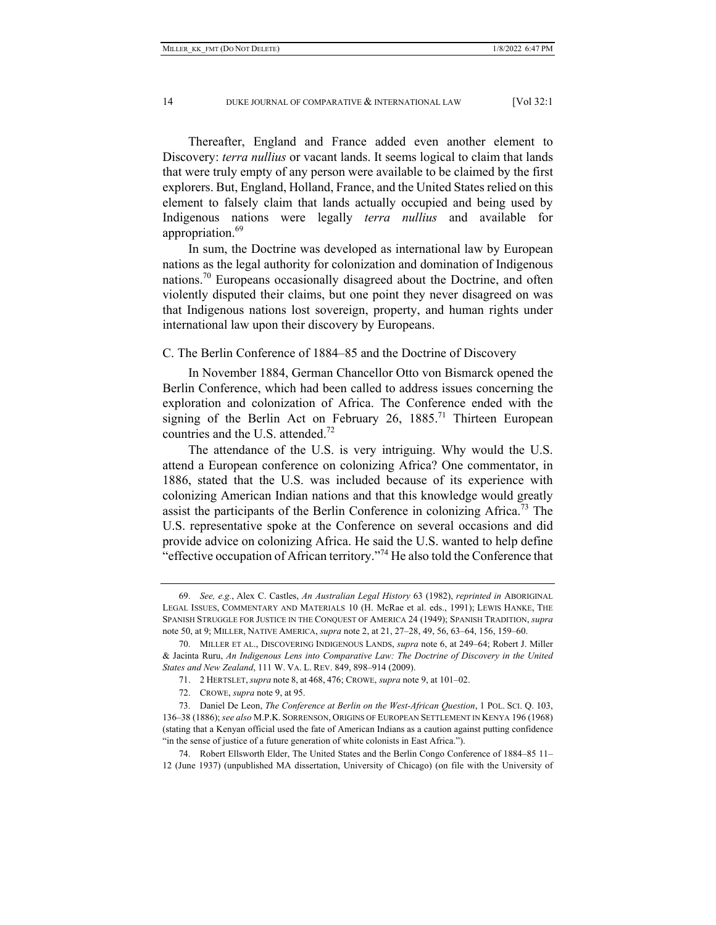Thereafter, England and France added even another element to Discovery: *terra nullius* or vacant lands. It seems logical to claim that lands that were truly empty of any person were available to be claimed by the first explorers. But, England, Holland, France, and the United States relied on this element to falsely claim that lands actually occupied and being used by Indigenous nations were legally *terra nullius* and available for appropriation.<sup>69</sup>

In sum, the Doctrine was developed as international law by European nations as the legal authority for colonization and domination of Indigenous nations.<sup>70</sup> Europeans occasionally disagreed about the Doctrine, and often violently disputed their claims, but one point they never disagreed on was that Indigenous nations lost sovereign, property, and human rights under international law upon their discovery by Europeans.

C. The Berlin Conference of 1884–85 and the Doctrine of Discovery

In November 1884, German Chancellor Otto von Bismarck opened the Berlin Conference, which had been called to address issues concerning the exploration and colonization of Africa. The Conference ended with the signing of the Berlin Act on February 26,  $1885$ <sup>71</sup> Thirteen European countries and the U.S. attended.<sup>72</sup>

The attendance of the U.S. is very intriguing. Why would the U.S. attend a European conference on colonizing Africa? One commentator, in 1886, stated that the U.S. was included because of its experience with colonizing American Indian nations and that this knowledge would greatly assist the participants of the Berlin Conference in colonizing Africa.<sup>73</sup> The U.S. representative spoke at the Conference on several occasions and did provide advice on colonizing Africa. He said the U.S. wanted to help define "effective occupation of African territory."<sup>74</sup> He also told the Conference that

 <sup>69.</sup> *See, e.g.*, Alex C. Castles, *An Australian Legal History* 63 (1982), *reprinted in* ABORIGINAL LEGAL ISSUES, COMMENTARY AND MATERIALS 10 (H. McRae et al. eds., 1991); LEWIS HANKE, THE SPANISH STRUGGLE FOR JUSTICE IN THE CONQUEST OF AMERICA 24 (1949); SPANISH TRADITION, *supra* note 50, at 9; MILLER, NATIVE AMERICA, *supra* note 2, at 21, 27–28, 49, 56, 63–64, 156, 159–60.

 <sup>70.</sup> MILLER ET AL., DISCOVERING INDIGENOUS LANDS, *supra* note 6, at 249–64; Robert J. Miller & Jacinta Ruru, *An Indigenous Lens into Comparative Law: The Doctrine of Discovery in the United States and New Zealand*, 111 W. VA. L. REV. 849, 898–914 (2009).

 <sup>71. 2</sup> HERTSLET, *supra* note 8, at 468, 476; CROWE, *supra* note 9, at 101–02.

 <sup>72.</sup> CROWE, *supra* note 9, at 95.

 <sup>73.</sup> Daniel De Leon, *The Conference at Berlin on the West-African Question*, 1 POL. SCI. Q. 103, 136–38 (1886); *see also* M.P.K. SORRENSON, ORIGINS OF EUROPEAN SETTLEMENT IN KENYA 196 (1968) (stating that a Kenyan official used the fate of American Indians as a caution against putting confidence "in the sense of justice of a future generation of white colonists in East Africa.").

 <sup>74.</sup> Robert Ellsworth Elder, The United States and the Berlin Congo Conference of 1884–85 11– 12 (June 1937) (unpublished MA dissertation, University of Chicago) (on file with the University of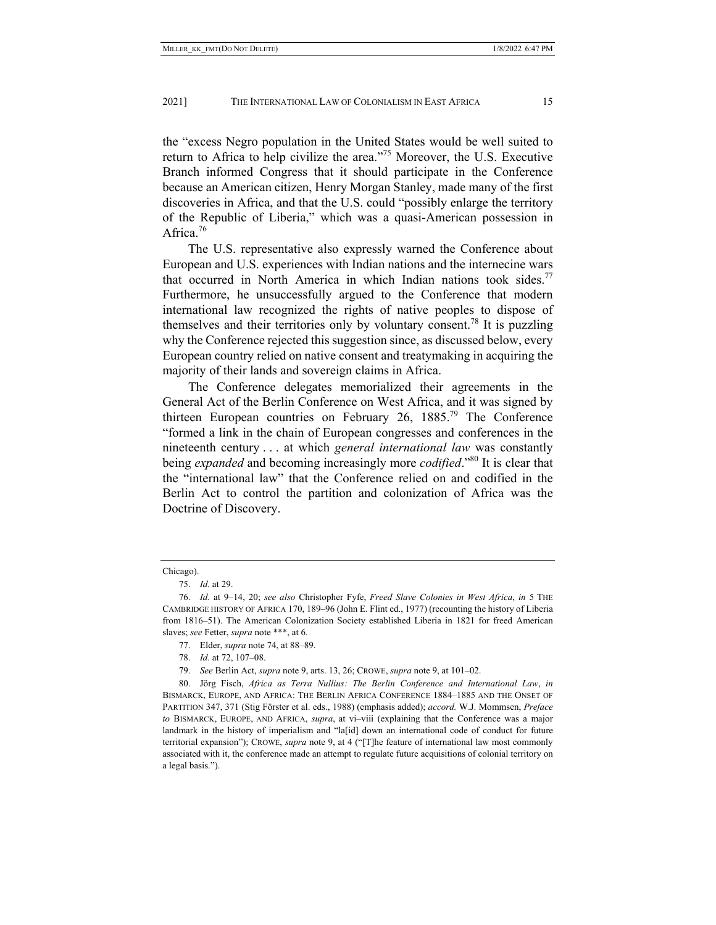the "excess Negro population in the United States would be well suited to return to Africa to help civilize the area."75 Moreover, the U.S. Executive Branch informed Congress that it should participate in the Conference because an American citizen, Henry Morgan Stanley, made many of the first discoveries in Africa, and that the U.S. could "possibly enlarge the territory of the Republic of Liberia," which was a quasi-American possession in Africa.<sup>76</sup>

The U.S. representative also expressly warned the Conference about European and U.S. experiences with Indian nations and the internecine wars that occurred in North America in which Indian nations took sides.<sup>77</sup> Furthermore, he unsuccessfully argued to the Conference that modern international law recognized the rights of native peoples to dispose of themselves and their territories only by voluntary consent.<sup>78</sup> It is puzzling why the Conference rejected this suggestion since, as discussed below, every European country relied on native consent and treatymaking in acquiring the majority of their lands and sovereign claims in Africa.

The Conference delegates memorialized their agreements in the General Act of the Berlin Conference on West Africa, and it was signed by thirteen European countries on February 26, 1885.79 The Conference "formed a link in the chain of European congresses and conferences in the nineteenth century . . . at which *general international law* was constantly being *expanded* and becoming increasingly more *codified*."80 It is clear that the "international law" that the Conference relied on and codified in the Berlin Act to control the partition and colonization of Africa was the Doctrine of Discovery.

Chicago).

 <sup>75.</sup> *Id.* at 29.

 <sup>76.</sup> *Id.* at 9–14, 20; *see also* Christopher Fyfe, *Freed Slave Colonies in West Africa*, *in* 5 THE CAMBRIDGE HISTORY OF AFRICA 170, 189–96 (John E. Flint ed., 1977) (recounting the history of Liberia from 1816–51). The American Colonization Society established Liberia in 1821 for freed American slaves; *see* Fetter, *supra* note \*\*\*, at 6.

 <sup>77.</sup> Elder, *supra* note 74, at 88–89.

 <sup>78.</sup> *Id.* at 72, 107–08.

 <sup>79.</sup> *See* Berlin Act, *supra* note 9, arts. 13, 26; CROWE, *supra* note 9, at 101–02.

 <sup>80.</sup> Jörg Fisch, *Africa as Terra Nullius: The Berlin Conference and International Law*, *in* BISMARCK, EUROPE, AND AFRICA: THE BERLIN AFRICA CONFERENCE 1884–1885 AND THE ONSET OF PARTITION 347, 371 (Stig Förster et al. eds., 1988) (emphasis added); *accord.* W.J. Mommsen, *Preface to* BISMARCK, EUROPE, AND AFRICA, *supra*, at vi–viii (explaining that the Conference was a major landmark in the history of imperialism and "la[id] down an international code of conduct for future territorial expansion"); CROWE, *supra* note 9, at 4 ("[T]he feature of international law most commonly associated with it, the conference made an attempt to regulate future acquisitions of colonial territory on a legal basis.").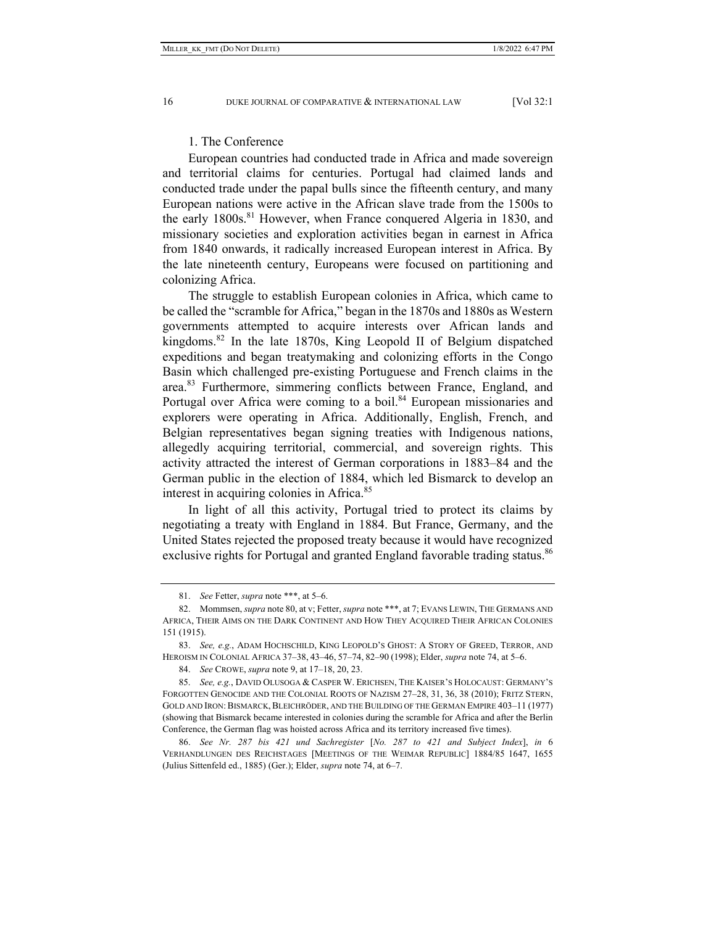## 1. The Conference

European countries had conducted trade in Africa and made sovereign and territorial claims for centuries. Portugal had claimed lands and conducted trade under the papal bulls since the fifteenth century, and many European nations were active in the African slave trade from the 1500s to the early 1800s.<sup>81</sup> However, when France conquered Algeria in 1830, and missionary societies and exploration activities began in earnest in Africa from 1840 onwards, it radically increased European interest in Africa. By the late nineteenth century, Europeans were focused on partitioning and colonizing Africa.

The struggle to establish European colonies in Africa, which came to be called the "scramble for Africa," began in the 1870s and 1880s as Western governments attempted to acquire interests over African lands and kingdoms.<sup>82</sup> In the late 1870s, King Leopold II of Belgium dispatched expeditions and began treatymaking and colonizing efforts in the Congo Basin which challenged pre-existing Portuguese and French claims in the area.<sup>83</sup> Furthermore, simmering conflicts between France, England, and Portugal over Africa were coming to a boil.<sup>84</sup> European missionaries and explorers were operating in Africa. Additionally, English, French, and Belgian representatives began signing treaties with Indigenous nations, allegedly acquiring territorial, commercial, and sovereign rights. This activity attracted the interest of German corporations in 1883–84 and the German public in the election of 1884, which led Bismarck to develop an interest in acquiring colonies in Africa.<sup>85</sup>

In light of all this activity, Portugal tried to protect its claims by negotiating a treaty with England in 1884. But France, Germany, and the United States rejected the proposed treaty because it would have recognized exclusive rights for Portugal and granted England favorable trading status.<sup>86</sup>

 <sup>81.</sup> *See* Fetter, *supra* note \*\*\*, at 5–6.

 <sup>82.</sup> Mommsen, *supra* note 80, at v; Fetter, *supra* note \*\*\*, at 7; EVANS LEWIN, THE GERMANS AND AFRICA, THEIR AIMS ON THE DARK CONTINENT AND HOW THEY ACQUIRED THEIR AFRICAN COLONIES 151 (1915).

 <sup>83.</sup> *See, e.g.*, ADAM HOCHSCHILD, KING LEOPOLD'S GHOST: A STORY OF GREED, TERROR, AND HEROISM IN COLONIAL AFRICA 37–38, 43–46, 57–74, 82–90 (1998); Elder, *supra* note 74, at 5–6.

 <sup>84.</sup> *See* CROWE, *supra* note 9, at 17–18, 20, 23.

 <sup>85.</sup> *See, e.g.*, DAVID OLUSOGA & CASPER W. ERICHSEN, THE KAISER'S HOLOCAUST: GERMANY'S FORGOTTEN GENOCIDE AND THE COLONIAL ROOTS OF NAZISM 27–28, 31, 36, 38 (2010); FRITZ STERN, GOLD AND IRON: BISMARCK, BLEICHRÖDER, AND THE BUILDING OF THE GERMAN EMPIRE 403-11 (1977) (showing that Bismarck became interested in colonies during the scramble for Africa and after the Berlin Conference, the German flag was hoisted across Africa and its territory increased five times).

 <sup>86.</sup> *See Nr. 287 bis 421 und Sachregister* [*No. 287 to 421 and Subject Index*], *in* 6 VERHANDLUNGEN DES REICHSTAGES [MEETINGS OF THE WEIMAR REPUBLIC] 1884/85 1647, 1655 (Julius Sittenfeld ed., 1885) (Ger.); Elder, *supra* note 74, at 6–7.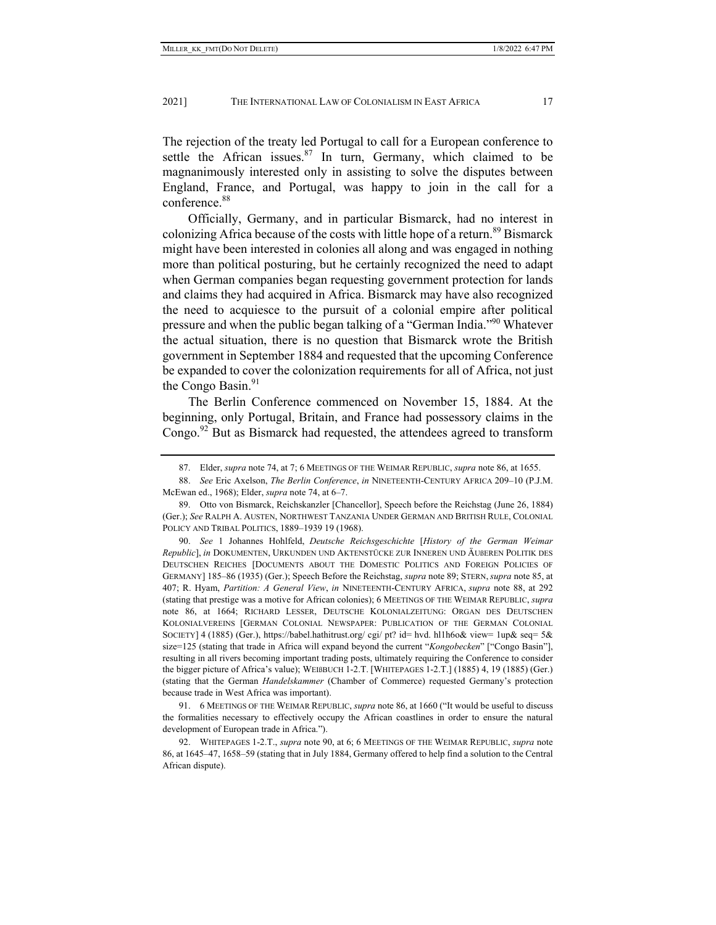The rejection of the treaty led Portugal to call for a European conference to settle the African issues.<sup>87</sup> In turn, Germany, which claimed to be magnanimously interested only in assisting to solve the disputes between England, France, and Portugal, was happy to join in the call for a conference.<sup>88</sup>

Officially, Germany, and in particular Bismarck, had no interest in colonizing Africa because of the costs with little hope of a return.<sup>89</sup> Bismarck might have been interested in colonies all along and was engaged in nothing more than political posturing, but he certainly recognized the need to adapt when German companies began requesting government protection for lands and claims they had acquired in Africa. Bismarck may have also recognized the need to acquiesce to the pursuit of a colonial empire after political pressure and when the public began talking of a "German India."<sup>90</sup> Whatever the actual situation, there is no question that Bismarck wrote the British government in September 1884 and requested that the upcoming Conference be expanded to cover the colonization requirements for all of Africa, not just the Congo Basin. $91$ 

The Berlin Conference commenced on November 15, 1884. At the beginning, only Portugal, Britain, and France had possessory claims in the Congo.<sup>92</sup> But as Bismarck had requested, the attendees agreed to transform

 <sup>87.</sup> Elder, *supra* note 74, at 7; 6 MEETINGS OF THE WEIMAR REPUBLIC, *supra* note 86, at 1655.

 <sup>88.</sup> *See* Eric Axelson, *The Berlin Conference*, *in* NINETEENTH-CENTURY AFRICA 209–10 (P.J.M. McEwan ed., 1968); Elder, *supra* note 74, at 6–7.

 <sup>89.</sup> Otto von Bismarck, Reichskanzler [Chancellor], Speech before the Reichstag (June 26, 1884) (Ger.); *See* RALPH A. AUSTEN, NORTHWEST TANZANIA UNDER GERMAN AND BRITISH RULE, COLONIAL POLICY AND TRIBAL POLITICS, 1889–1939 19 (1968).

 <sup>90.</sup> *See* 1 Johannes Hohlfeld, *Deutsche Reichsgeschichte* [*History of the German Weimar Republic*], *in* DOKUMENTEN, URKUNDEN UND AKTENSTÜCKE ZUR INNEREN UND ÄUßEREN POLITIK DES DEUTSCHEN REICHES [DOCUMENTS ABOUT THE DOMESTIC POLITICS AND FOREIGN POLICIES OF GERMANY] 185–86 (1935) (Ger.); Speech Before the Reichstag, *supra* note 89; STERN,*supra* note 85, at 407; R. Hyam, *Partition: A General View*, *in* NINETEENTH-CENTURY AFRICA, *supra* note 88, at 292 (stating that prestige was a motive for African colonies); 6 MEETINGS OF THE WEIMAR REPUBLIC, *supra* note 86, at 1664; RICHARD LESSER, DEUTSCHE KOLONIALZEITUNG: ORGAN DES DEUTSCHEN KOLONIALVEREINS [GERMAN COLONIAL NEWSPAPER: PUBLICATION OF THE GERMAN COLONIAL SOCIETY] 4 (1885) (Ger.), https://babel.hathitrust.org/ cgi/ pt? id= hvd. hl1h6o& view= 1up& seq= 5& size=125 (stating that trade in Africa will expand beyond the current "*Kongobecken*" ["Congo Basin"], resulting in all rivers becoming important trading posts, ultimately requiring the Conference to consider the bigger picture of Africa's value); WEIßBUCH 1-2.T. [WHITEPAGES 1-2.T.] (1885) 4, 19 (1885) (Ger.) (stating that the German *Handelskammer* (Chamber of Commerce) requested Germany's protection because trade in West Africa was important).

 <sup>91. 6</sup> MEETINGS OF THE WEIMAR REPUBLIC, *supra* note 86, at 1660 ("It would be useful to discuss the formalities necessary to effectively occupy the African coastlines in order to ensure the natural development of European trade in Africa.").

 <sup>92.</sup> WHITEPAGES 1-2.T., *supra* note 90, at 6; 6 MEETINGS OF THE WEIMAR REPUBLIC, *supra* note 86, at 1645–47, 1658–59 (stating that in July 1884, Germany offered to help find a solution to the Central African dispute).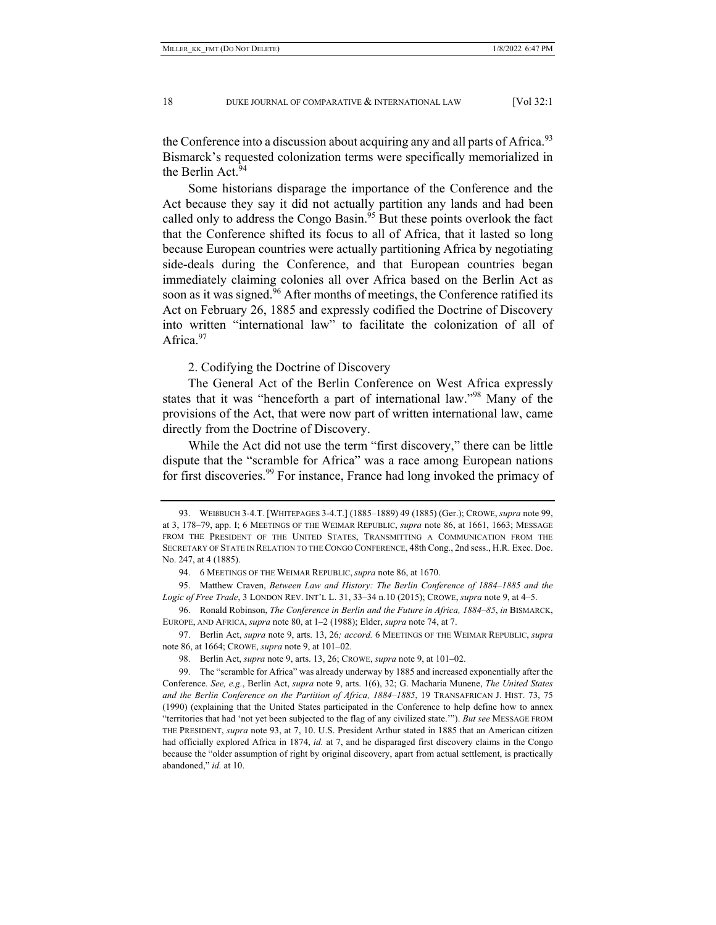the Conference into a discussion about acquiring any and all parts of Africa.<sup>93</sup> Bismarck's requested colonization terms were specifically memorialized in the Berlin Act.<sup>94</sup>

Some historians disparage the importance of the Conference and the Act because they say it did not actually partition any lands and had been called only to address the Congo Basin.<sup>95</sup> But these points overlook the fact that the Conference shifted its focus to all of Africa, that it lasted so long because European countries were actually partitioning Africa by negotiating side-deals during the Conference, and that European countries began immediately claiming colonies all over Africa based on the Berlin Act as soon as it was signed.<sup>96</sup> After months of meetings, the Conference ratified its Act on February 26, 1885 and expressly codified the Doctrine of Discovery into written "international law" to facilitate the colonization of all of Africa.<sup>97</sup>

2. Codifying the Doctrine of Discovery

The General Act of the Berlin Conference on West Africa expressly states that it was "henceforth a part of international law."98 Many of the provisions of the Act, that were now part of written international law, came directly from the Doctrine of Discovery.

While the Act did not use the term "first discovery," there can be little dispute that the "scramble for Africa" was a race among European nations for first discoveries.<sup>99</sup> For instance, France had long invoked the primacy of

 <sup>93.</sup> WEIßBUCH 3-4.T. [WHITEPAGES 3-4.T.] (1885–1889) 49 (1885) (Ger.); CROWE, *supra* note 99, at 3, 178–79, app. I; 6 MEETINGS OF THE WEIMAR REPUBLIC, *supra* note 86, at 1661, 1663; MESSAGE FROM THE PRESIDENT OF THE UNITED STATES, TRANSMITTING A COMMUNICATION FROM THE SECRETARY OF STATE IN RELATION TO THE CONGO CONFERENCE, 48th Cong., 2nd sess., H.R. Exec. Doc. No. 247, at 4 (1885).

 <sup>94. 6</sup> MEETINGS OF THE WEIMAR REPUBLIC, *supra* note 86, at 1670.

 <sup>95.</sup> Matthew Craven, *Between Law and History: The Berlin Conference of 1884–1885 and the Logic of Free Trade*, 3 LONDON REV. INT'L L. 31, 33–34 n.10 (2015); CROWE, *supra* note 9, at 4–5.

 <sup>96.</sup> Ronald Robinson, *The Conference in Berlin and the Future in Africa, 1884–85*, *in* BISMARCK, EUROPE, AND AFRICA, *supra* note 80, at 1–2 (1988); Elder, *supra* note 74, at 7.

 <sup>97.</sup> Berlin Act, *supra* note 9, arts. 13, 26*; accord.* 6 MEETINGS OF THE WEIMAR REPUBLIC, *supra* note 86, at 1664; CROWE, *supra* note 9, at 101–02.

 <sup>98.</sup> Berlin Act, *supra* note 9, arts. 13, 26; CROWE, *supra* note 9, at 101–02.

 <sup>99.</sup> The "scramble for Africa" was already underway by 1885 and increased exponentially after the Conference. *See, e.g.*, Berlin Act, *supra* note 9, arts. 1(6), 32; G. Macharia Munene, *The United States and the Berlin Conference on the Partition of Africa, 1884–1885*, 19 TRANSAFRICAN J. HIST. 73, 75 (1990) (explaining that the United States participated in the Conference to help define how to annex "territories that had 'not yet been subjected to the flag of any civilized state.'"). *But see* MESSAGE FROM THE PRESIDENT, *supra* note 93, at 7, 10. U.S. President Arthur stated in 1885 that an American citizen had officially explored Africa in 1874, *id.* at 7, and he disparaged first discovery claims in the Congo because the "older assumption of right by original discovery, apart from actual settlement, is practically abandoned," *id.* at 10.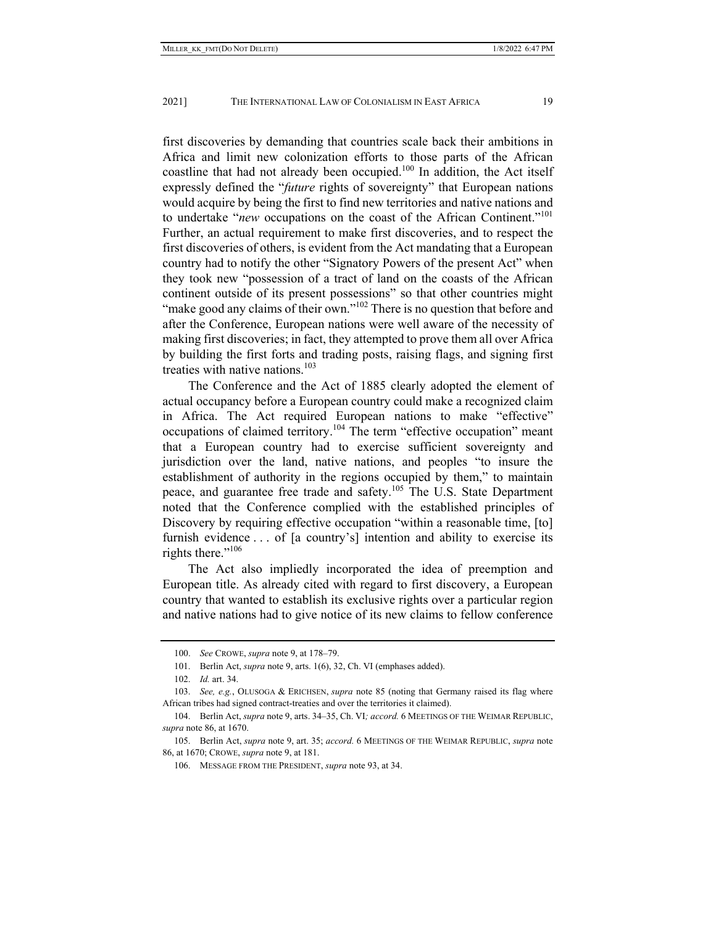first discoveries by demanding that countries scale back their ambitions in Africa and limit new colonization efforts to those parts of the African coastline that had not already been occupied. $100$  In addition, the Act itself expressly defined the "*future* rights of sovereignty" that European nations would acquire by being the first to find new territories and native nations and to undertake "*new* occupations on the coast of the African Continent."101 Further, an actual requirement to make first discoveries, and to respect the first discoveries of others, is evident from the Act mandating that a European country had to notify the other "Signatory Powers of the present Act" when they took new "possession of a tract of land on the coasts of the African continent outside of its present possessions" so that other countries might "make good any claims of their own."<sup>102</sup> There is no question that before and after the Conference, European nations were well aware of the necessity of making first discoveries; in fact, they attempted to prove them all over Africa by building the first forts and trading posts, raising flags, and signing first treaties with native nations. $103$ 

The Conference and the Act of 1885 clearly adopted the element of actual occupancy before a European country could make a recognized claim in Africa. The Act required European nations to make "effective" occupations of claimed territory.<sup>104</sup> The term "effective occupation" meant that a European country had to exercise sufficient sovereignty and jurisdiction over the land, native nations, and peoples "to insure the establishment of authority in the regions occupied by them," to maintain peace, and guarantee free trade and safety.<sup>105</sup> The U.S. State Department noted that the Conference complied with the established principles of Discovery by requiring effective occupation "within a reasonable time, [to] furnish evidence . . . of [a country's] intention and ability to exercise its rights there."<sup>106</sup>

The Act also impliedly incorporated the idea of preemption and European title. As already cited with regard to first discovery, a European country that wanted to establish its exclusive rights over a particular region and native nations had to give notice of its new claims to fellow conference

 <sup>100.</sup> *See* CROWE, *supra* note 9, at 178–79.

 <sup>101.</sup> Berlin Act, *supra* note 9, arts. 1(6), 32, Ch. VI (emphases added).

 <sup>102.</sup> *Id.* art. 34.

 <sup>103.</sup> *See, e.g.*, OLUSOGA & ERICHSEN, *supra* note 85 (noting that Germany raised its flag where African tribes had signed contract-treaties and over the territories it claimed).

 <sup>104.</sup> Berlin Act, *supra* note 9, arts. 34–35, Ch. VI*; accord.* 6 MEETINGS OF THE WEIMAR REPUBLIC, *supra* note 86, at 1670.

 <sup>105.</sup> Berlin Act, *supra* note 9, art. 35; *accord.* 6 MEETINGS OF THE WEIMAR REPUBLIC, *supra* note 86, at 1670; CROWE, *supra* note 9, at 181.

 <sup>106.</sup> MESSAGE FROM THE PRESIDENT, *supra* note 93, at 34.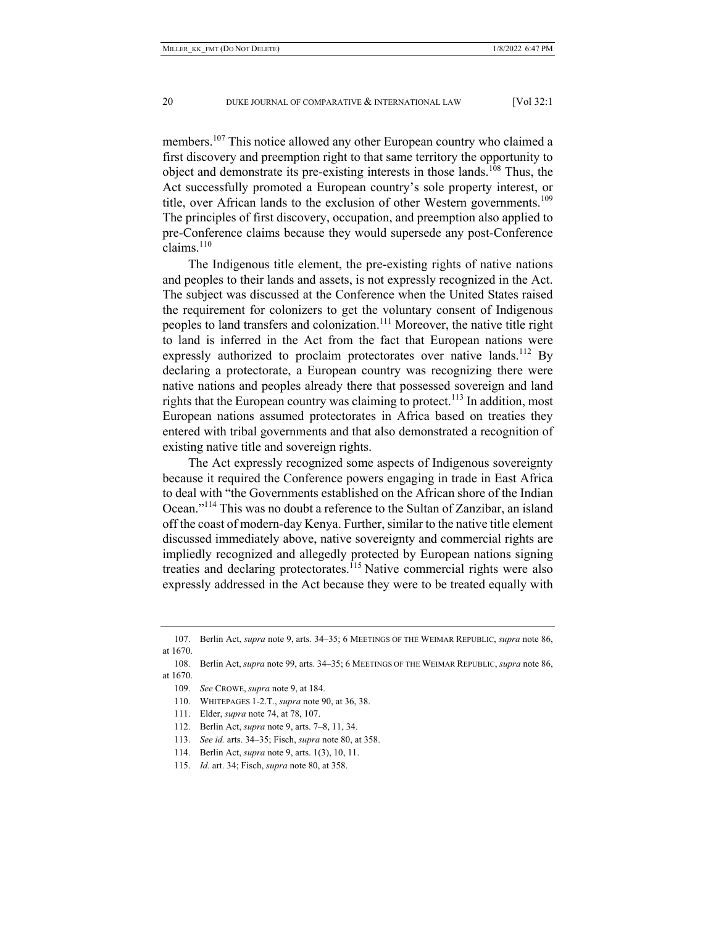members.107 This notice allowed any other European country who claimed a first discovery and preemption right to that same territory the opportunity to object and demonstrate its pre-existing interests in those lands.<sup>108</sup> Thus, the Act successfully promoted a European country's sole property interest, or title, over African lands to the exclusion of other Western governments.<sup>109</sup> The principles of first discovery, occupation, and preemption also applied to pre-Conference claims because they would supersede any post-Conference claims.<sup>110</sup>

The Indigenous title element, the pre-existing rights of native nations and peoples to their lands and assets, is not expressly recognized in the Act. The subject was discussed at the Conference when the United States raised the requirement for colonizers to get the voluntary consent of Indigenous peoples to land transfers and colonization.<sup>111</sup> Moreover, the native title right to land is inferred in the Act from the fact that European nations were expressly authorized to proclaim protectorates over native lands.<sup>112</sup> By declaring a protectorate, a European country was recognizing there were native nations and peoples already there that possessed sovereign and land rights that the European country was claiming to protect.<sup>113</sup> In addition, most European nations assumed protectorates in Africa based on treaties they entered with tribal governments and that also demonstrated a recognition of existing native title and sovereign rights.

The Act expressly recognized some aspects of Indigenous sovereignty because it required the Conference powers engaging in trade in East Africa to deal with "the Governments established on the African shore of the Indian Ocean."114 This was no doubt a reference to the Sultan of Zanzibar, an island off the coast of modern-day Kenya. Further, similar to the native title element discussed immediately above, native sovereignty and commercial rights are impliedly recognized and allegedly protected by European nations signing treaties and declaring protectorates.<sup>115</sup> Native commercial rights were also expressly addressed in the Act because they were to be treated equally with

 <sup>107.</sup> Berlin Act, *supra* note 9, arts. 34–35; 6 MEETINGS OF THE WEIMAR REPUBLIC, *supra* note 86, at 1670.

 <sup>108.</sup> Berlin Act, *supra* note 99, arts. 34–35; 6 MEETINGS OF THE WEIMAR REPUBLIC, *supra* note 86, at 1670.

 <sup>109.</sup> *See* CROWE, *supra* note 9, at 184.

 <sup>110.</sup> WHITEPAGES 1-2.T., *supra* note 90, at 36, 38.

 <sup>111.</sup> Elder, *supra* note 74, at 78, 107.

 <sup>112.</sup> Berlin Act, *supra* note 9, arts. 7–8, 11, 34.

 <sup>113.</sup> *See id.* arts. 34–35; Fisch, *supra* note 80, at 358.

 <sup>114.</sup> Berlin Act, *supra* note 9, arts. 1(3), 10, 11.

 <sup>115.</sup> *Id.* art. 34; Fisch, *supra* note 80, at 358.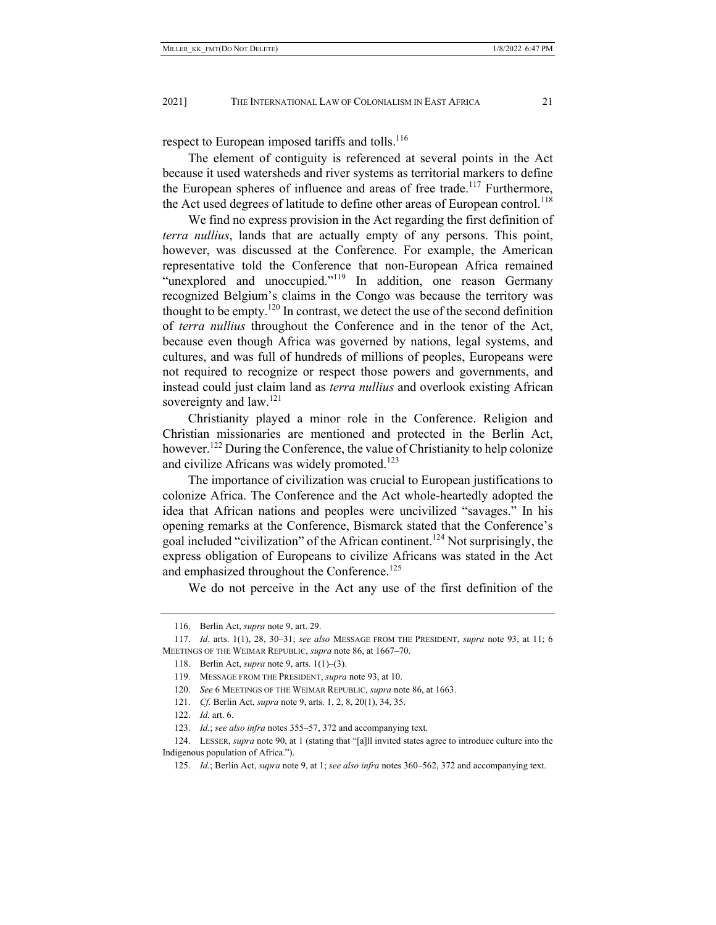respect to European imposed tariffs and tolls.<sup>116</sup>

The element of contiguity is referenced at several points in the Act because it used watersheds and river systems as territorial markers to define the European spheres of influence and areas of free trade.<sup>117</sup> Furthermore, the Act used degrees of latitude to define other areas of European control.<sup>118</sup>

We find no express provision in the Act regarding the first definition of *terra nullius*, lands that are actually empty of any persons. This point, however, was discussed at the Conference. For example, the American representative told the Conference that non-European Africa remained "unexplored and unoccupied."<sup>119</sup> In addition, one reason Germany recognized Belgium's claims in the Congo was because the territory was thought to be empty.<sup>120</sup> In contrast, we detect the use of the second definition of *terra nullius* throughout the Conference and in the tenor of the Act, because even though Africa was governed by nations, legal systems, and cultures, and was full of hundreds of millions of peoples, Europeans were not required to recognize or respect those powers and governments, and instead could just claim land as *terra nullius* and overlook existing African sovereignty and law.<sup>121</sup>

Christianity played a minor role in the Conference. Religion and Christian missionaries are mentioned and protected in the Berlin Act, however.<sup>122</sup> During the Conference, the value of Christianity to help colonize and civilize Africans was widely promoted. $123$ 

The importance of civilization was crucial to European justifications to colonize Africa. The Conference and the Act whole-heartedly adopted the idea that African nations and peoples were uncivilized "savages." In his opening remarks at the Conference, Bismarck stated that the Conference's goal included "civilization" of the African continent.<sup>124</sup> Not surprisingly, the express obligation of Europeans to civilize Africans was stated in the Act and emphasized throughout the Conference.<sup>125</sup>

We do not perceive in the Act any use of the first definition of the

 <sup>116.</sup> Berlin Act, *supra* note 9, art. 29.

 <sup>117.</sup> *Id.* arts. 1(1), 28, 30–31; *see also* MESSAGE FROM THE PRESIDENT, *supra* note 93, at 11; 6 MEETINGS OF THE WEIMAR REPUBLIC, *supra* note 86, at 1667–70.

 <sup>118.</sup> Berlin Act, *supra* note 9, arts. 1(1)–(3).

 <sup>119.</sup> MESSAGE FROM THE PRESIDENT, *supra* note 93, at 10.

 <sup>120.</sup> *See* 6 MEETINGS OF THE WEIMAR REPUBLIC, *supra* note 86, at 1663.

 <sup>121.</sup> *Cf.* Berlin Act, *supra* note 9, arts. 1, 2, 8, 20(1), 34, 35.

 <sup>122.</sup> *Id.* art. 6.

 <sup>123.</sup> *Id.*; *see also infra* notes 355–57, 372 and accompanying text.

 <sup>124.</sup> LESSER, *supra* note 90, at 1 (stating that "[a]ll invited states agree to introduce culture into the Indigenous population of Africa.").

 <sup>125.</sup> *Id.*; Berlin Act, *supra* note 9, at 1; *see also infra* notes 360–562, 372 and accompanying text.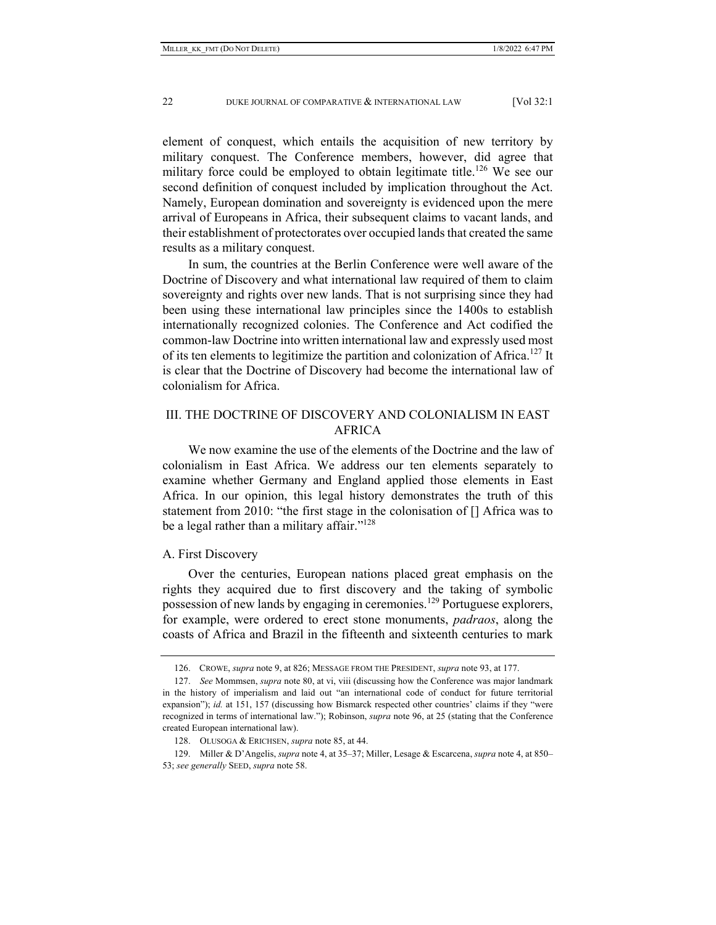element of conquest, which entails the acquisition of new territory by military conquest. The Conference members, however, did agree that military force could be employed to obtain legitimate title.<sup>126</sup> We see our second definition of conquest included by implication throughout the Act. Namely, European domination and sovereignty is evidenced upon the mere arrival of Europeans in Africa, their subsequent claims to vacant lands, and their establishment of protectorates over occupied lands that created the same results as a military conquest.

In sum, the countries at the Berlin Conference were well aware of the Doctrine of Discovery and what international law required of them to claim sovereignty and rights over new lands. That is not surprising since they had been using these international law principles since the 1400s to establish internationally recognized colonies. The Conference and Act codified the common-law Doctrine into written international law and expressly used most of its ten elements to legitimize the partition and colonization of Africa.<sup>127</sup> It is clear that the Doctrine of Discovery had become the international law of colonialism for Africa.

## III. THE DOCTRINE OF DISCOVERY AND COLONIALISM IN EAST AFRICA

We now examine the use of the elements of the Doctrine and the law of colonialism in East Africa. We address our ten elements separately to examine whether Germany and England applied those elements in East Africa. In our opinion, this legal history demonstrates the truth of this statement from 2010: "the first stage in the colonisation of [] Africa was to be a legal rather than a military affair."<sup>128</sup>

## A. First Discovery

Over the centuries, European nations placed great emphasis on the rights they acquired due to first discovery and the taking of symbolic possession of new lands by engaging in ceremonies.<sup>129</sup> Portuguese explorers, for example, were ordered to erect stone monuments, *padraos*, along the coasts of Africa and Brazil in the fifteenth and sixteenth centuries to mark

 <sup>126.</sup> CROWE, *supra* note 9, at 826; MESSAGE FROM THE PRESIDENT, *supra* note 93, at 177.

 <sup>127.</sup> *See* Mommsen, *supra* note 80, at vi, viii (discussing how the Conference was major landmark in the history of imperialism and laid out "an international code of conduct for future territorial expansion"); *id.* at 151, 157 (discussing how Bismarck respected other countries' claims if they "were recognized in terms of international law."); Robinson, *supra* note 96, at 25 (stating that the Conference created European international law).

 <sup>128.</sup> OLUSOGA & ERICHSEN, *supra* note 85, at 44.

 <sup>129.</sup> Miller & D'Angelis, *supra* note 4, at 35–37; Miller, Lesage & Escarcena, *supra* note 4, at 850– 53; *see generally* SEED, *supra* note 58.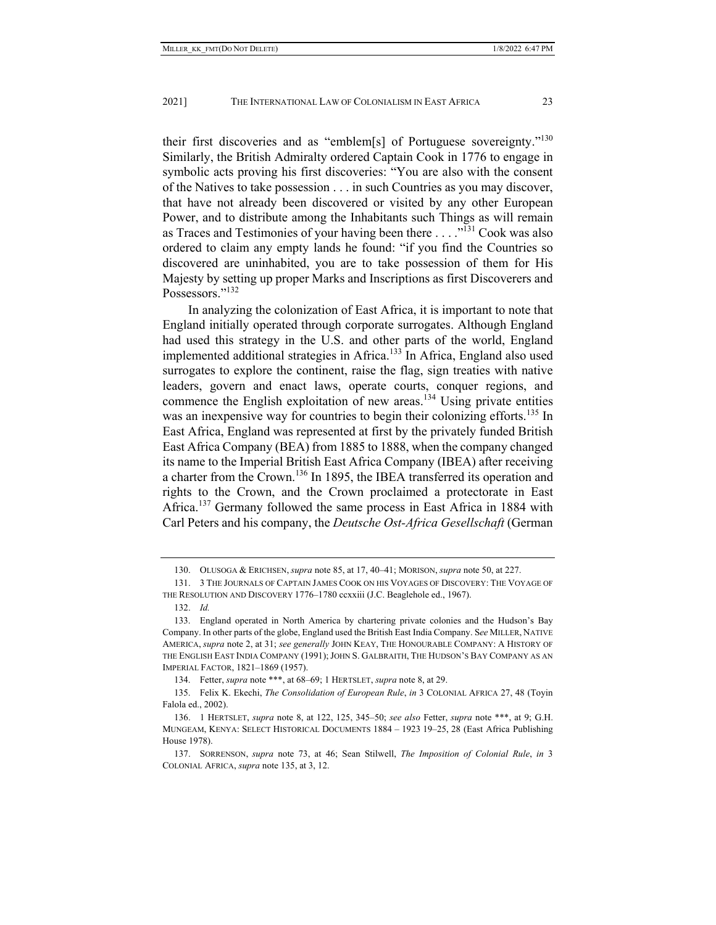their first discoveries and as "emblem[s] of Portuguese sovereignty."<sup>130</sup> Similarly, the British Admiralty ordered Captain Cook in 1776 to engage in symbolic acts proving his first discoveries: "You are also with the consent of the Natives to take possession . . . in such Countries as you may discover, that have not already been discovered or visited by any other European Power, and to distribute among the Inhabitants such Things as will remain as Traces and Testimonies of your having been there . . . ."<sup>131</sup> Cook was also ordered to claim any empty lands he found: "if you find the Countries so discovered are uninhabited, you are to take possession of them for His Majesty by setting up proper Marks and Inscriptions as first Discoverers and Possessors."<sup>132</sup>

In analyzing the colonization of East Africa, it is important to note that England initially operated through corporate surrogates. Although England had used this strategy in the U.S. and other parts of the world, England implemented additional strategies in Africa.<sup>133</sup> In Africa, England also used surrogates to explore the continent, raise the flag, sign treaties with native leaders, govern and enact laws, operate courts, conquer regions, and commence the English exploitation of new areas.<sup>134</sup> Using private entities was an inexpensive way for countries to begin their colonizing efforts.<sup>135</sup> In East Africa, England was represented at first by the privately funded British East Africa Company (BEA) from 1885 to 1888, when the company changed its name to the Imperial British East Africa Company (IBEA) after receiving a charter from the Crown.<sup>136</sup> In 1895, the IBEA transferred its operation and rights to the Crown, and the Crown proclaimed a protectorate in East Africa.<sup>137</sup> Germany followed the same process in East Africa in 1884 with Carl Peters and his company, the *Deutsche Ost-Africa Gesellschaft* (German

 <sup>130.</sup> OLUSOGA & ERICHSEN, *supra* note 85, at 17, 40–41; MORISON, *supra* note 50, at 227.

 <sup>131. 3</sup> THE JOURNALS OF CAPTAIN JAMES COOK ON HIS VOYAGES OF DISCOVERY: THE VOYAGE OF THE RESOLUTION AND DISCOVERY 1776–1780 ccxxiii (J.C. Beaglehole ed., 1967).

 <sup>132.</sup> *Id.*

 <sup>133.</sup> England operated in North America by chartering private colonies and the Hudson's Bay Company. In other parts of the globe, England used the British East India Company. S*ee* MILLER, NATIVE AMERICA, *supra* note 2, at 31; *see generally* JOHN KEAY, THE HONOURABLE COMPANY: A HISTORY OF THE ENGLISH EAST INDIA COMPANY (1991); JOHN S. GALBRAITH, THE HUDSON'S BAY COMPANY AS AN IMPERIAL FACTOR, 1821–1869 (1957).

 <sup>134.</sup> Fetter, *supra* note \*\*\*, at 68–69; 1 HERTSLET, *supra* note 8, at 29.

 <sup>135.</sup> Felix K. Ekechi, *The Consolidation of European Rule*, *in* 3 COLONIAL AFRICA 27, 48 (Toyin Falola ed., 2002).

 <sup>136. 1</sup> HERTSLET, *supra* note 8, at 122, 125, 345–50; *see also* Fetter, *supra* note \*\*\*, at 9; G.H. MUNGEAM, KENYA: SELECT HISTORICAL DOCUMENTS 1884 – 1923 19–25, 28 (East Africa Publishing House 1978).

 <sup>137.</sup> SORRENSON, *supra* note 73, at 46; Sean Stilwell, *The Imposition of Colonial Rule*, *in* 3 COLONIAL AFRICA, *supra* note 135, at 3, 12.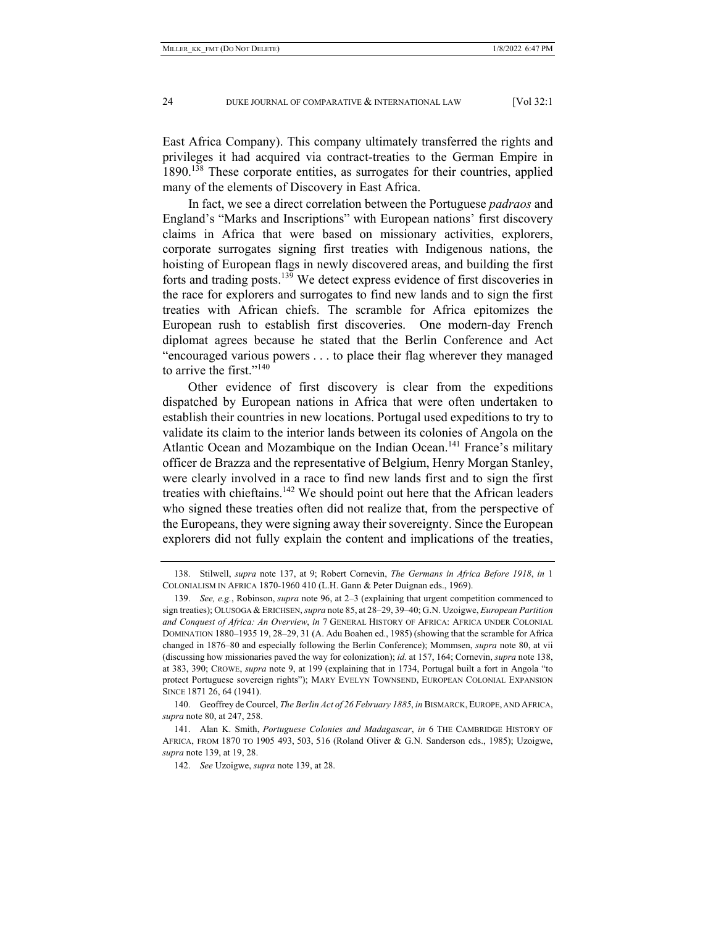East Africa Company). This company ultimately transferred the rights and privileges it had acquired via contract-treaties to the German Empire in 1890.<sup>138</sup> These corporate entities, as surrogates for their countries, applied many of the elements of Discovery in East Africa.

In fact, we see a direct correlation between the Portuguese *padraos* and England's "Marks and Inscriptions" with European nations' first discovery claims in Africa that were based on missionary activities, explorers, corporate surrogates signing first treaties with Indigenous nations, the hoisting of European flags in newly discovered areas, and building the first forts and trading posts.139 We detect express evidence of first discoveries in the race for explorers and surrogates to find new lands and to sign the first treaties with African chiefs. The scramble for Africa epitomizes the European rush to establish first discoveries. One modern-day French diplomat agrees because he stated that the Berlin Conference and Act "encouraged various powers . . . to place their flag wherever they managed to arrive the first." $140$ 

Other evidence of first discovery is clear from the expeditions dispatched by European nations in Africa that were often undertaken to establish their countries in new locations. Portugal used expeditions to try to validate its claim to the interior lands between its colonies of Angola on the Atlantic Ocean and Mozambique on the Indian Ocean.<sup>141</sup> France's military officer de Brazza and the representative of Belgium, Henry Morgan Stanley, were clearly involved in a race to find new lands first and to sign the first treaties with chieftains.<sup>142</sup> We should point out here that the African leaders who signed these treaties often did not realize that, from the perspective of the Europeans, they were signing away their sovereignty. Since the European explorers did not fully explain the content and implications of the treaties,

 <sup>138.</sup> Stilwell, *supra* note 137, at 9; Robert Cornevin, *The Germans in Africa Before 1918*, *in* 1 COLONIALISM IN AFRICA 1870-1960 410 (L.H. Gann & Peter Duignan eds., 1969).

 <sup>139.</sup> *See, e.g.*, Robinson, *supra* note 96, at 2–3 (explaining that urgent competition commenced to sign treaties); OLUSOGA &ERICHSEN, *supra* note 85, at 28–29, 39–40; G.N. Uzoigwe, *European Partition and Conquest of Africa: An Overview*, *in* 7 GENERAL HISTORY OF AFRICA: AFRICA UNDER COLONIAL DOMINATION 1880–1935 19, 28–29, 31 (A. Adu Boahen ed., 1985) (showing that the scramble for Africa changed in 1876–80 and especially following the Berlin Conference); Mommsen, *supra* note 80, at vii (discussing how missionaries paved the way for colonization); *id.* at 157, 164; Cornevin, *supra* note 138, at 383, 390; CROWE, *supra* note 9, at 199 (explaining that in 1734, Portugal built a fort in Angola "to protect Portuguese sovereign rights"); MARY EVELYN TOWNSEND, EUROPEAN COLONIAL EXPANSION SINCE 1871 26, 64 (1941).

 <sup>140.</sup> Geoffrey de Courcel, *The Berlin Act of 26 February 1885*, *in* BISMARCK, EUROPE, AND AFRICA, *supra* note 80, at 247, 258.

 <sup>141.</sup> Alan K. Smith, *Portuguese Colonies and Madagascar*, *in* 6 THE CAMBRIDGE HISTORY OF AFRICA, FROM 1870 TO 1905 493, 503, 516 (Roland Oliver & G.N. Sanderson eds., 1985); Uzoigwe, *supra* note 139, at 19, 28.

 <sup>142.</sup> *See* Uzoigwe, *supra* note 139, at 28.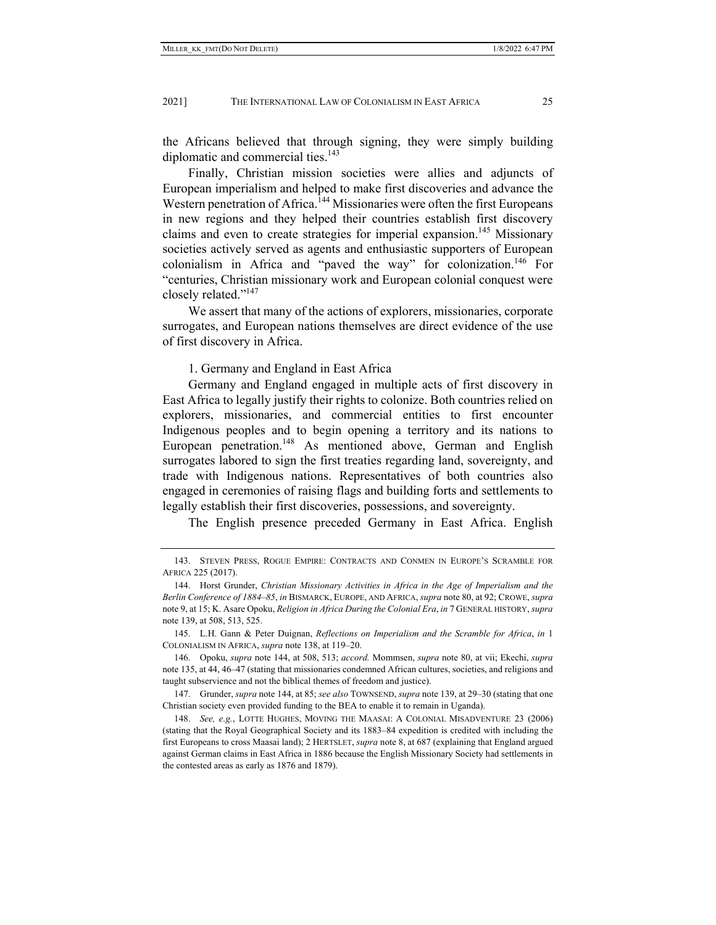the Africans believed that through signing, they were simply building diplomatic and commercial ties.<sup>143</sup>

Finally, Christian mission societies were allies and adjuncts of European imperialism and helped to make first discoveries and advance the Western penetration of Africa.<sup>144</sup> Missionaries were often the first Europeans in new regions and they helped their countries establish first discovery claims and even to create strategies for imperial expansion.<sup>145</sup> Missionary societies actively served as agents and enthusiastic supporters of European colonialism in Africa and "paved the way" for colonization.<sup>146</sup> For "centuries, Christian missionary work and European colonial conquest were closely related."147

We assert that many of the actions of explorers, missionaries, corporate surrogates, and European nations themselves are direct evidence of the use of first discovery in Africa.

#### 1. Germany and England in East Africa

Germany and England engaged in multiple acts of first discovery in East Africa to legally justify their rights to colonize. Both countries relied on explorers, missionaries, and commercial entities to first encounter Indigenous peoples and to begin opening a territory and its nations to European penetration.<sup>148</sup> As mentioned above, German and English surrogates labored to sign the first treaties regarding land, sovereignty, and trade with Indigenous nations. Representatives of both countries also engaged in ceremonies of raising flags and building forts and settlements to legally establish their first discoveries, possessions, and sovereignty.

The English presence preceded Germany in East Africa. English

 <sup>143.</sup> STEVEN PRESS, ROGUE EMPIRE: CONTRACTS AND CONMEN IN EUROPE'S SCRAMBLE FOR AFRICA 225 (2017).

 <sup>144.</sup> Horst Grunder, *Christian Missionary Activities in Africa in the Age of Imperialism and the Berlin Conference of 1884–85*, *in* BISMARCK, EUROPE, AND AFRICA, *supra* note 80, at 92; CROWE, *supra* note 9, at 15; K. Asare Opoku, *Religion in Africa During the Colonial Era*, *in* 7 GENERAL HISTORY, *supra* note 139, at 508, 513, 525.

 <sup>145.</sup> L.H. Gann & Peter Duignan, *Reflections on Imperialism and the Scramble for Africa*, *in* 1 COLONIALISM IN AFRICA, *supra* note 138, at 119–20.

 <sup>146.</sup> Opoku, *supra* note 144, at 508, 513; *accord.* Mommsen, *supra* note 80, at vii; Ekechi, *supra* note 135, at 44, 46–47 (stating that missionaries condemned African cultures, societies, and religions and taught subservience and not the biblical themes of freedom and justice).

 <sup>147.</sup> Grunder, *supra* note 144, at 85; *see also* TOWNSEND, *supra* note 139, at 29–30 (stating that one Christian society even provided funding to the BEA to enable it to remain in Uganda).

 <sup>148.</sup> *See, e.g.*, LOTTE HUGHES, MOVING THE MAASAI: A COLONIAL MISADVENTURE 23 (2006) (stating that the Royal Geographical Society and its 1883–84 expedition is credited with including the first Europeans to cross Maasai land); 2 HERTSLET, *supra* note 8, at 687 (explaining that England argued against German claims in East Africa in 1886 because the English Missionary Society had settlements in the contested areas as early as 1876 and 1879).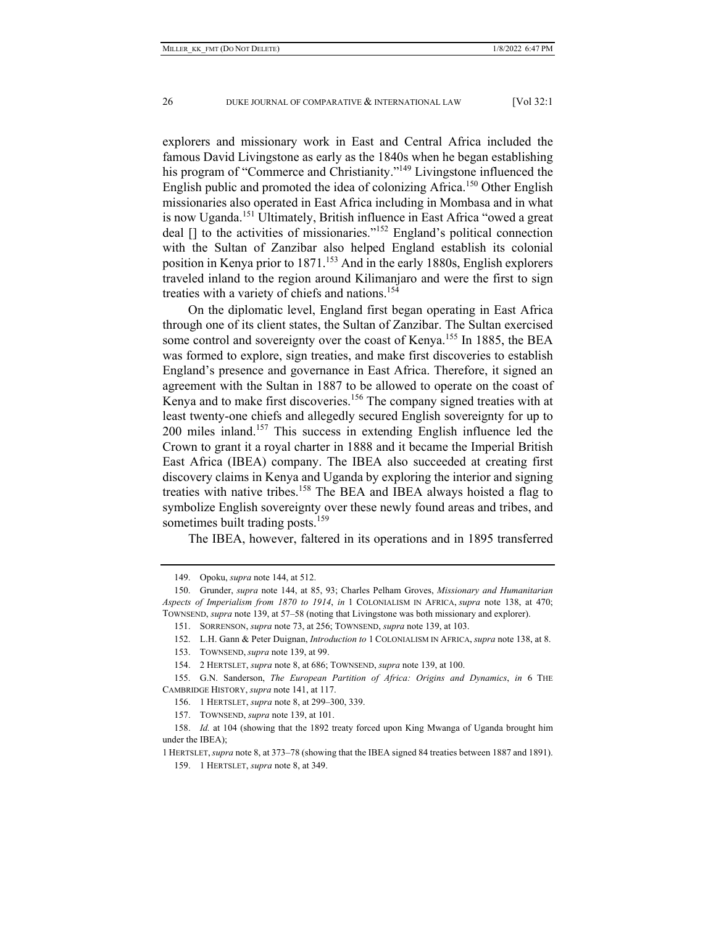explorers and missionary work in East and Central Africa included the famous David Livingstone as early as the 1840s when he began establishing his program of "Commerce and Christianity."<sup>149</sup> Livingstone influenced the English public and promoted the idea of colonizing Africa.<sup>150</sup> Other English missionaries also operated in East Africa including in Mombasa and in what is now Uganda.151 Ultimately, British influence in East Africa "owed a great deal  $\lceil \cdot \rceil$  to the activities of missionaries."<sup>152</sup> England's political connection with the Sultan of Zanzibar also helped England establish its colonial position in Kenya prior to 1871.153 And in the early 1880s, English explorers traveled inland to the region around Kilimanjaro and were the first to sign treaties with a variety of chiefs and nations.<sup>154</sup>

On the diplomatic level, England first began operating in East Africa through one of its client states, the Sultan of Zanzibar. The Sultan exercised some control and sovereignty over the coast of Kenya.<sup>155</sup> In 1885, the BEA was formed to explore, sign treaties, and make first discoveries to establish England's presence and governance in East Africa. Therefore, it signed an agreement with the Sultan in 1887 to be allowed to operate on the coast of Kenya and to make first discoveries.<sup>156</sup> The company signed treaties with at least twenty-one chiefs and allegedly secured English sovereignty for up to 200 miles inland.157 This success in extending English influence led the Crown to grant it a royal charter in 1888 and it became the Imperial British East Africa (IBEA) company. The IBEA also succeeded at creating first discovery claims in Kenya and Uganda by exploring the interior and signing treaties with native tribes.158 The BEA and IBEA always hoisted a flag to symbolize English sovereignty over these newly found areas and tribes, and sometimes built trading posts.<sup>159</sup>

The IBEA, however, faltered in its operations and in 1895 transferred

 <sup>149.</sup> Opoku, *supra* note 144, at 512.

 <sup>150.</sup> Grunder, *supra* note 144, at 85, 93; Charles Pelham Groves, *Missionary and Humanitarian Aspects of Imperialism from 1870 to 1914*, *in* 1 COLONIALISM IN AFRICA, *supra* note 138, at 470; TOWNSEND, *supra* note 139, at 57–58 (noting that Livingstone was both missionary and explorer).

 <sup>151.</sup> SORRENSON, *supra* note 73, at 256; TOWNSEND, *supra* note 139, at 103.

 <sup>152.</sup> L.H. Gann & Peter Duignan, *Introduction to* 1 COLONIALISM IN AFRICA, *supra* note 138, at 8.

 <sup>153.</sup> TOWNSEND, *supra* note 139, at 99.

 <sup>154. 2</sup> HERTSLET, *supra* note 8, at 686; TOWNSEND, *supra* note 139, at 100.

 <sup>155.</sup> G.N. Sanderson, *The European Partition of Africa: Origins and Dynamics*, *in* 6 THE CAMBRIDGE HISTORY, *supra* note 141, at 117.

 <sup>156. 1</sup> HERTSLET, *supra* note 8, at 299–300, 339.

 <sup>157.</sup> TOWNSEND, *supra* note 139, at 101.

 <sup>158.</sup> *Id.* at 104 (showing that the 1892 treaty forced upon King Mwanga of Uganda brought him under the IBEA);

<sup>1</sup> HERTSLET,*supra* note 8, at 373–78 (showing that the IBEA signed 84 treaties between 1887 and 1891).

 <sup>159. 1</sup> HERTSLET, *supra* note 8, at 349.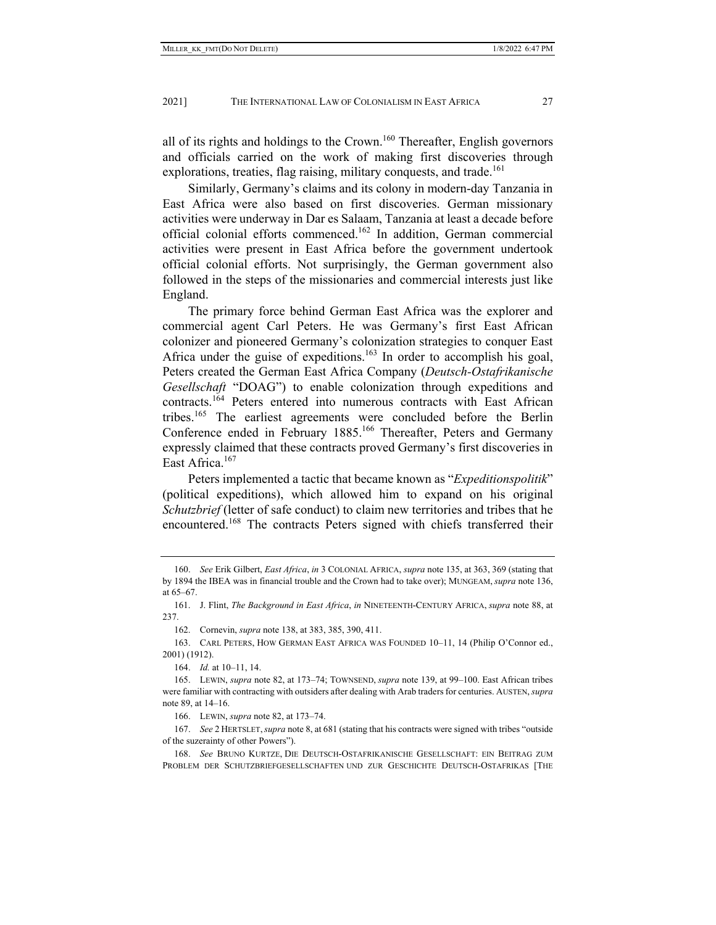all of its rights and holdings to the Crown.<sup>160</sup> Thereafter, English governors and officials carried on the work of making first discoveries through explorations, treaties, flag raising, military conquests, and trade.<sup>161</sup>

Similarly, Germany's claims and its colony in modern-day Tanzania in East Africa were also based on first discoveries. German missionary activities were underway in Dar es Salaam, Tanzania at least a decade before official colonial efforts commenced.162 In addition, German commercial activities were present in East Africa before the government undertook official colonial efforts. Not surprisingly, the German government also followed in the steps of the missionaries and commercial interests just like England.

The primary force behind German East Africa was the explorer and commercial agent Carl Peters. He was Germany's first East African colonizer and pioneered Germany's colonization strategies to conquer East Africa under the guise of expeditions.<sup>163</sup> In order to accomplish his goal, Peters created the German East Africa Company (*Deutsch-Ostafrikanische Gesellschaft* "DOAG") to enable colonization through expeditions and contracts.<sup>164</sup> Peters entered into numerous contracts with East African tribes.165 The earliest agreements were concluded before the Berlin Conference ended in February 1885.<sup>166</sup> Thereafter, Peters and Germany expressly claimed that these contracts proved Germany's first discoveries in East Africa.167

Peters implemented a tactic that became known as "*Expeditionspolitik*" (political expeditions), which allowed him to expand on his original *Schutzbrief* (letter of safe conduct) to claim new territories and tribes that he encountered.<sup>168</sup> The contracts Peters signed with chiefs transferred their

162. Cornevin, *supra* note 138, at 383, 385, 390, 411.

164. *Id.* at 10–11, 14.

166. LEWIN, *supra* note 82, at 173–74.

 <sup>160.</sup> *See* Erik Gilbert, *East Africa*, *in* 3 COLONIAL AFRICA, *supra* note 135, at 363, 369 (stating that by 1894 the IBEA was in financial trouble and the Crown had to take over); MUNGEAM, *supra* note 136, at 65–67.

 <sup>161.</sup> J. Flint, *The Background in East Africa*, *in* NINETEENTH-CENTURY AFRICA, *supra* note 88, at 237.

 <sup>163.</sup> CARL PETERS, HOW GERMAN EAST AFRICA WAS FOUNDED 10–11, 14 (Philip O'Connor ed., 2001) (1912).

 <sup>165.</sup> LEWIN, *supra* note 82, at 173–74; TOWNSEND, *supra* note 139, at 99–100. East African tribes were familiar with contracting with outsiders after dealing with Arab traders for centuries. AUSTEN, *supra* note 89, at 14–16.

 <sup>167.</sup> *See* 2 HERTSLET,*supra* note 8, at 681 (stating that his contracts were signed with tribes "outside of the suzerainty of other Powers").

 <sup>168.</sup> *See* BRUNO KURTZE, DIE DEUTSCH-OSTAFRIKANISCHE GESELLSCHAFT: EIN BEITRAG ZUM PROBLEM DER SCHUTZBRIEFGESELLSCHAFTEN UND ZUR GESCHICHTE DEUTSCH-OSTAFRIKAS [THE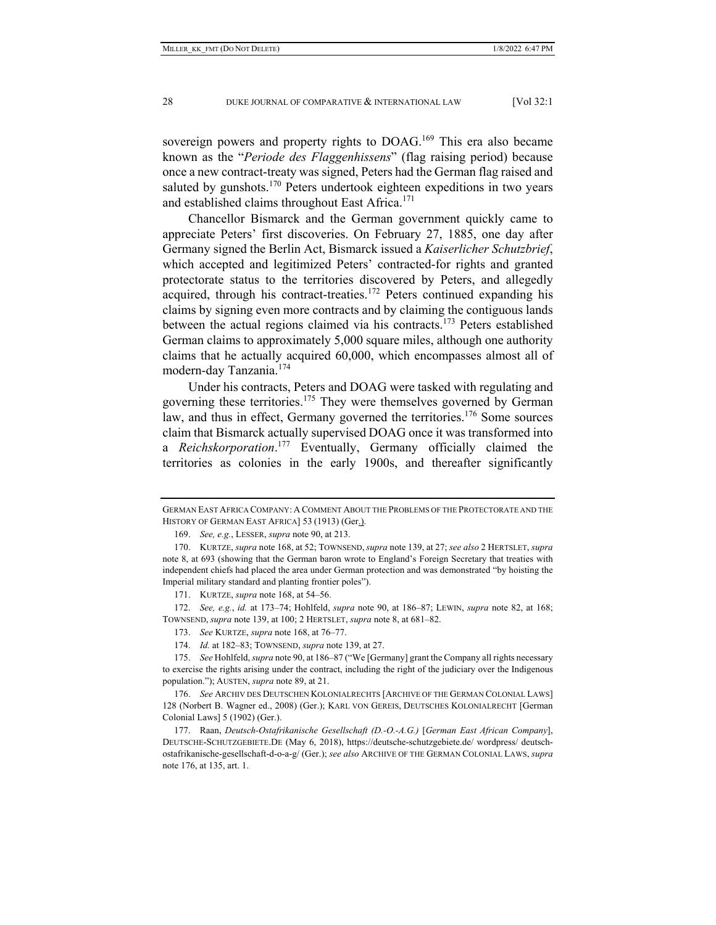sovereign powers and property rights to DOAG.<sup>169</sup> This era also became known as the "*Periode des Flaggenhissens*" (flag raising period) because once a new contract-treaty was signed, Peters had the German flag raised and saluted by gunshots.<sup>170</sup> Peters undertook eighteen expeditions in two years and established claims throughout East Africa.<sup>171</sup>

Chancellor Bismarck and the German government quickly came to appreciate Peters' first discoveries. On February 27, 1885, one day after Germany signed the Berlin Act, Bismarck issued a *Kaiserlicher Schutzbrief*, which accepted and legitimized Peters' contracted-for rights and granted protectorate status to the territories discovered by Peters, and allegedly acquired, through his contract-treaties.<sup>172</sup> Peters continued expanding his claims by signing even more contracts and by claiming the contiguous lands between the actual regions claimed via his contracts.<sup>173</sup> Peters established German claims to approximately 5,000 square miles, although one authority claims that he actually acquired 60,000, which encompasses almost all of modern-day Tanzania.<sup>174</sup>

Under his contracts, Peters and DOAG were tasked with regulating and governing these territories.<sup>175</sup> They were themselves governed by German law, and thus in effect, Germany governed the territories.<sup>176</sup> Some sources claim that Bismarck actually supervised DOAG once it was transformed into a *Reichskorporation*. 177 Eventually, Germany officially claimed the territories as colonies in the early 1900s, and thereafter significantly

GERMAN EAST AFRICA COMPANY: A COMMENT ABOUT THE PROBLEMS OF THE PROTECTORATE AND THE HISTORY OF GERMAN EAST AFRICA] 53 (1913) (Ger.).

 <sup>169.</sup> *See, e.g.*, LESSER, *supra* note 90, at 213.

 <sup>170.</sup> KURTZE, *supra* note 168, at 52; TOWNSEND,*supra* note 139, at 27; *see also* 2 HERTSLET, *supra* note 8, at 693 (showing that the German baron wrote to England's Foreign Secretary that treaties with independent chiefs had placed the area under German protection and was demonstrated "by hoisting the Imperial military standard and planting frontier poles").

 <sup>171.</sup> KURTZE, *supra* note 168, at 54–56.

 <sup>172.</sup> *See, e.g.*, *id.* at 173–74; Hohlfeld, *supra* note 90, at 186–87; LEWIN, *supra* note 82, at 168; TOWNSEND, *supra* note 139, at 100; 2 HERTSLET, *supra* note 8, at 681–82.

 <sup>173.</sup> *See* KURTZE, *supra* note 168, at 76–77.

 <sup>174.</sup> *Id.* at 182–83; TOWNSEND, *supra* note 139, at 27.

 <sup>175.</sup> *See* Hohlfeld, *supra* note 90, at 186–87 ("We [Germany] grant the Company all rights necessary to exercise the rights arising under the contract, including the right of the judiciary over the Indigenous population."); AUSTEN, *supra* note 89, at 21.

 <sup>176.</sup> *See* ARCHIV DES DEUTSCHEN KOLONIALRECHTS [ARCHIVE OF THE GERMAN COLONIAL LAWS] 128 (Norbert B. Wagner ed., 2008) (Ger.); KARL VON GEREIS, DEUTSCHES KOLONIALRECHT [German Colonial Laws] 5 (1902) (Ger.).

 <sup>177.</sup> Raan, *Deutsch-Ostafrikanische Gesellschaft (D.-O.-A.G.)* [*German East African Company*], DEUTSCHE-SCHUTZGEBIETE.DE (May 6, 2018), https://deutsche-schutzgebiete.de/ wordpress/ deutschostafrikanische-gesellschaft-d-o-a-g/ (Ger.); *see also* ARCHIVE OF THE GERMAN COLONIAL LAWS, *supra* note 176, at 135, art. 1.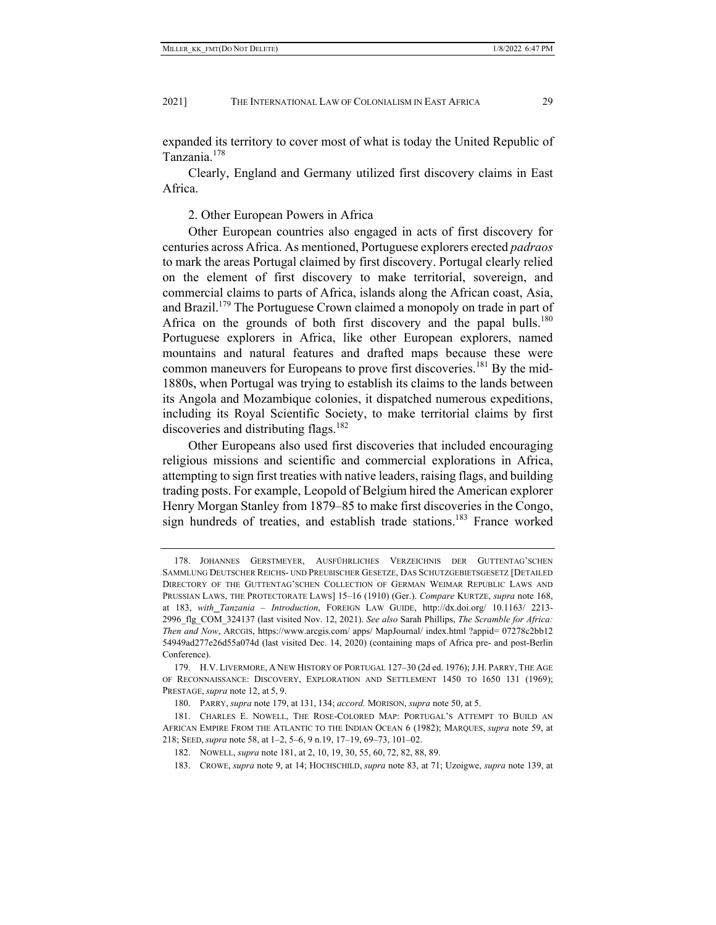expanded its territory to cover most of what is today the United Republic of Tanzania.<sup>178</sup>

Clearly, England and Germany utilized first discovery claims in East Africa.

2. Other European Powers in Africa

Other European countries also engaged in acts of first discovery for centuries across Africa. As mentioned, Portuguese explorers erected *padraos* to mark the areas Portugal claimed by first discovery. Portugal clearly relied on the element of first discovery to make territorial, sovereign, and commercial claims to parts of Africa, islands along the African coast, Asia, and Brazil.<sup>179</sup> The Portuguese Crown claimed a monopoly on trade in part of Africa on the grounds of both first discovery and the papal bulls.<sup>180</sup> Portuguese explorers in Africa, like other European explorers, named mountains and natural features and drafted maps because these were common maneuvers for Europeans to prove first discoveries.<sup>181</sup> By the mid-1880s, when Portugal was trying to establish its claims to the lands between its Angola and Mozambique colonies, it dispatched numerous expeditions, including its Royal Scientific Society, to make territorial claims by first discoveries and distributing flags.<sup>182</sup>

Other Europeans also used first discoveries that included encouraging religious missions and scientific and commercial explorations in Africa, attempting to sign first treaties with native leaders, raising flags, and building trading posts. For example, Leopold of Belgium hired the American explorer Henry Morgan Stanley from 1879–85 to make first discoveries in the Congo, sign hundreds of treaties, and establish trade stations.<sup>183</sup> France worked

 <sup>178.</sup> JOHANNES GERSTMEYER, AUSFÜHRLICHES VERZEICHNIS DER GUTTENTAG'SCHEN SAMMLUNG DEUTSCHER REICHS- UND PREUßISCHER GESETZE, DAS SCHUTZGEBIETSGESETZ [DETAILED DIRECTORY OF THE GUTTENTAG'SCHEN COLLECTION OF GERMAN WEIMAR REPUBLIC LAWS AND PRUSSIAN LAWS, THE PROTECTORATE LAWS] 15–16 (1910) (Ger.). *Compare* KURTZE, *supra* note 168, at 183, *with Tanzania – Introduction*, FOREIGN LAW GUIDE, http://dx.doi.org/ 10.1163/ 2213- 2996\_flg\_COM\_324137 (last visited Nov. 12, 2021). *See also* Sarah Phillips, *The Scramble for Africa: Then and Now*, ARCGIS, https://www.arcgis.com/ apps/ MapJournal/ index.html ?appid= 07278c2bb12 54949ad277e26d55a074d (last visited Dec. 14, 2020) (containing maps of Africa pre- and post-Berlin Conference).

 <sup>179.</sup> H.V. LIVERMORE, A NEW HISTORY OF PORTUGAL 127–30 (2d ed. 1976); J.H. PARRY, THE AGE OF RECONNAISSANCE: DISCOVERY, EXPLORATION AND SETTLEMENT 1450 TO 1650 131 (1969); PRESTAGE, *supra* note 12, at 5, 9.

 <sup>180.</sup> PARRY, *supra* note 179, at 131, 134; *accord.* MORISON, *supra* note 50, at 5.

 <sup>181.</sup> CHARLES E. NOWELL, THE ROSE-COLORED MAP: PORTUGAL'S ATTEMPT TO BUILD AN AFRICAN EMPIRE FROM THE ATLANTIC TO THE INDIAN OCEAN 6 (1982); MARQUES, *supra* note 59, at 218; SEED, *supra* note 58, at 1–2, 5–6, 9 n.19, 17–19, 69–73, 101–02.

 <sup>182.</sup> NOWELL, *supra* note 181, at 2, 10, 19, 30, 55, 60, 72, 82, 88, 89.

 <sup>183.</sup> CROWE, *supra* note 9, at 14; HOCHSCHILD, *supra* note 83, at 71; Uzoigwe, *supra* note 139, at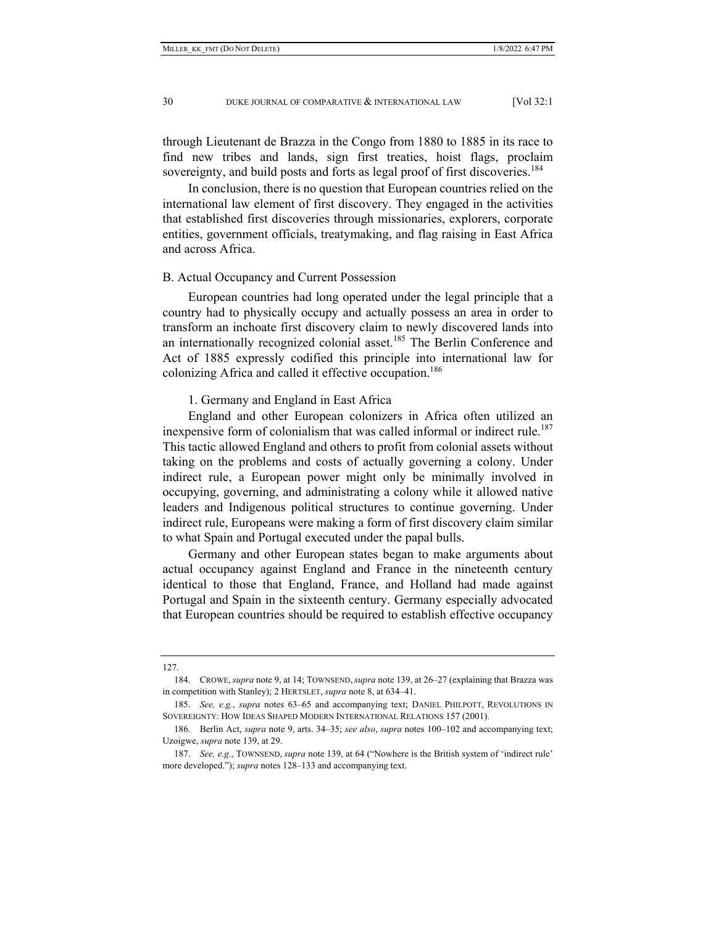through Lieutenant de Brazza in the Congo from 1880 to 1885 in its race to find new tribes and lands, sign first treaties, hoist flags, proclaim sovereignty, and build posts and forts as legal proof of first discoveries.<sup>184</sup>

In conclusion, there is no question that European countries relied on the international law element of first discovery. They engaged in the activities that established first discoveries through missionaries, explorers, corporate entities, government officials, treatymaking, and flag raising in East Africa and across Africa.

#### B. Actual Occupancy and Current Possession

European countries had long operated under the legal principle that a country had to physically occupy and actually possess an area in order to transform an inchoate first discovery claim to newly discovered lands into an internationally recognized colonial asset.<sup>185</sup> The Berlin Conference and Act of 1885 expressly codified this principle into international law for colonizing Africa and called it effective occupation.<sup>186</sup>

## 1. Germany and England in East Africa

England and other European colonizers in Africa often utilized an inexpensive form of colonialism that was called informal or indirect rule.<sup>187</sup> This tactic allowed England and others to profit from colonial assets without taking on the problems and costs of actually governing a colony. Under indirect rule, a European power might only be minimally involved in occupying, governing, and administrating a colony while it allowed native leaders and Indigenous political structures to continue governing. Under indirect rule, Europeans were making a form of first discovery claim similar to what Spain and Portugal executed under the papal bulls.

Germany and other European states began to make arguments about actual occupancy against England and France in the nineteenth century identical to those that England, France, and Holland had made against Portugal and Spain in the sixteenth century. Germany especially advocated that European countries should be required to establish effective occupancy

127.

 <sup>184.</sup> CROWE,*supra* note 9, at 14; TOWNSEND,*supra* note 139, at 26–27 (explaining that Brazza was in competition with Stanley); 2 HERTSLET, *supra* note 8, at 634–41.

 <sup>185.</sup> *See, e.g.*, *supra* notes 63–65 and accompanying text; DANIEL PHILPOTT, REVOLUTIONS IN SOVEREIGNTY: HOW IDEAS SHAPED MODERN INTERNATIONAL RELATIONS 157 (2001).

 <sup>186.</sup> Berlin Act, *supra* note 9, arts. 34–35; *see also*, *supra* notes 100–102 and accompanying text; Uzoigwe, *supra* note 139, at 29.

 <sup>187.</sup> *See, e.g.*, TOWNSEND, *supra* note 139, at 64 ("Nowhere is the British system of 'indirect rule' more developed."); *supra* notes 128–133 and accompanying text.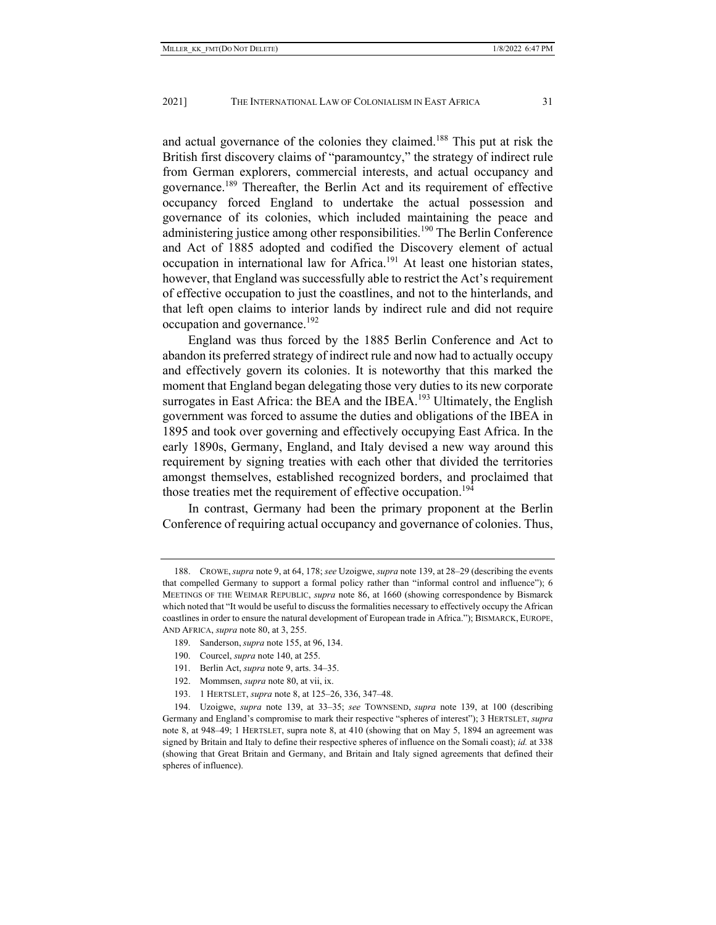and actual governance of the colonies they claimed.188 This put at risk the British first discovery claims of "paramountcy," the strategy of indirect rule from German explorers, commercial interests, and actual occupancy and governance.<sup>189</sup> Thereafter, the Berlin Act and its requirement of effective occupancy forced England to undertake the actual possession and governance of its colonies, which included maintaining the peace and administering justice among other responsibilities.<sup>190</sup> The Berlin Conference and Act of 1885 adopted and codified the Discovery element of actual occupation in international law for Africa.<sup>191</sup> At least one historian states, however, that England was successfully able to restrict the Act's requirement of effective occupation to just the coastlines, and not to the hinterlands, and that left open claims to interior lands by indirect rule and did not require occupation and governance.<sup>192</sup>

England was thus forced by the 1885 Berlin Conference and Act to abandon its preferred strategy of indirect rule and now had to actually occupy and effectively govern its colonies. It is noteworthy that this marked the moment that England began delegating those very duties to its new corporate surrogates in East Africa: the BEA and the IBEA.<sup>193</sup> Ultimately, the English government was forced to assume the duties and obligations of the IBEA in 1895 and took over governing and effectively occupying East Africa. In the early 1890s, Germany, England, and Italy devised a new way around this requirement by signing treaties with each other that divided the territories amongst themselves, established recognized borders, and proclaimed that those treaties met the requirement of effective occupation.<sup>194</sup>

In contrast, Germany had been the primary proponent at the Berlin Conference of requiring actual occupancy and governance of colonies. Thus,

- 189. Sanderson, *supra* note 155, at 96, 134.
- 190. Courcel, *supra* note 140, at 255.
- 191. Berlin Act, *supra* note 9, arts. 34–35.
- 192. Mommsen, *supra* note 80, at vii, ix.
- 193. 1 HERTSLET, *supra* note 8, at 125–26, 336, 347–48.

 <sup>188.</sup> CROWE,*supra* note 9, at 64, 178; *see* Uzoigwe, *supra* note 139, at 28–29 (describing the events that compelled Germany to support a formal policy rather than "informal control and influence"); 6 MEETINGS OF THE WEIMAR REPUBLIC, *supra* note 86, at 1660 (showing correspondence by Bismarck which noted that "It would be useful to discuss the formalities necessary to effectively occupy the African coastlines in order to ensure the natural development of European trade in Africa."); BISMARCK, EUROPE, AND AFRICA, *supra* note 80, at 3, 255.

 <sup>194.</sup> Uzoigwe, *supra* note 139, at 33–35; *see* TOWNSEND, *supra* note 139, at 100 (describing Germany and England's compromise to mark their respective "spheres of interest"); 3 HERTSLET, *supra*  note 8, at 948–49; 1 HERTSLET, supra note 8, at 410 (showing that on May 5, 1894 an agreement was signed by Britain and Italy to define their respective spheres of influence on the Somali coast); *id.* at 338 (showing that Great Britain and Germany, and Britain and Italy signed agreements that defined their spheres of influence).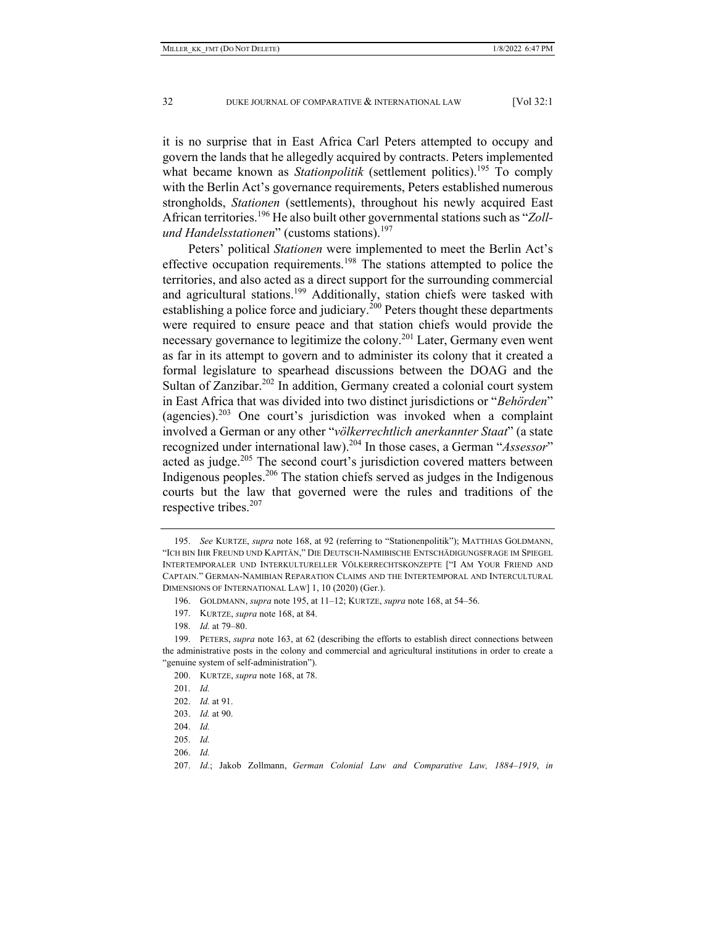it is no surprise that in East Africa Carl Peters attempted to occupy and govern the lands that he allegedly acquired by contracts. Peters implemented what became known as *Stationpolitik* (settlement politics).<sup>195</sup> To comply with the Berlin Act's governance requirements, Peters established numerous strongholds, *Stationen* (settlements), throughout his newly acquired East African territories.196 He also built other governmental stations such as "*Zollund Handelsstationen*" (customs stations).<sup>197</sup>

Peters' political *Stationen* were implemented to meet the Berlin Act's effective occupation requirements.<sup>198</sup> The stations attempted to police the territories, and also acted as a direct support for the surrounding commercial and agricultural stations.<sup>199</sup> Additionally, station chiefs were tasked with establishing a police force and judiciary.<sup>200</sup> Peters thought these departments were required to ensure peace and that station chiefs would provide the necessary governance to legitimize the colony.201 Later, Germany even went as far in its attempt to govern and to administer its colony that it created a formal legislature to spearhead discussions between the DOAG and the Sultan of Zanzibar.<sup>202</sup> In addition, Germany created a colonial court system in East Africa that was divided into two distinct jurisdictions or "*Behörden*" (agencies).203 One court's jurisdiction was invoked when a complaint involved a German or any other "*völkerrechtlich anerkannter Staat*" (a state recognized under international law).204 In those cases, a German "*Assessor*" acted as judge.<sup>205</sup> The second court's jurisdiction covered matters between Indigenous peoples.206 The station chiefs served as judges in the Indigenous courts but the law that governed were the rules and traditions of the respective tribes.<sup>207</sup>

- 204. *Id.*
- 205. *Id.*
- 206. *Id.*

 <sup>195.</sup> *See* KURTZE, *supra* note 168, at 92 (referring to "Stationenpolitik"); MATTHIAS GOLDMANN, "ICH BIN IHR FREUND UND KAPITÄN," DIE DEUTSCH-NAMIBISCHE ENTSCHÄDIGUNGSFRAGE IM SPIEGEL INTERTEMPORALER UND INTERKULTURELLER VÖLKERRECHTSKONZEPTE ["I AM YOUR FRIEND AND CAPTAIN." GERMAN-NAMIBIAN REPARATION CLAIMS AND THE INTERTEMPORAL AND INTERCULTURAL DIMENSIONS OF INTERNATIONAL LAW] 1, 10 (2020) (Ger.).

 <sup>196.</sup> GOLDMANN, *supra* note 195, at 11–12; KURTZE, *supra* note 168, at 54–56.

 <sup>197.</sup> KURTZE, *supra* note 168, at 84.

 <sup>198.</sup> *Id.* at 79–80.

 <sup>199.</sup> PETERS, *supra* note 163, at 62 (describing the efforts to establish direct connections between the administrative posts in the colony and commercial and agricultural institutions in order to create a "genuine system of self-administration").

 <sup>200.</sup> KURTZE, *supra* note 168, at 78.

 <sup>201.</sup> *Id.*

 <sup>202.</sup> *Id.* at 91.

 <sup>203.</sup> *Id.* at 90.

 <sup>207.</sup> *Id.*; Jakob Zollmann, *German Colonial Law and Comparative Law, 1884–1919*, *in*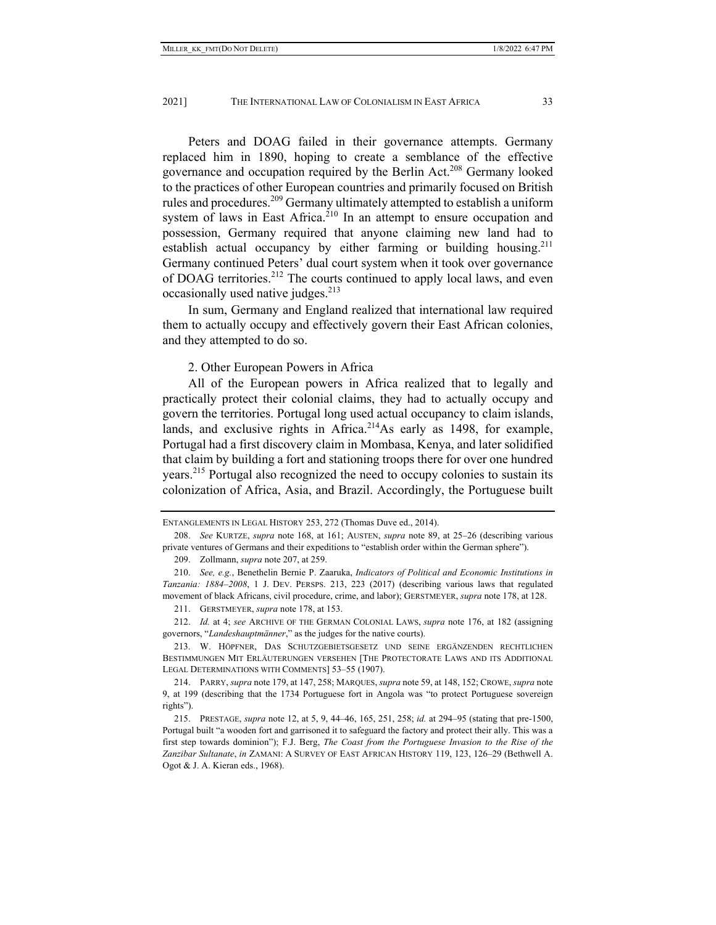Peters and DOAG failed in their governance attempts. Germany replaced him in 1890, hoping to create a semblance of the effective governance and occupation required by the Berlin Act.<sup>208</sup> Germany looked to the practices of other European countries and primarily focused on British rules and procedures.<sup>209</sup> Germany ultimately attempted to establish a uniform system of laws in East Africa.<sup>210</sup> In an attempt to ensure occupation and possession, Germany required that anyone claiming new land had to establish actual occupancy by either farming or building housing.<sup>211</sup> Germany continued Peters' dual court system when it took over governance of DOAG territories.<sup>212</sup> The courts continued to apply local laws, and even occasionally used native judges. $213$ 

In sum, Germany and England realized that international law required them to actually occupy and effectively govern their East African colonies, and they attempted to do so.

### 2. Other European Powers in Africa

All of the European powers in Africa realized that to legally and practically protect their colonial claims, they had to actually occupy and govern the territories. Portugal long used actual occupancy to claim islands, lands, and exclusive rights in Africa.<sup>214</sup>As early as 1498, for example, Portugal had a first discovery claim in Mombasa, Kenya, and later solidified that claim by building a fort and stationing troops there for over one hundred years.215 Portugal also recognized the need to occupy colonies to sustain its colonization of Africa, Asia, and Brazil. Accordingly, the Portuguese built

 212. *Id.* at 4; *see* ARCHIVE OF THE GERMAN COLONIAL LAWS, *supra* note 176, at 182 (assigning governors, "*Landeshauptmänner*," as the judges for the native courts).

 213. W. HÖPFNER, DAS SCHUTZGEBIETSGESETZ UND SEINE ERGÄNZENDEN RECHTLICHEN BESTIMMUNGEN MIT ERLÄUTERUNGEN VERSEHEN [THE PROTECTORATE LAWS AND ITS ADDITIONAL LEGAL DETERMINATIONS WITH COMMENTS] 53–55 (1907).

 214. PARRY, *supra* note 179, at 147, 258; MARQUES, *supra* note 59, at 148, 152; CROWE, *supra* note 9, at 199 (describing that the 1734 Portuguese fort in Angola was "to protect Portuguese sovereign rights").

ENTANGLEMENTS IN LEGAL HISTORY 253, 272 (Thomas Duve ed., 2014).

 <sup>208.</sup> *See* KURTZE, *supra* note 168, at 161; AUSTEN, *supra* note 89, at 25–26 (describing various private ventures of Germans and their expeditions to "establish order within the German sphere").

 <sup>209.</sup> Zollmann, *supra* note 207, at 259.

 <sup>210.</sup> *See, e.g.*, Benethelin Bernie P. Zaaruka, *Indicators of Political and Economic Institutions in Tanzania: 1884–2008*, 1 J. DEV. PERSPS. 213, 223 (2017) (describing various laws that regulated movement of black Africans, civil procedure, crime, and labor); GERSTMEYER, *supra* note 178, at 128.

 <sup>211.</sup> GERSTMEYER, *supra* note 178, at 153.

 <sup>215.</sup> PRESTAGE, *supra* note 12, at 5, 9, 44–46, 165, 251, 258; *id.* at 294–95 (stating that pre-1500, Portugal built "a wooden fort and garrisoned it to safeguard the factory and protect their ally. This was a first step towards dominion"); F.J. Berg, *The Coast from the Portuguese Invasion to the Rise of the Zanzibar Sultanate*, *in* ZAMANI: A SURVEY OF EAST AFRICAN HISTORY 119, 123, 126–29 (Bethwell A. Ogot & J. A. Kieran eds., 1968).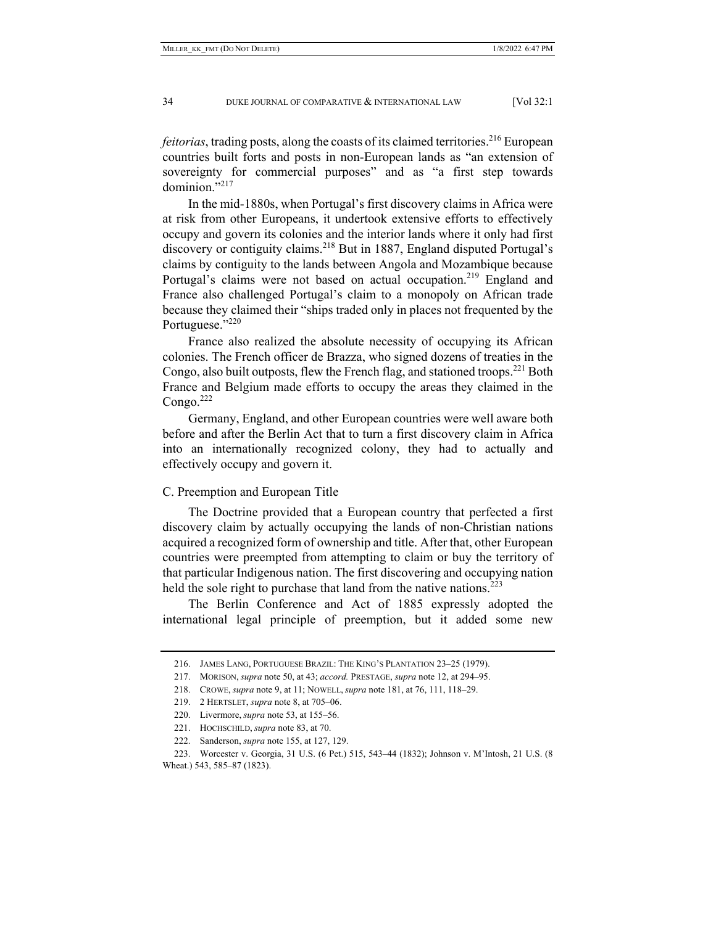*feitorias*, trading posts, along the coasts of its claimed territories.<sup>216</sup> European countries built forts and posts in non-European lands as "an extension of sovereignty for commercial purposes" and as "a first step towards  $dominion. "21"$ 

In the mid-1880s, when Portugal's first discovery claims in Africa were at risk from other Europeans, it undertook extensive efforts to effectively occupy and govern its colonies and the interior lands where it only had first discovery or contiguity claims.<sup>218</sup> But in 1887, England disputed Portugal's claims by contiguity to the lands between Angola and Mozambique because Portugal's claims were not based on actual occupation.<sup>219</sup> England and France also challenged Portugal's claim to a monopoly on African trade because they claimed their "ships traded only in places not frequented by the Portuguese."<sup>220</sup>

France also realized the absolute necessity of occupying its African colonies. The French officer de Brazza, who signed dozens of treaties in the Congo, also built outposts, flew the French flag, and stationed troops.<sup>221</sup> Both France and Belgium made efforts to occupy the areas they claimed in the Congo. $222$ 

Germany, England, and other European countries were well aware both before and after the Berlin Act that to turn a first discovery claim in Africa into an internationally recognized colony, they had to actually and effectively occupy and govern it.

## C. Preemption and European Title

The Doctrine provided that a European country that perfected a first discovery claim by actually occupying the lands of non-Christian nations acquired a recognized form of ownership and title. After that, other European countries were preempted from attempting to claim or buy the territory of that particular Indigenous nation. The first discovering and occupying nation held the sole right to purchase that land from the native nations.<sup>223</sup>

The Berlin Conference and Act of 1885 expressly adopted the international legal principle of preemption, but it added some new

 <sup>216.</sup> JAMES LANG, PORTUGUESE BRAZIL: THE KING'S PLANTATION 23–25 (1979).

 <sup>217.</sup> MORISON, *supra* note 50, at 43; *accord.* PRESTAGE, *supra* note 12, at 294–95.

 <sup>218.</sup> CROWE, *supra* note 9, at 11; NOWELL, *supra* note 181, at 76, 111, 118–29.

 <sup>219. 2</sup> HERTSLET, *supra* note 8, at 705–06.

 <sup>220.</sup> Livermore, *supra* note 53, at 155–56.

 <sup>221.</sup> HOCHSCHILD, *supra* note 83, at 70.

 <sup>222.</sup> Sanderson, *supra* note 155, at 127, 129.

 <sup>223.</sup> Worcester v. Georgia, 31 U.S. (6 Pet.) 515, 543–44 (1832); Johnson v. M'Intosh, 21 U.S. (8 Wheat.) 543, 585–87 (1823).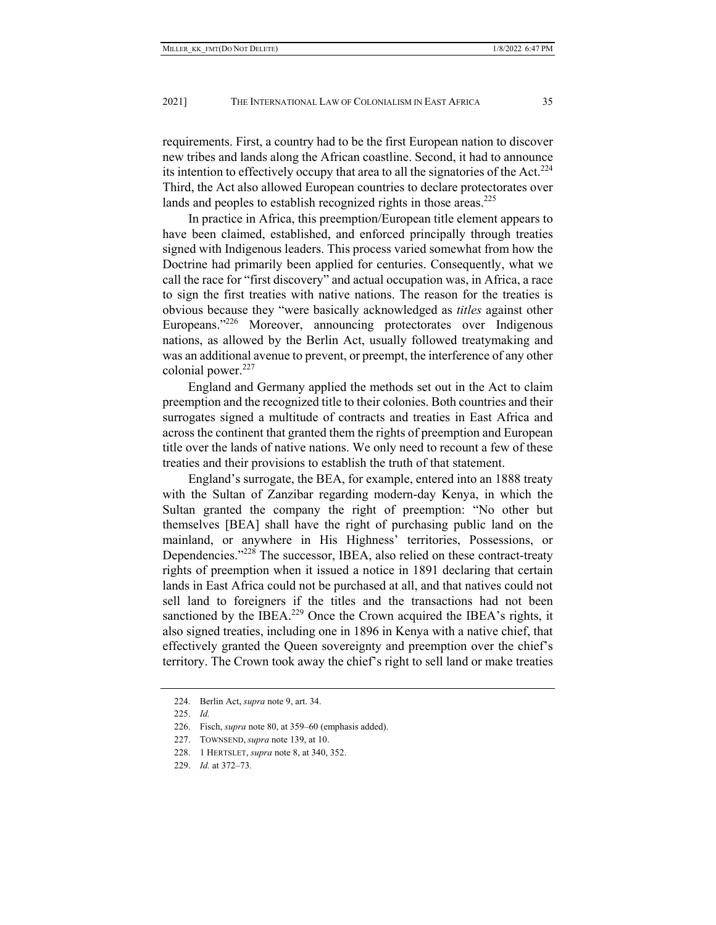requirements. First, a country had to be the first European nation to discover new tribes and lands along the African coastline. Second, it had to announce its intention to effectively occupy that area to all the signatories of the Act. $^{224}$ Third, the Act also allowed European countries to declare protectorates over lands and peoples to establish recognized rights in those areas.<sup>225</sup>

In practice in Africa, this preemption/European title element appears to have been claimed, established, and enforced principally through treaties signed with Indigenous leaders. This process varied somewhat from how the Doctrine had primarily been applied for centuries. Consequently, what we call the race for "first discovery" and actual occupation was, in Africa, a race to sign the first treaties with native nations. The reason for the treaties is obvious because they "were basically acknowledged as *titles* against other Europeans."<sup>226</sup> Moreover, announcing protectorates over Indigenous nations, as allowed by the Berlin Act, usually followed treatymaking and was an additional avenue to prevent, or preempt, the interference of any other colonial power. $227$ 

England and Germany applied the methods set out in the Act to claim preemption and the recognized title to their colonies. Both countries and their surrogates signed a multitude of contracts and treaties in East Africa and across the continent that granted them the rights of preemption and European title over the lands of native nations. We only need to recount a few of these treaties and their provisions to establish the truth of that statement.

England's surrogate, the BEA, for example, entered into an 1888 treaty with the Sultan of Zanzibar regarding modern-day Kenya, in which the Sultan granted the company the right of preemption: "No other but themselves [BEA] shall have the right of purchasing public land on the mainland, or anywhere in His Highness' territories, Possessions, or Dependencies."228 The successor, IBEA, also relied on these contract-treaty rights of preemption when it issued a notice in 1891 declaring that certain lands in East Africa could not be purchased at all, and that natives could not sell land to foreigners if the titles and the transactions had not been sanctioned by the IBEA.<sup>229</sup> Once the Crown acquired the IBEA's rights, it also signed treaties, including one in 1896 in Kenya with a native chief, that effectively granted the Queen sovereignty and preemption over the chief's territory. The Crown took away the chief's right to sell land or make treaties

 <sup>224.</sup> Berlin Act, *supra* note 9, art. 34.

 <sup>225.</sup> *Id.*

 <sup>226.</sup> Fisch, *supra* note 80, at 359–60 (emphasis added).

 <sup>227.</sup> TOWNSEND, *supra* note 139, at 10.

 <sup>228. 1</sup> HERTSLET, *supra* note 8, at 340, 352.

 <sup>229.</sup> *Id.* at 372–73.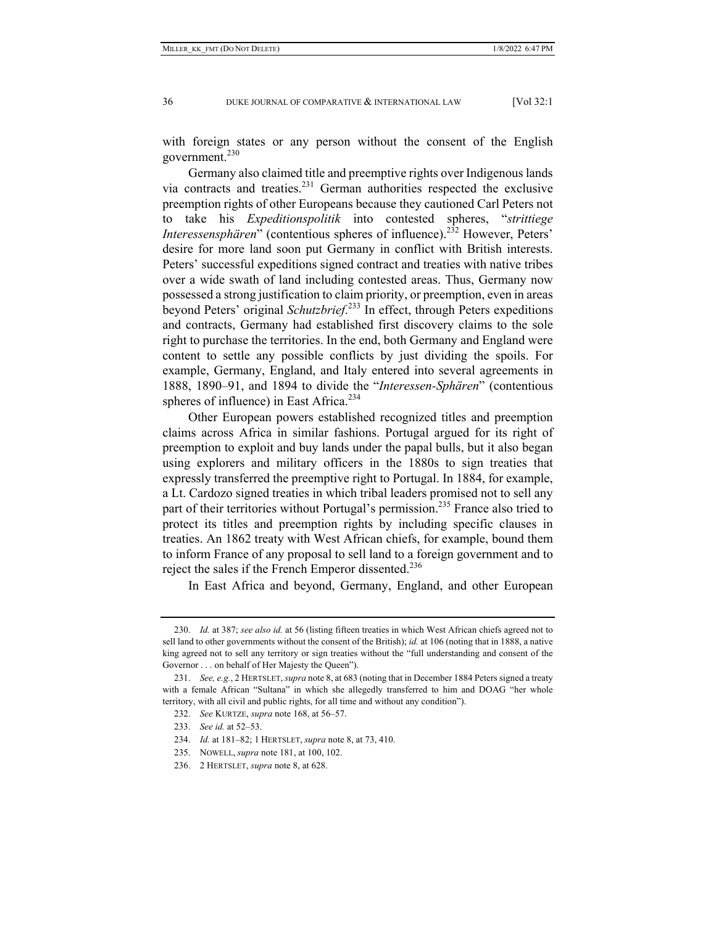with foreign states or any person without the consent of the English government.<sup>230</sup>

Germany also claimed title and preemptive rights over Indigenous lands via contracts and treaties.231 German authorities respected the exclusive preemption rights of other Europeans because they cautioned Carl Peters not to take his *Expeditionspolitik* into contested spheres, "*strittiege Interessensphären*" (contentious spheres of influence).<sup>232</sup> However, Peters' desire for more land soon put Germany in conflict with British interests. Peters' successful expeditions signed contract and treaties with native tribes over a wide swath of land including contested areas. Thus, Germany now possessed a strong justification to claim priority, or preemption, even in areas beyond Peters' original *Schutzbrief*. 233 In effect, through Peters expeditions and contracts, Germany had established first discovery claims to the sole right to purchase the territories. In the end, both Germany and England were content to settle any possible conflicts by just dividing the spoils. For example, Germany, England, and Italy entered into several agreements in 1888, 1890–91, and 1894 to divide the "*Interessen-Sphären*" (contentious spheres of influence) in East Africa.<sup>234</sup>

Other European powers established recognized titles and preemption claims across Africa in similar fashions. Portugal argued for its right of preemption to exploit and buy lands under the papal bulls, but it also began using explorers and military officers in the 1880s to sign treaties that expressly transferred the preemptive right to Portugal. In 1884, for example, a Lt. Cardozo signed treaties in which tribal leaders promised not to sell any part of their territories without Portugal's permission.<sup>235</sup> France also tried to protect its titles and preemption rights by including specific clauses in treaties. An 1862 treaty with West African chiefs, for example, bound them to inform France of any proposal to sell land to a foreign government and to reject the sales if the French Emperor dissented.<sup>236</sup>

In East Africa and beyond, Germany, England, and other European

 <sup>230.</sup> *Id.* at 387; *see also id.* at 56 (listing fifteen treaties in which West African chiefs agreed not to sell land to other governments without the consent of the British); *id.* at 106 (noting that in 1888, a native king agreed not to sell any territory or sign treaties without the "full understanding and consent of the Governor . . . on behalf of Her Majesty the Queen").

 <sup>231.</sup> *See, e.g.*, 2 HERTSLET, *supra* note 8, at 683 (noting that in December 1884 Peters signed a treaty with a female African "Sultana" in which she allegedly transferred to him and DOAG "her whole territory, with all civil and public rights, for all time and without any condition").

 <sup>232.</sup> *See* KURTZE, *supra* note 168, at 56–57.

 <sup>233.</sup> *See id.* at 52–53.

 <sup>234.</sup> *Id.* at 181–82; 1 HERTSLET, *supra* note 8, at 73, 410.

 <sup>235.</sup> NOWELL, *supra* note 181, at 100, 102.

 <sup>236. 2</sup> HERTSLET, *supra* note 8, at 628.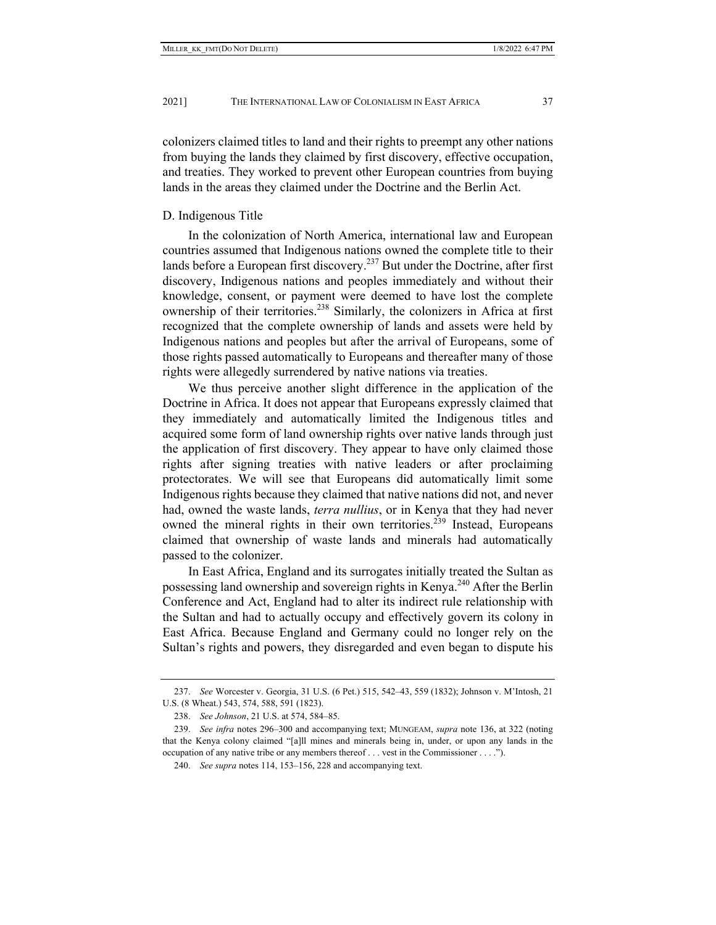colonizers claimed titles to land and their rights to preempt any other nations from buying the lands they claimed by first discovery, effective occupation, and treaties. They worked to prevent other European countries from buying lands in the areas they claimed under the Doctrine and the Berlin Act.

## D. Indigenous Title

In the colonization of North America, international law and European countries assumed that Indigenous nations owned the complete title to their lands before a European first discovery.237 But under the Doctrine, after first discovery, Indigenous nations and peoples immediately and without their knowledge, consent, or payment were deemed to have lost the complete ownership of their territories.<sup>238</sup> Similarly, the colonizers in Africa at first recognized that the complete ownership of lands and assets were held by Indigenous nations and peoples but after the arrival of Europeans, some of those rights passed automatically to Europeans and thereafter many of those rights were allegedly surrendered by native nations via treaties.

We thus perceive another slight difference in the application of the Doctrine in Africa. It does not appear that Europeans expressly claimed that they immediately and automatically limited the Indigenous titles and acquired some form of land ownership rights over native lands through just the application of first discovery. They appear to have only claimed those rights after signing treaties with native leaders or after proclaiming protectorates. We will see that Europeans did automatically limit some Indigenous rights because they claimed that native nations did not, and never had, owned the waste lands, *terra nullius*, or in Kenya that they had never owned the mineral rights in their own territories.<sup>239</sup> Instead, Europeans claimed that ownership of waste lands and minerals had automatically passed to the colonizer.

In East Africa, England and its surrogates initially treated the Sultan as possessing land ownership and sovereign rights in Kenya.240 After the Berlin Conference and Act, England had to alter its indirect rule relationship with the Sultan and had to actually occupy and effectively govern its colony in East Africa. Because England and Germany could no longer rely on the Sultan's rights and powers, they disregarded and even began to dispute his

 <sup>237.</sup> *See* Worcester v. Georgia, 31 U.S. (6 Pet.) 515, 542–43, 559 (1832); Johnson v. M'Intosh, 21 U.S. (8 Wheat.) 543, 574, 588, 591 (1823).

 <sup>238.</sup> *See Johnson*, 21 U.S. at 574, 584–85.

 <sup>239.</sup> *See infra* notes 296–300 and accompanying text; MUNGEAM, *supra* note 136, at 322 (noting that the Kenya colony claimed "[a]ll mines and minerals being in, under, or upon any lands in the occupation of any native tribe or any members thereof . . . vest in the Commissioner . . . .").

 <sup>240.</sup> *See supra* notes 114, 153–156, 228 and accompanying text.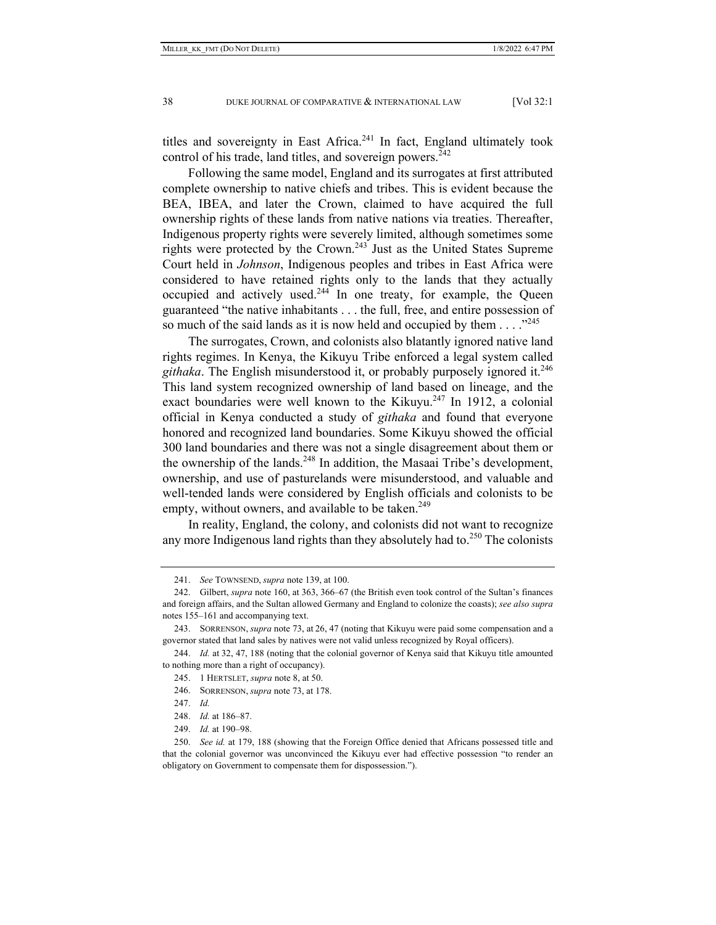titles and sovereignty in East Africa.<sup>241</sup> In fact, England ultimately took control of his trade, land titles, and sovereign powers.<sup>242</sup>

Following the same model, England and its surrogates at first attributed complete ownership to native chiefs and tribes. This is evident because the BEA, IBEA, and later the Crown, claimed to have acquired the full ownership rights of these lands from native nations via treaties. Thereafter, Indigenous property rights were severely limited, although sometimes some rights were protected by the Crown.243 Just as the United States Supreme Court held in *Johnson*, Indigenous peoples and tribes in East Africa were considered to have retained rights only to the lands that they actually occupied and actively used.244 In one treaty, for example, the Queen guaranteed "the native inhabitants . . . the full, free, and entire possession of so much of the said lands as it is now held and occupied by them  $\dots$ <sup>245</sup>

The surrogates, Crown, and colonists also blatantly ignored native land rights regimes. In Kenya, the Kikuyu Tribe enforced a legal system called *githaka*. The English misunderstood it, or probably purposely ignored it.246 This land system recognized ownership of land based on lineage, and the exact boundaries were well known to the Kikuyu.<sup>247</sup> In 1912, a colonial official in Kenya conducted a study of *githaka* and found that everyone honored and recognized land boundaries. Some Kikuyu showed the official 300 land boundaries and there was not a single disagreement about them or the ownership of the lands.<sup>248</sup> In addition, the Masaai Tribe's development, ownership, and use of pasturelands were misunderstood, and valuable and well-tended lands were considered by English officials and colonists to be empty, without owners, and available to be taken.<sup>249</sup>

In reality, England, the colony, and colonists did not want to recognize any more Indigenous land rights than they absolutely had to. $^{250}$  The colonists

 <sup>241.</sup> *See* TOWNSEND, *supra* note 139, at 100.

 <sup>242.</sup> Gilbert, *supra* note 160, at 363, 366–67 (the British even took control of the Sultan's finances and foreign affairs, and the Sultan allowed Germany and England to colonize the coasts); *see also supra* notes 155–161 and accompanying text.

 <sup>243.</sup> SORRENSON, *supra* note 73, at 26, 47 (noting that Kikuyu were paid some compensation and a governor stated that land sales by natives were not valid unless recognized by Royal officers).

 <sup>244.</sup> *Id.* at 32, 47, 188 (noting that the colonial governor of Kenya said that Kikuyu title amounted to nothing more than a right of occupancy).

 <sup>245. 1</sup> HERTSLET, *supra* note 8, at 50.

 <sup>246.</sup> SORRENSON, *supra* note 73, at 178.

 <sup>247.</sup> *Id.*

 <sup>248.</sup> *Id.* at 186–87.

 <sup>249.</sup> *Id.* at 190–98.

 <sup>250.</sup> *See id.* at 179, 188 (showing that the Foreign Office denied that Africans possessed title and that the colonial governor was unconvinced the Kikuyu ever had effective possession "to render an obligatory on Government to compensate them for dispossession.").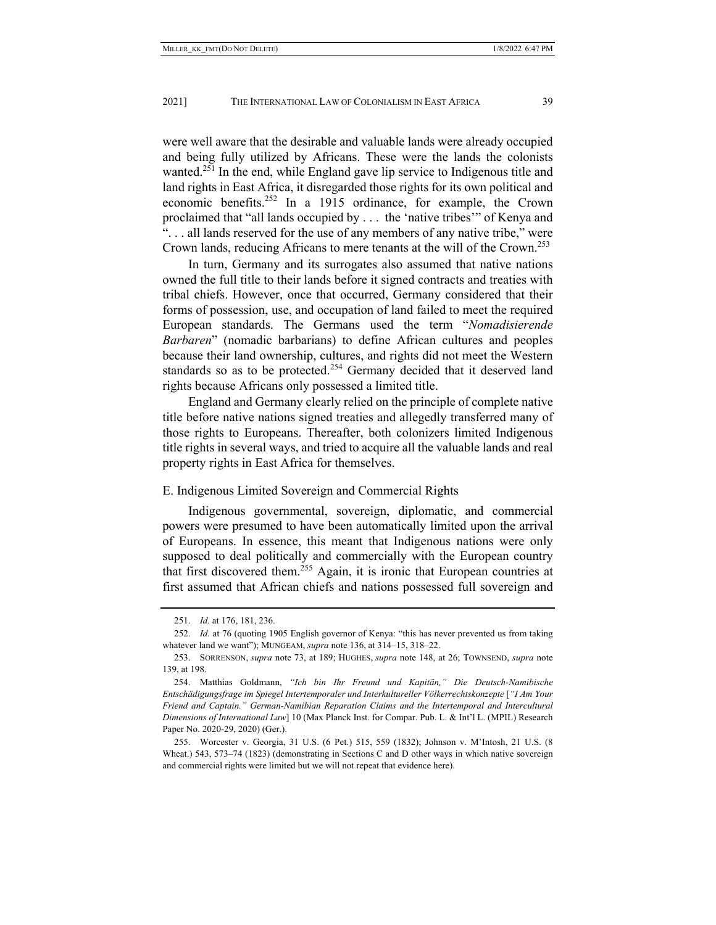were well aware that the desirable and valuable lands were already occupied and being fully utilized by Africans. These were the lands the colonists wanted.<sup>251</sup> In the end, while England gave lip service to Indigenous title and land rights in East Africa, it disregarded those rights for its own political and economic benefits.<sup>252</sup> In a 1915 ordinance, for example, the Crown proclaimed that "all lands occupied by . . . the 'native tribes'" of Kenya and ". . . all lands reserved for the use of any members of any native tribe," were Crown lands, reducing Africans to mere tenants at the will of the Crown.<sup>253</sup>

In turn, Germany and its surrogates also assumed that native nations owned the full title to their lands before it signed contracts and treaties with tribal chiefs. However, once that occurred, Germany considered that their forms of possession, use, and occupation of land failed to meet the required European standards. The Germans used the term "*Nomadisierende Barbaren*" (nomadic barbarians) to define African cultures and peoples because their land ownership, cultures, and rights did not meet the Western standards so as to be protected.<sup>254</sup> Germany decided that it deserved land rights because Africans only possessed a limited title.

England and Germany clearly relied on the principle of complete native title before native nations signed treaties and allegedly transferred many of those rights to Europeans. Thereafter, both colonizers limited Indigenous title rights in several ways, and tried to acquire all the valuable lands and real property rights in East Africa for themselves.

## E. Indigenous Limited Sovereign and Commercial Rights

Indigenous governmental, sovereign, diplomatic, and commercial powers were presumed to have been automatically limited upon the arrival of Europeans. In essence, this meant that Indigenous nations were only supposed to deal politically and commercially with the European country that first discovered them.255 Again, it is ironic that European countries at first assumed that African chiefs and nations possessed full sovereign and

 <sup>251.</sup> *Id.* at 176, 181, 236.

 <sup>252.</sup> *Id.* at 76 (quoting 1905 English governor of Kenya: "this has never prevented us from taking whatever land we want"); MUNGEAM, *supra* note 136, at 314–15, 318–22.

 <sup>253.</sup> SORRENSON, *supra* note 73, at 189; HUGHES, *supra* note 148, at 26; TOWNSEND, *supra* note 139, at 198.

 <sup>254.</sup> Matthias Goldmann, *"Ich bin Ihr Freund und Kapitän," Die Deutsch-Namibische Entschädigungsfrage im Spiegel Intertemporaler und Interkultureller Völkerrechtskonzepte* [*"I Am Your Friend and Captain." German-Namibian Reparation Claims and the Intertemporal and Intercultural Dimensions of International Law*] 10 (Max Planck Inst. for Compar. Pub. L. & Int'l L. (MPIL) Research Paper No. 2020-29, 2020) (Ger.).

 <sup>255.</sup> Worcester v. Georgia, 31 U.S. (6 Pet.) 515, 559 (1832); Johnson v. M'Intosh, 21 U.S. (8 Wheat.) 543, 573–74 (1823) (demonstrating in Sections C and D other ways in which native sovereign and commercial rights were limited but we will not repeat that evidence here).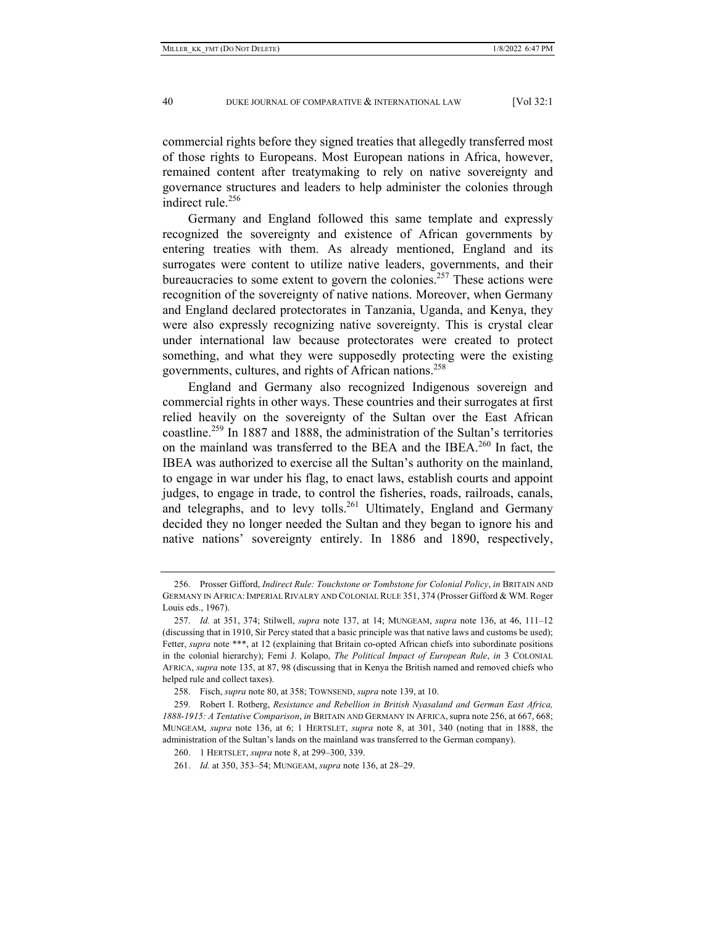commercial rights before they signed treaties that allegedly transferred most of those rights to Europeans. Most European nations in Africa, however, remained content after treatymaking to rely on native sovereignty and governance structures and leaders to help administer the colonies through indirect rule. $256$ 

Germany and England followed this same template and expressly recognized the sovereignty and existence of African governments by entering treaties with them. As already mentioned, England and its surrogates were content to utilize native leaders, governments, and their bureaucracies to some extent to govern the colonies.<sup>257</sup> These actions were recognition of the sovereignty of native nations. Moreover, when Germany and England declared protectorates in Tanzania, Uganda, and Kenya, they were also expressly recognizing native sovereignty. This is crystal clear under international law because protectorates were created to protect something, and what they were supposedly protecting were the existing governments, cultures, and rights of African nations.<sup>258</sup>

England and Germany also recognized Indigenous sovereign and commercial rights in other ways. These countries and their surrogates at first relied heavily on the sovereignty of the Sultan over the East African coastline.<sup>259</sup> In 1887 and 1888, the administration of the Sultan's territories on the mainland was transferred to the BEA and the IBEA.<sup>260</sup> In fact, the IBEA was authorized to exercise all the Sultan's authority on the mainland, to engage in war under his flag, to enact laws, establish courts and appoint judges, to engage in trade, to control the fisheries, roads, railroads, canals, and telegraphs, and to levy tolls.<sup>261</sup> Ultimately, England and Germany decided they no longer needed the Sultan and they began to ignore his and native nations' sovereignty entirely. In 1886 and 1890, respectively,

 <sup>256.</sup> Prosser Gifford, *Indirect Rule: Touchstone or Tombstone for Colonial Policy*, *in* BRITAIN AND GERMANY IN AFRICA:IMPERIAL RIVALRY AND COLONIAL RULE 351, 374 (Prosser Gifford & WM. Roger Louis eds., 1967).

 <sup>257.</sup> *Id.* at 351, 374; Stilwell, *supra* note 137, at 14; MUNGEAM, *supra* note 136, at 46, 111–12 (discussing that in 1910, Sir Percy stated that a basic principle was that native laws and customs be used); Fetter, *supra* note \*\*\*, at 12 (explaining that Britain co-opted African chiefs into subordinate positions in the colonial hierarchy); Femi J. Kolapo, *The Political Impact of European Rule*, *in* 3 COLONIAL AFRICA, *supra* note 135, at 87, 98 (discussing that in Kenya the British named and removed chiefs who helped rule and collect taxes).

 <sup>258.</sup> Fisch, *supra* note 80, at 358; TOWNSEND, *supra* note 139, at 10.

 <sup>259.</sup> Robert I. Rotberg, *Resistance and Rebellion in British Nyasaland and German East Africa,*  1888-1915: A Tentative Comparison, in BRITAIN AND GERMANY IN AFRICA, supra note 256, at 667, 668; MUNGEAM, *supra* note 136, at 6; 1 HERTSLET, *supra* note 8, at 301, 340 (noting that in 1888, the administration of the Sultan's lands on the mainland was transferred to the German company).

 <sup>260. 1</sup> HERTSLET, *supra* note 8, at 299–300, 339.

 <sup>261.</sup> *Id.* at 350, 353–54; MUNGEAM, *supra* note 136, at 28–29.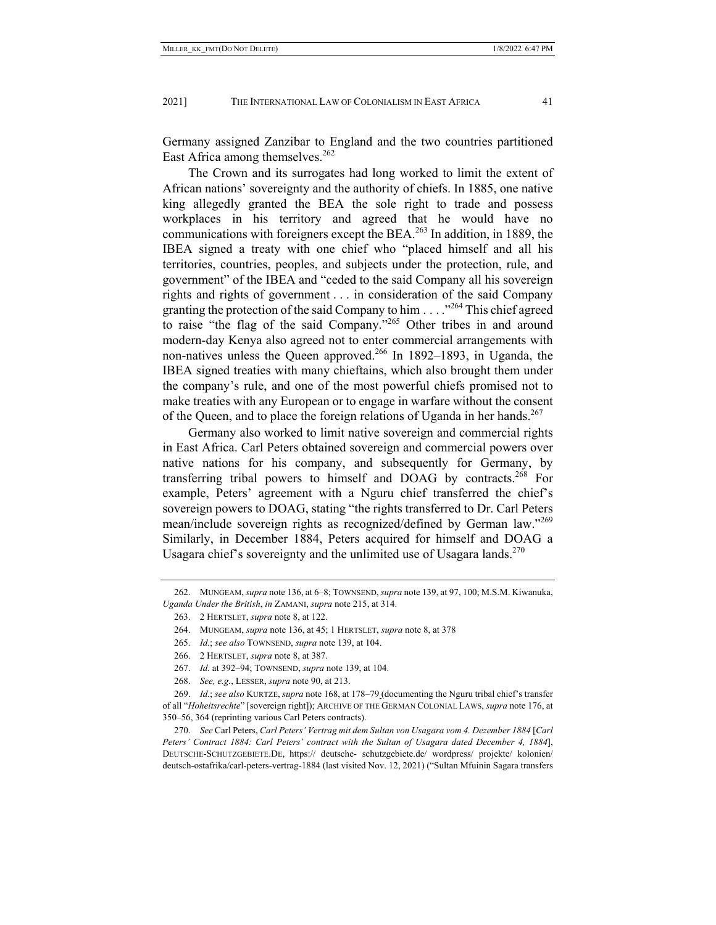Germany assigned Zanzibar to England and the two countries partitioned East Africa among themselves. $262$ 

The Crown and its surrogates had long worked to limit the extent of African nations' sovereignty and the authority of chiefs. In 1885, one native king allegedly granted the BEA the sole right to trade and possess workplaces in his territory and agreed that he would have no communications with foreigners except the BEA. $^{263}$  In addition, in 1889, the IBEA signed a treaty with one chief who "placed himself and all his territories, countries, peoples, and subjects under the protection, rule, and government" of the IBEA and "ceded to the said Company all his sovereign rights and rights of government . . . in consideration of the said Company granting the protection of the said Company to him  $\ldots$  . . . <sup>264</sup> This chief agreed to raise "the flag of the said Company."265 Other tribes in and around modern-day Kenya also agreed not to enter commercial arrangements with non-natives unless the Queen approved.<sup>266</sup> In 1892–1893, in Uganda, the IBEA signed treaties with many chieftains, which also brought them under the company's rule, and one of the most powerful chiefs promised not to make treaties with any European or to engage in warfare without the consent of the Queen, and to place the foreign relations of Uganda in her hands.<sup>267</sup>

Germany also worked to limit native sovereign and commercial rights in East Africa. Carl Peters obtained sovereign and commercial powers over native nations for his company, and subsequently for Germany, by transferring tribal powers to himself and DOAG by contracts.<sup>268</sup> For example, Peters' agreement with a Nguru chief transferred the chief's sovereign powers to DOAG, stating "the rights transferred to Dr. Carl Peters mean/include sovereign rights as recognized/defined by German law."<sup>269</sup> Similarly, in December 1884, Peters acquired for himself and DOAG a Usagara chief's sovereignty and the unlimited use of Usagara lands.<sup>270</sup>

268. *See, e.g.*, LESSER, *supra* note 90, at 213.

 <sup>262.</sup> MUNGEAM, *supra* note 136, at 6–8; TOWNSEND, *supra* note 139, at 97, 100; M.S.M. Kiwanuka, *Uganda Under the British*, *in* ZAMANI, *supra* note 215, at 314.

 <sup>263. 2</sup> HERTSLET, *supra* note 8, at 122.

 <sup>264.</sup> MUNGEAM, *supra* note 136, at 45; 1 HERTSLET, *supra* note 8, at 378

 <sup>265.</sup> *Id.*; *see also* TOWNSEND, *supra* note 139, at 104.

 <sup>266. 2</sup> HERTSLET, *supra* note 8, at 387.

 <sup>267.</sup> *Id.* at 392–94; TOWNSEND, *supra* note 139, at 104.

 <sup>269.</sup> *Id.*; *see also* KURTZE, *supra* note 168, at 178–79 (documenting the Nguru tribal chief's transfer of all "*Hoheitsrechte*" [sovereign right]); ARCHIVE OF THE GERMAN COLONIAL LAWS, *supra* note 176, at 350–56, 364 (reprinting various Carl Peters contracts).

 <sup>270.</sup> *See* Carl Peters, *Carl Peters' Vertrag mit dem Sultan von Usagara vom 4. Dezember 1884* [*Carl Peters' Contract 1884: Carl Peters' contract with the Sultan of Usagara dated December 4, 1884*], DEUTSCHE-SCHUTZGEBIETE.DE, https:// deutsche- schutzgebiete.de/ wordpress/ projekte/ kolonien/ deutsch-ostafrika/carl-peters-vertrag-1884 (last visited Nov. 12, 2021) ("Sultan Mfuinin Sagara transfers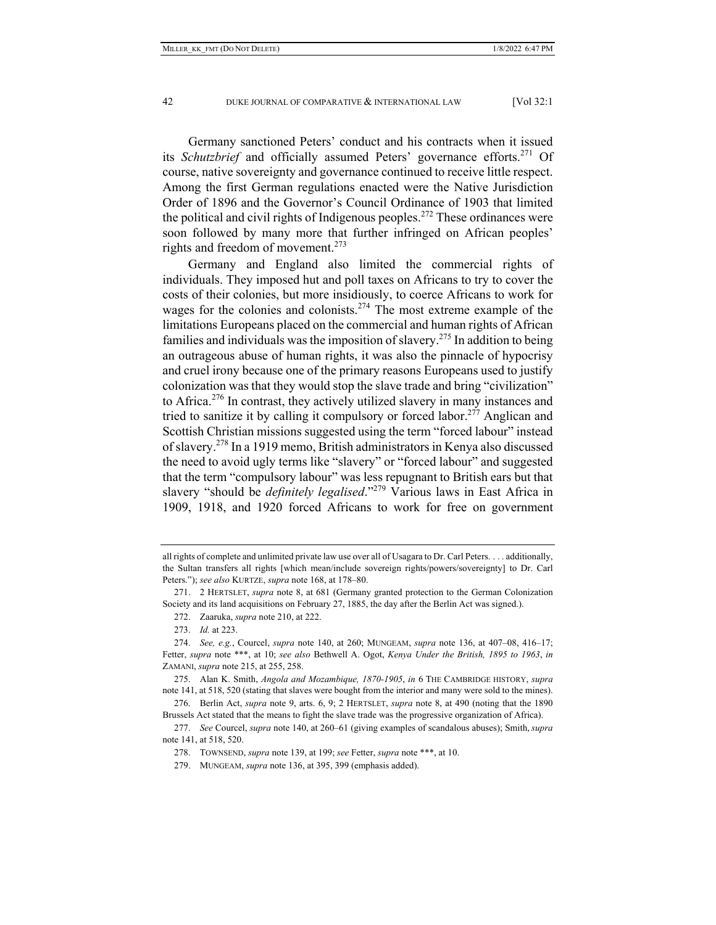Germany sanctioned Peters' conduct and his contracts when it issued its *Schutzbrief* and officially assumed Peters' governance efforts.<sup>271</sup> Of course, native sovereignty and governance continued to receive little respect. Among the first German regulations enacted were the Native Jurisdiction Order of 1896 and the Governor's Council Ordinance of 1903 that limited the political and civil rights of Indigenous peoples.<sup>272</sup> These ordinances were soon followed by many more that further infringed on African peoples' rights and freedom of movement.<sup>273</sup>

Germany and England also limited the commercial rights of individuals. They imposed hut and poll taxes on Africans to try to cover the costs of their colonies, but more insidiously, to coerce Africans to work for wages for the colonies and colonists.<sup>274</sup> The most extreme example of the limitations Europeans placed on the commercial and human rights of African families and individuals was the imposition of slavery.<sup>275</sup> In addition to being an outrageous abuse of human rights, it was also the pinnacle of hypocrisy and cruel irony because one of the primary reasons Europeans used to justify colonization was that they would stop the slave trade and bring "civilization" to Africa.<sup>276</sup> In contrast, they actively utilized slavery in many instances and tried to sanitize it by calling it compulsory or forced labor.<sup>277</sup> Anglican and Scottish Christian missions suggested using the term "forced labour" instead of slavery.278 In a 1919 memo, British administrators in Kenya also discussed the need to avoid ugly terms like "slavery" or "forced labour" and suggested that the term "compulsory labour" was less repugnant to British ears but that slavery "should be *definitely legalised*."279 Various laws in East Africa in 1909, 1918, and 1920 forced Africans to work for free on government

all rights of complete and unlimited private law use over all of Usagara to Dr. Carl Peters. . . . additionally, the Sultan transfers all rights [which mean/include sovereign rights/powers/sovereignty] to Dr. Carl Peters."); *see also* KURTZE, *supra* note 168, at 178–80.

 <sup>271. 2</sup> HERTSLET, *supra* note 8, at 681 (Germany granted protection to the German Colonization Society and its land acquisitions on February 27, 1885, the day after the Berlin Act was signed.).

 <sup>272.</sup> Zaaruka, *supra* note 210, at 222.

 <sup>273.</sup> *Id.* at 223.

 <sup>274.</sup> *See, e.g.*, Courcel, *supra* note 140, at 260; MUNGEAM, *supra* note 136, at 407–08, 416–17; Fetter, *supra* note \*\*\*, at 10; *see also* Bethwell A. Ogot, *Kenya Under the British, 1895 to 1963*, *in* ZAMANI, *supra* note 215, at 255, 258.

 <sup>275.</sup> Alan K. Smith, *Angola and Mozambique, 1870-1905*, *in* 6 THE CAMBRIDGE HISTORY, *supra* note 141, at 518, 520 (stating that slaves were bought from the interior and many were sold to the mines).

 <sup>276.</sup> Berlin Act, *supra* note 9, arts. 6, 9; 2 HERTSLET, *supra* note 8, at 490 (noting that the 1890 Brussels Act stated that the means to fight the slave trade was the progressive organization of Africa).

 <sup>277.</sup> *See* Courcel, *supra* note 140, at 260–61 (giving examples of scandalous abuses); Smith, *supra* note 141, at 518, 520.

 <sup>278.</sup> TOWNSEND, *supra* note 139, at 199; *see* Fetter, *supra* note \*\*\*, at 10.

 <sup>279.</sup> MUNGEAM, *supra* note 136, at 395, 399 (emphasis added).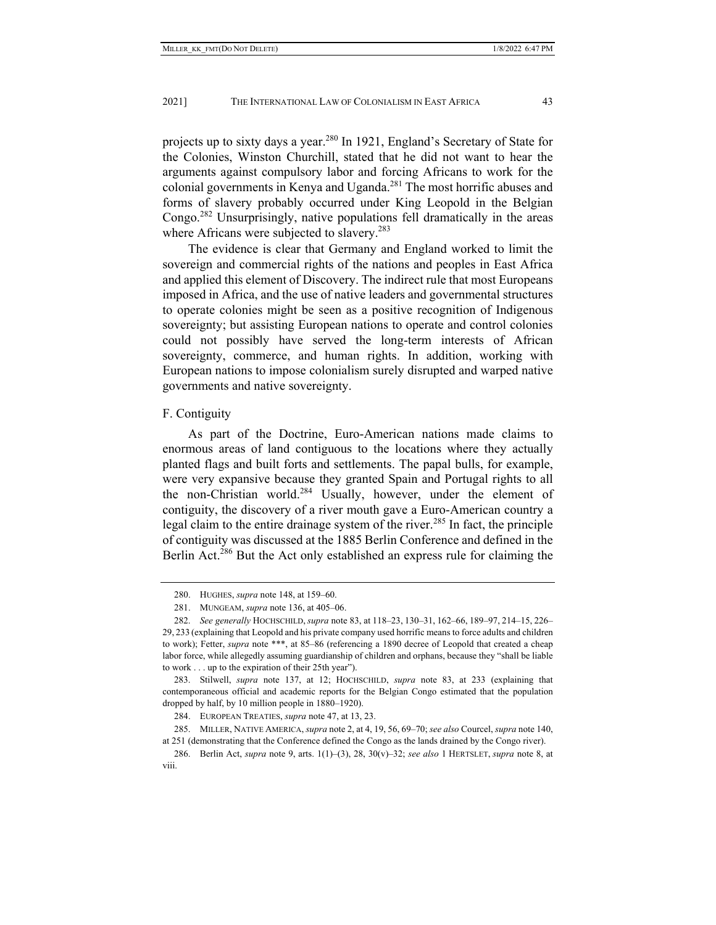projects up to sixty days a year.280 In 1921, England's Secretary of State for the Colonies, Winston Churchill, stated that he did not want to hear the arguments against compulsory labor and forcing Africans to work for the colonial governments in Kenya and Uganda.<sup>281</sup> The most horrific abuses and forms of slavery probably occurred under King Leopold in the Belgian Congo.<sup>282</sup> Unsurprisingly, native populations fell dramatically in the areas where Africans were subjected to slavery.<sup>283</sup>

The evidence is clear that Germany and England worked to limit the sovereign and commercial rights of the nations and peoples in East Africa and applied this element of Discovery. The indirect rule that most Europeans imposed in Africa, and the use of native leaders and governmental structures to operate colonies might be seen as a positive recognition of Indigenous sovereignty; but assisting European nations to operate and control colonies could not possibly have served the long-term interests of African sovereignty, commerce, and human rights. In addition, working with European nations to impose colonialism surely disrupted and warped native governments and native sovereignty.

## F. Contiguity

As part of the Doctrine, Euro-American nations made claims to enormous areas of land contiguous to the locations where they actually planted flags and built forts and settlements. The papal bulls, for example, were very expansive because they granted Spain and Portugal rights to all the non-Christian world.<sup>284</sup> Usually, however, under the element of contiguity, the discovery of a river mouth gave a Euro-American country a legal claim to the entire drainage system of the river.<sup>285</sup> In fact, the principle of contiguity was discussed at the 1885 Berlin Conference and defined in the Berlin Act.<sup>286</sup> But the Act only established an express rule for claiming the

 <sup>280.</sup> HUGHES, *supra* note 148, at 159–60.

 <sup>281.</sup> MUNGEAM, *supra* note 136, at 405–06.

 <sup>282.</sup> *See generally* HOCHSCHILD, *supra* note 83, at 118–23, 130–31, 162–66, 189–97, 214–15, 226– 29, 233 (explaining that Leopold and his private company used horrific means to force adults and children to work); Fetter, *supra* note \*\*\*, at 85-86 (referencing a 1890 decree of Leopold that created a cheap labor force, while allegedly assuming guardianship of children and orphans, because they "shall be liable to work . . . up to the expiration of their 25th year").

 <sup>283.</sup> Stilwell, *supra* note 137, at 12; HOCHSCHILD, *supra* note 83, at 233 (explaining that contemporaneous official and academic reports for the Belgian Congo estimated that the population dropped by half, by 10 million people in 1880–1920).

 <sup>284.</sup> EUROPEAN TREATIES, *supra* note 47, at 13, 23.

 <sup>285.</sup> MILLER, NATIVE AMERICA, *supra* note 2, at 4, 19, 56, 69–70; *see also* Courcel, *supra* note 140, at 251 (demonstrating that the Conference defined the Congo as the lands drained by the Congo river).

 <sup>286.</sup> Berlin Act, *supra* note 9, arts. 1(1)–(3), 28, 30(v)–32; *see also* 1 HERTSLET, *supra* note 8, at viii.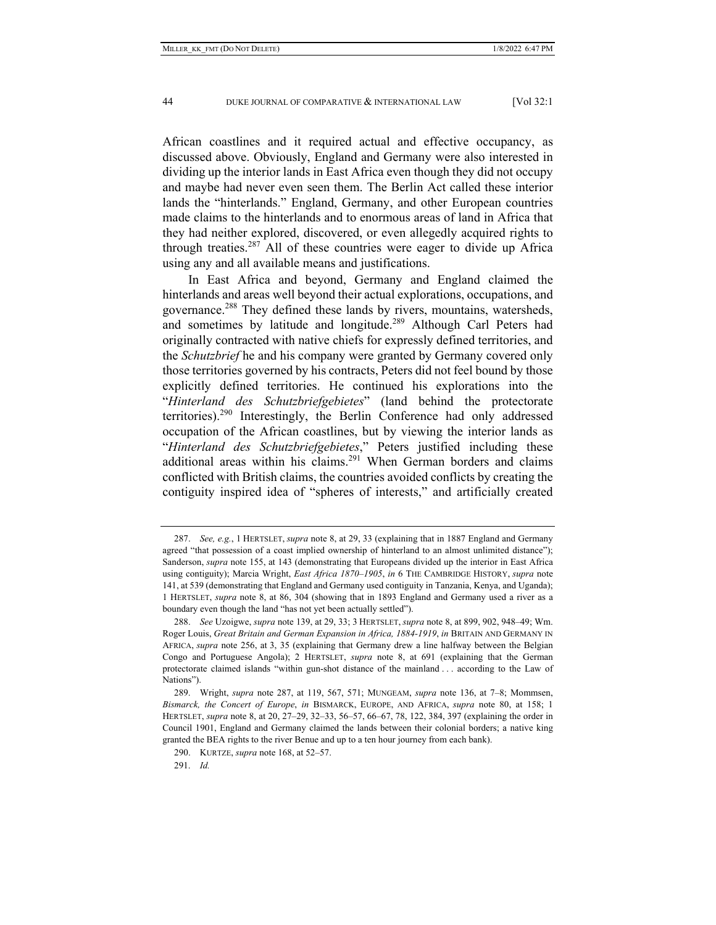African coastlines and it required actual and effective occupancy, as discussed above. Obviously, England and Germany were also interested in dividing up the interior lands in East Africa even though they did not occupy and maybe had never even seen them. The Berlin Act called these interior lands the "hinterlands." England, Germany, and other European countries made claims to the hinterlands and to enormous areas of land in Africa that they had neither explored, discovered, or even allegedly acquired rights to through treaties.<sup>287</sup> All of these countries were eager to divide up Africa using any and all available means and justifications.

In East Africa and beyond, Germany and England claimed the hinterlands and areas well beyond their actual explorations, occupations, and governance.<sup>288</sup> They defined these lands by rivers, mountains, watersheds, and sometimes by latitude and longitude.<sup>289</sup> Although Carl Peters had originally contracted with native chiefs for expressly defined territories, and the *Schutzbrief* he and his company were granted by Germany covered only those territories governed by his contracts, Peters did not feel bound by those explicitly defined territories. He continued his explorations into the "*Hinterland des Schutzbriefgebietes*" (land behind the protectorate territories).290 Interestingly, the Berlin Conference had only addressed occupation of the African coastlines, but by viewing the interior lands as "*Hinterland des Schutzbriefgebietes*," Peters justified including these additional areas within his claims.<sup>291</sup> When German borders and claims conflicted with British claims, the countries avoided conflicts by creating the contiguity inspired idea of "spheres of interests," and artificially created

 <sup>287.</sup> *See, e.g.*, 1 HERTSLET, *supra* note 8, at 29, 33 (explaining that in 1887 England and Germany agreed "that possession of a coast implied ownership of hinterland to an almost unlimited distance"); Sanderson, *supra* note 155, at 143 (demonstrating that Europeans divided up the interior in East Africa using contiguity); Marcia Wright, *East Africa 1870–1905*, *in* 6 THE CAMBRIDGE HISTORY, *supra* note 141, at 539 (demonstrating that England and Germany used contiguity in Tanzania, Kenya, and Uganda); 1 HERTSLET, *supra* note 8, at 86, 304 (showing that in 1893 England and Germany used a river as a boundary even though the land "has not yet been actually settled").

 <sup>288.</sup> *See* Uzoigwe, *supra* note 139, at 29, 33; 3 HERTSLET, *supra* note 8, at 899, 902, 948–49; Wm. Roger Louis, *Great Britain and German Expansion in Africa, 1884-1919*, *in* BRITAIN AND GERMANY IN AFRICA, *supra* note 256, at 3, 35 (explaining that Germany drew a line halfway between the Belgian Congo and Portuguese Angola); 2 HERTSLET, *supra* note 8, at 691 (explaining that the German protectorate claimed islands "within gun-shot distance of the mainland . . . according to the Law of Nations").

 <sup>289.</sup> Wright, *supra* note 287, at 119, 567, 571; MUNGEAM, *supra* note 136, at 7–8; Mommsen, *Bismarck, the Concert of Europe*, *in* BISMARCK, EUROPE, AND AFRICA, *supra* note 80, at 158; 1 HERTSLET, *supra* note 8, at 20, 27–29, 32–33, 56–57, 66–67, 78, 122, 384, 397 (explaining the order in Council 1901, England and Germany claimed the lands between their colonial borders; a native king granted the BEA rights to the river Benue and up to a ten hour journey from each bank).

 <sup>290.</sup> KURTZE, *supra* note 168, at 52–57.

 <sup>291.</sup> *Id.*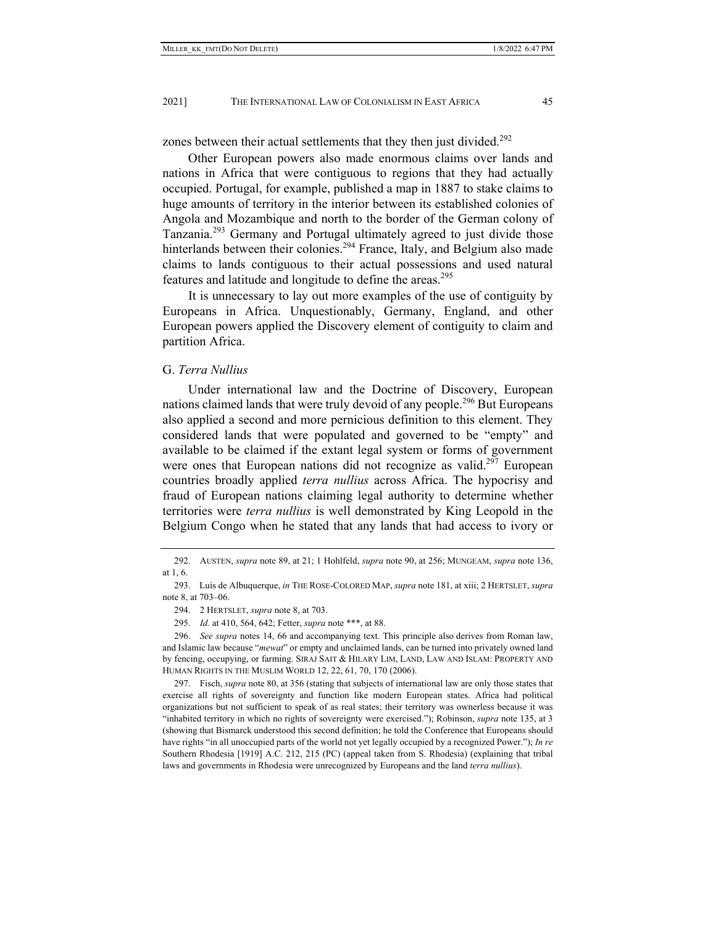zones between their actual settlements that they then just divided.<sup>292</sup>

Other European powers also made enormous claims over lands and nations in Africa that were contiguous to regions that they had actually occupied. Portugal, for example, published a map in 1887 to stake claims to huge amounts of territory in the interior between its established colonies of Angola and Mozambique and north to the border of the German colony of Tanzania.<sup>293</sup> Germany and Portugal ultimately agreed to just divide those hinterlands between their colonies.<sup>294</sup> France, Italy, and Belgium also made claims to lands contiguous to their actual possessions and used natural features and latitude and longitude to define the areas.<sup>295</sup>

It is unnecessary to lay out more examples of the use of contiguity by Europeans in Africa. Unquestionably, Germany, England, and other European powers applied the Discovery element of contiguity to claim and partition Africa.

#### G. *Terra Nullius*

Under international law and the Doctrine of Discovery, European nations claimed lands that were truly devoid of any people.<sup>296</sup> But Europeans also applied a second and more pernicious definition to this element. They considered lands that were populated and governed to be "empty" and available to be claimed if the extant legal system or forms of government were ones that European nations did not recognize as valid.<sup>297</sup> European countries broadly applied *terra nullius* across Africa. The hypocrisy and fraud of European nations claiming legal authority to determine whether territories were *terra nullius* is well demonstrated by King Leopold in the Belgium Congo when he stated that any lands that had access to ivory or

 <sup>292.</sup> AUSTEN, *supra* note 89, at 21; 1 Hohlfeld, *supra* note 90, at 256; MUNGEAM, *supra* note 136, at 1, 6.

 <sup>293.</sup> Luís de Albuquerque, *in* THE ROSE-COLORED MAP, *supra* note 181, at xiii; 2 HERTSLET, *supra* note 8, at 703–06.

 <sup>294. 2</sup> HERTSLET, *supra* note 8, at 703.

 <sup>295.</sup> *Id.* at 410, 564, 642; Fetter, *supra* note \*\*\*, at 88.

 <sup>296.</sup> *See supra* notes 14, 66 and accompanying text. This principle also derives from Roman law, and Islamic law because "*mewat*" or empty and unclaimed lands, can be turned into privately owned land by fencing, occupying, or farming. SIRAJ SAIT & HILARY LIM, LAND, LAW AND ISLAM: PROPERTY AND HUMAN RIGHTS IN THE MUSLIM WORLD 12, 22, 61, 70, 170 (2006).

 <sup>297.</sup> Fisch, *supra* note 80, at 356 (stating that subjects of international law are only those states that exercise all rights of sovereignty and function like modern European states. Africa had political organizations but not sufficient to speak of as real states; their territory was ownerless because it was "inhabited territory in which no rights of sovereignty were exercised."); Robinson, *supra* note 135, at 3 (showing that Bismarck understood this second definition; he told the Conference that Europeans should have rights "in all unoccupied parts of the world not yet legally occupied by a recognized Power."); *In re* Southern Rhodesia [1919] A.C. 212, 215 (PC) (appeal taken from S. Rhodesia) (explaining that tribal laws and governments in Rhodesia were unrecognized by Europeans and the land *terra nullius*).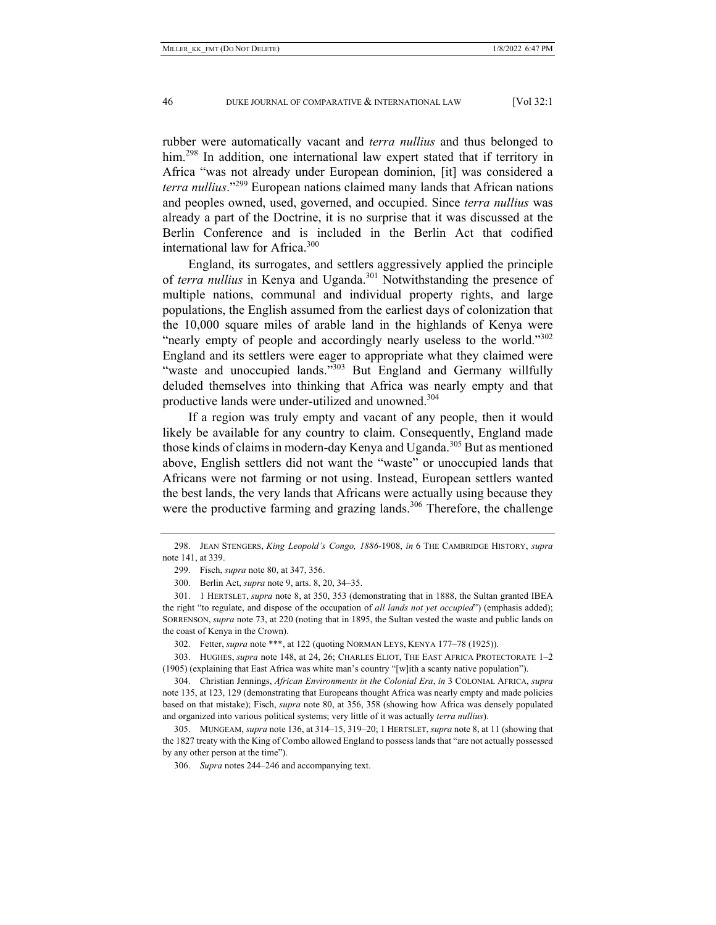rubber were automatically vacant and *terra nullius* and thus belonged to him.<sup>298</sup> In addition, one international law expert stated that if territory in Africa "was not already under European dominion, [it] was considered a *terra nullius*."299 European nations claimed many lands that African nations and peoples owned, used, governed, and occupied. Since *terra nullius* was already a part of the Doctrine, it is no surprise that it was discussed at the Berlin Conference and is included in the Berlin Act that codified international law for Africa.<sup>300</sup>

England, its surrogates, and settlers aggressively applied the principle of *terra nullius* in Kenya and Uganda.<sup>301</sup> Notwithstanding the presence of multiple nations, communal and individual property rights, and large populations, the English assumed from the earliest days of colonization that the 10,000 square miles of arable land in the highlands of Kenya were "nearly empty of people and accordingly nearly useless to the world."<sup>302</sup> England and its settlers were eager to appropriate what they claimed were "waste and unoccupied lands."<sup>303</sup> But England and Germany willfully deluded themselves into thinking that Africa was nearly empty and that productive lands were under-utilized and unowned.<sup>304</sup>

If a region was truly empty and vacant of any people, then it would likely be available for any country to claim. Consequently, England made those kinds of claims in modern-day Kenya and Uganda.<sup>305</sup> But as mentioned above, English settlers did not want the "waste" or unoccupied lands that Africans were not farming or not using. Instead, European settlers wanted the best lands, the very lands that Africans were actually using because they were the productive farming and grazing lands.<sup>306</sup> Therefore, the challenge

 303. HUGHES, *supra* note 148, at 24, 26; CHARLES ELIOT, THE EAST AFRICA PROTECTORATE 1–2 (1905) (explaining that East Africa was white man's country "[w]ith a scanty native population").

 <sup>298.</sup> JEAN STENGERS, *King Leopold's Congo, 1886-*1908, *in* 6 THE CAMBRIDGE HISTORY, *supra* note 141, at 339.

 <sup>299.</sup> Fisch, *supra* note 80, at 347, 356.

 <sup>300.</sup> Berlin Act, *supra* note 9, arts. 8, 20, 34–35.

 <sup>301. 1</sup> HERTSLET, *supra* note 8, at 350, 353 (demonstrating that in 1888, the Sultan granted IBEA the right "to regulate, and dispose of the occupation of *all lands not yet occupied*") (emphasis added); SORRENSON, *supra* note 73, at 220 (noting that in 1895, the Sultan vested the waste and public lands on the coast of Kenya in the Crown).

 <sup>302.</sup> Fetter, *supra* note \*\*\*, at 122 (quoting NORMAN LEYS, KENYA 177–78 (1925)).

 <sup>304.</sup> Christian Jennings, *African Environments in the Colonial Era*, *in* 3 COLONIAL AFRICA, *supra* note 135, at 123, 129 (demonstrating that Europeans thought Africa was nearly empty and made policies based on that mistake); Fisch, *supra* note 80, at 356, 358 (showing how Africa was densely populated and organized into various political systems; very little of it was actually *terra nullius*).

 <sup>305.</sup> MUNGEAM, *supra* note 136, at 314–15, 319–20; 1 HERTSLET, *supra* note 8, at 11 (showing that the 1827 treaty with the King of Combo allowed England to possess lands that "are not actually possessed by any other person at the time").

 <sup>306.</sup> *Supra* notes 244–246 and accompanying text.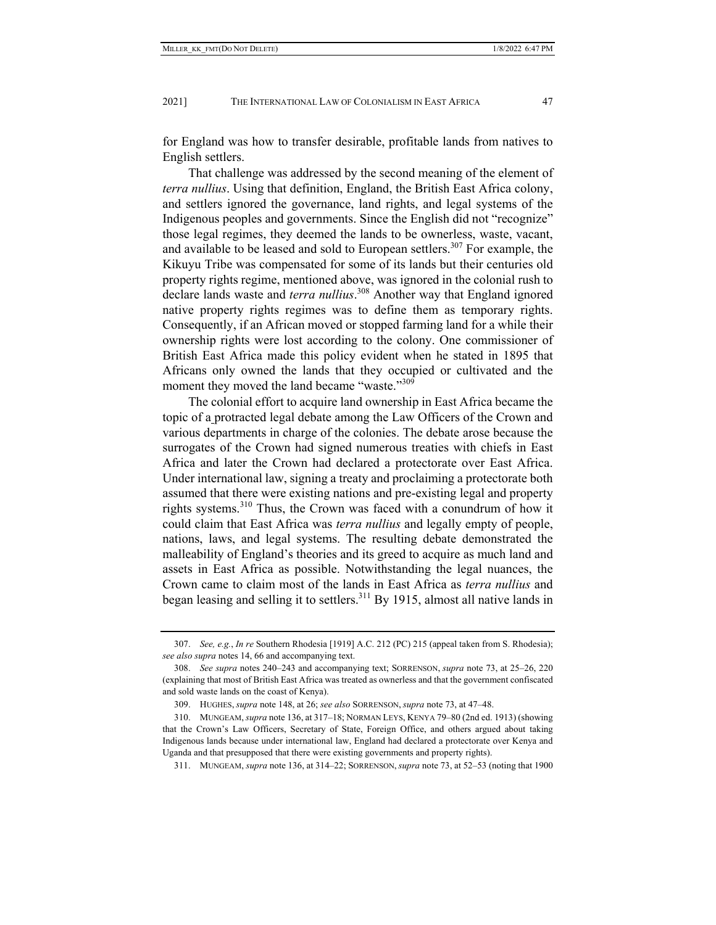for England was how to transfer desirable, profitable lands from natives to English settlers.

That challenge was addressed by the second meaning of the element of *terra nullius*. Using that definition, England, the British East Africa colony, and settlers ignored the governance, land rights, and legal systems of the Indigenous peoples and governments. Since the English did not "recognize" those legal regimes, they deemed the lands to be ownerless, waste, vacant, and available to be leased and sold to European settlers.<sup>307</sup> For example, the Kikuyu Tribe was compensated for some of its lands but their centuries old property rights regime, mentioned above, was ignored in the colonial rush to declare lands waste and *terra nullius*. 308 Another way that England ignored native property rights regimes was to define them as temporary rights. Consequently, if an African moved or stopped farming land for a while their ownership rights were lost according to the colony. One commissioner of British East Africa made this policy evident when he stated in 1895 that Africans only owned the lands that they occupied or cultivated and the moment they moved the land became "waste."<sup>309</sup>

The colonial effort to acquire land ownership in East Africa became the topic of a protracted legal debate among the Law Officers of the Crown and various departments in charge of the colonies. The debate arose because the surrogates of the Crown had signed numerous treaties with chiefs in East Africa and later the Crown had declared a protectorate over East Africa. Under international law, signing a treaty and proclaiming a protectorate both assumed that there were existing nations and pre-existing legal and property rights systems.310 Thus, the Crown was faced with a conundrum of how it could claim that East Africa was *terra nullius* and legally empty of people, nations, laws, and legal systems. The resulting debate demonstrated the malleability of England's theories and its greed to acquire as much land and assets in East Africa as possible. Notwithstanding the legal nuances, the Crown came to claim most of the lands in East Africa as *terra nullius* and began leasing and selling it to settlers.311 By 1915, almost all native lands in

 <sup>307.</sup> *See, e.g.*, *In re* Southern Rhodesia [1919] A.C. 212 (PC) 215 (appeal taken from S. Rhodesia); *see also supra* notes 14, 66 and accompanying text.

 <sup>308.</sup> *See supra* notes 240–243 and accompanying text; SORRENSON, *supra* note 73, at 25–26, 220 (explaining that most of British East Africa was treated as ownerless and that the government confiscated and sold waste lands on the coast of Kenya).

 <sup>309.</sup> HUGHES, *supra* note 148, at 26; *see also* SORRENSON, *supra* note 73, at 47–48.

 <sup>310.</sup> MUNGEAM, *supra* note 136, at 317–18; NORMAN LEYS, KENYA 79–80 (2nd ed. 1913) (showing that the Crown's Law Officers, Secretary of State, Foreign Office, and others argued about taking Indigenous lands because under international law, England had declared a protectorate over Kenya and Uganda and that presupposed that there were existing governments and property rights).

 <sup>311.</sup> MUNGEAM, *supra* note 136, at 314–22; SORRENSON,*supra* note 73, at 52–53 (noting that 1900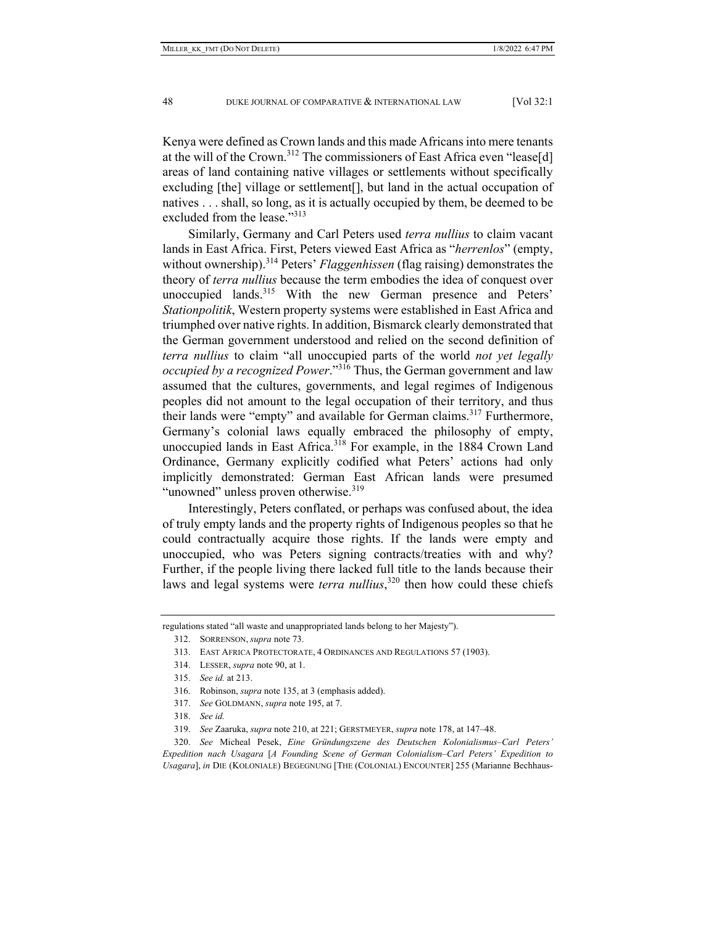Kenya were defined as Crown lands and this made Africans into mere tenants at the will of the Crown.<sup>312</sup> The commissioners of East Africa even "lease[d] areas of land containing native villages or settlements without specifically excluding [the] village or settlement[], but land in the actual occupation of natives . . . shall, so long, as it is actually occupied by them, be deemed to be excluded from the lease."313

Similarly, Germany and Carl Peters used *terra nullius* to claim vacant lands in East Africa. First, Peters viewed East Africa as "*herrenlos*" (empty, without ownership).<sup>314</sup> Peters' *Flaggenhissen* (flag raising) demonstrates the theory of *terra nullius* because the term embodies the idea of conquest over unoccupied lands.<sup>315</sup> With the new German presence and Peters' *Stationpolitik*, Western property systems were established in East Africa and triumphed over native rights. In addition, Bismarck clearly demonstrated that the German government understood and relied on the second definition of *terra nullius* to claim "all unoccupied parts of the world *not yet legally occupied by a recognized Power*."316 Thus, the German government and law assumed that the cultures, governments, and legal regimes of Indigenous peoples did not amount to the legal occupation of their territory, and thus their lands were "empty" and available for German claims.<sup>317</sup> Furthermore, Germany's colonial laws equally embraced the philosophy of empty, unoccupied lands in East Africa.<sup>318</sup> For example, in the 1884 Crown Land Ordinance, Germany explicitly codified what Peters' actions had only implicitly demonstrated: German East African lands were presumed "unowned" unless proven otherwise.<sup>319</sup>

Interestingly, Peters conflated, or perhaps was confused about, the idea of truly empty lands and the property rights of Indigenous peoples so that he could contractually acquire those rights. If the lands were empty and unoccupied, who was Peters signing contracts/treaties with and why? Further, if the people living there lacked full title to the lands because their laws and legal systems were *terra nullius*, 320 then how could these chiefs

regulations stated "all waste and unappropriated lands belong to her Majesty").

 <sup>312.</sup> SORRENSON, *supra* note 73.

 <sup>313.</sup> EAST AFRICA PROTECTORATE, 4 ORDINANCES AND REGULATIONS 57 (1903).

 <sup>314.</sup> LESSER, *supra* note 90, at 1.

 <sup>315.</sup> *See id.* at 213.

 <sup>316.</sup> Robinson, *supra* note 135, at 3 (emphasis added).

 <sup>317.</sup> *See* GOLDMANN, *supra* note 195, at 7.

 <sup>318.</sup> *See id.*

 <sup>319.</sup> *See* Zaaruka, *supra* note 210, at 221; GERSTMEYER, *supra* note 178, at 147–48.

 <sup>320.</sup> *See* Micheal Pesek, *Eine Gründungszene des Deutschen Kolonialismus–Carl Peters' Expedition nach Usagara* [*A Founding Scene of German Colonialism–Carl Peters' Expedition to Usagara*], *in* DIE (KOLONIALE) BEGEGNUNG [THE (COLONIAL) ENCOUNTER] 255 (Marianne Bechhaus-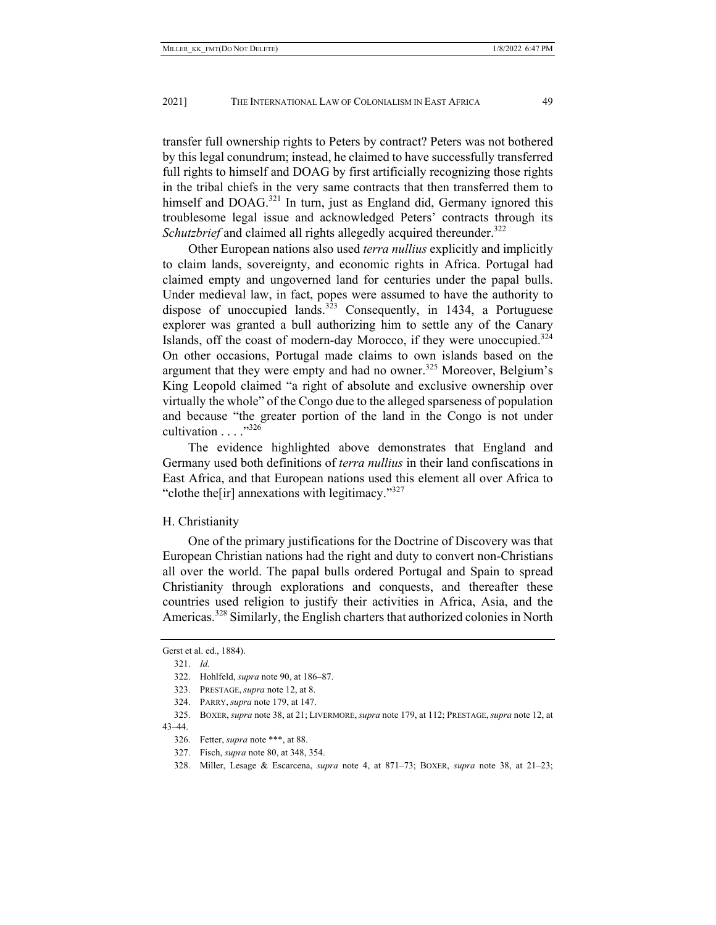transfer full ownership rights to Peters by contract? Peters was not bothered by this legal conundrum; instead, he claimed to have successfully transferred full rights to himself and DOAG by first artificially recognizing those rights in the tribal chiefs in the very same contracts that then transferred them to himself and DOAG.<sup>321</sup> In turn, just as England did, Germany ignored this troublesome legal issue and acknowledged Peters' contracts through its *Schutzbrief* and claimed all rights allegedly acquired thereunder.<sup>322</sup>

Other European nations also used *terra nullius* explicitly and implicitly to claim lands, sovereignty, and economic rights in Africa. Portugal had claimed empty and ungoverned land for centuries under the papal bulls. Under medieval law, in fact, popes were assumed to have the authority to dispose of unoccupied lands.<sup>323</sup> Consequently, in 1434, a Portuguese explorer was granted a bull authorizing him to settle any of the Canary Islands, off the coast of modern-day Morocco, if they were unoccupied.324 On other occasions, Portugal made claims to own islands based on the argument that they were empty and had no owner.<sup>325</sup> Moreover, Belgium's King Leopold claimed "a right of absolute and exclusive ownership over virtually the whole" of the Congo due to the alleged sparseness of population and because "the greater portion of the land in the Congo is not under cultivation . . . . . . 326

The evidence highlighted above demonstrates that England and Germany used both definitions of *terra nullius* in their land confiscations in East Africa, and that European nations used this element all over Africa to "clothe the  $\lceil \text{ir} \rceil$  annexations with legitimacy."<sup>327</sup>

#### H. Christianity

One of the primary justifications for the Doctrine of Discovery was that European Christian nations had the right and duty to convert non-Christians all over the world. The papal bulls ordered Portugal and Spain to spread Christianity through explorations and conquests, and thereafter these countries used religion to justify their activities in Africa, Asia, and the Americas.<sup>328</sup> Similarly, the English charters that authorized colonies in North

Gerst et al. ed., 1884).

 <sup>321.</sup> *Id.*

 <sup>322.</sup> Hohlfeld, *supra* note 90, at 186–87.

 <sup>323.</sup> PRESTAGE, *supra* note 12, at 8.

 <sup>324.</sup> PARRY, *supra* note 179, at 147.

 <sup>325.</sup> BOXER,*supra* note 38, at 21; LIVERMORE,*supra* note 179, at 112; PRESTAGE,*supra* note 12, at 43–44.

 <sup>326.</sup> Fetter, *supra* note \*\*\*, at 88.

 <sup>327.</sup> Fisch, *supra* note 80, at 348, 354.

 <sup>328.</sup> Miller, Lesage & Escarcena, *supra* note 4, at 871–73; BOXER, *supra* note 38, at 21–23;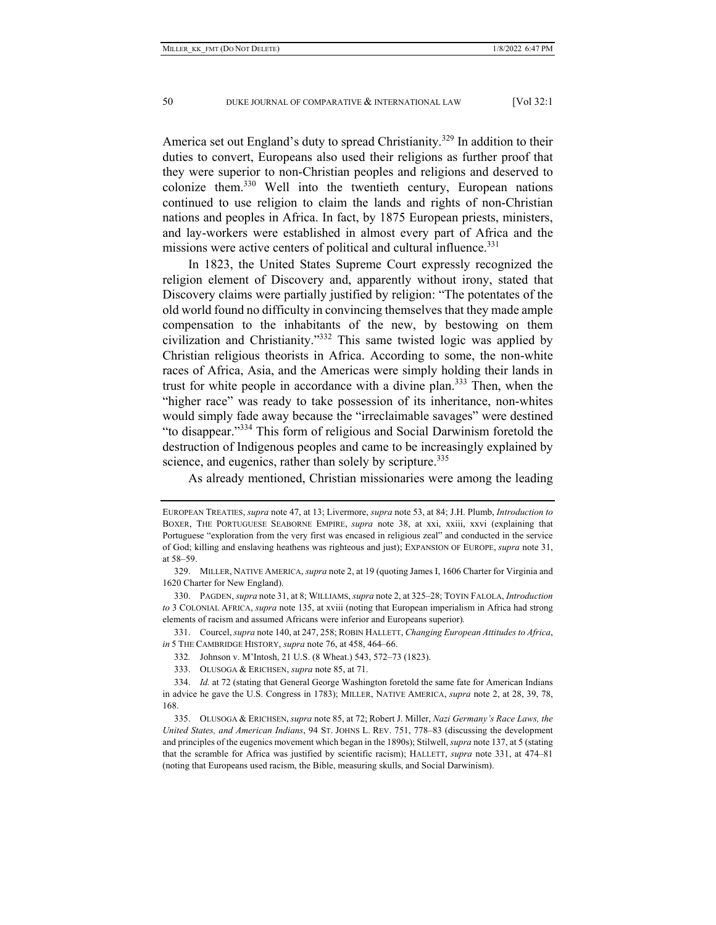America set out England's duty to spread Christianity.<sup>329</sup> In addition to their duties to convert, Europeans also used their religions as further proof that they were superior to non-Christian peoples and religions and deserved to colonize them.<sup>330</sup> Well into the twentieth century, European nations continued to use religion to claim the lands and rights of non-Christian nations and peoples in Africa. In fact, by 1875 European priests, ministers, and lay-workers were established in almost every part of Africa and the missions were active centers of political and cultural influence.<sup>331</sup>

In 1823, the United States Supreme Court expressly recognized the religion element of Discovery and, apparently without irony, stated that Discovery claims were partially justified by religion: "The potentates of the old world found no difficulty in convincing themselves that they made ample compensation to the inhabitants of the new, by bestowing on them civilization and Christianity."332 This same twisted logic was applied by Christian religious theorists in Africa. According to some, the non-white races of Africa, Asia, and the Americas were simply holding their lands in trust for white people in accordance with a divine plan.<sup>333</sup> Then, when the "higher race" was ready to take possession of its inheritance, non-whites would simply fade away because the "irreclaimable savages" were destined "to disappear."334 This form of religious and Social Darwinism foretold the destruction of Indigenous peoples and came to be increasingly explained by science, and eugenics, rather than solely by scripture.<sup>335</sup>

As already mentioned, Christian missionaries were among the leading

332*.* Johnson v. M'Intosh, 21 U.S. (8 Wheat.) 543, 572–73 (1823).

333. OLUSOGA & ERICHSEN, *supra* note 85, at 71.

EUROPEAN TREATIES, *supra* note 47, at 13; Livermore, *supra* note 53, at 84; J.H. Plumb, *Introduction to* BOXER, THE PORTUGUESE SEABORNE EMPIRE, *supra* note 38, at xxi, xxiii, xxvi (explaining that Portuguese "exploration from the very first was encased in religious zeal" and conducted in the service of God; killing and enslaving heathens was righteous and just); EXPANSION OF EUROPE, *supra* note 31, at 58–59.

 <sup>329.</sup> MILLER, NATIVE AMERICA, *supra* note 2, at 19 (quoting James I, 1606 Charter for Virginia and 1620 Charter for New England).

 <sup>330.</sup> PAGDEN, *supra* note 31, at 8; WILLIAMS, *supra* note 2, at 325–28; TOYIN FALOLA, *Introduction to* 3 COLONIAL AFRICA, *supra* note 135, at xviii (noting that European imperialism in Africa had strong elements of racism and assumed Africans were inferior and Europeans superior)*.*

 <sup>331.</sup> Courcel, *supra* note 140, at 247, 258; ROBIN HALLETT, *Changing European Attitudes to Africa*, *in* 5 THE CAMBRIDGE HISTORY, *supra* note 76, at 458, 464–66.

 <sup>334.</sup> *Id.* at 72 (stating that General George Washington foretold the same fate for American Indians in advice he gave the U.S. Congress in 1783); MILLER, NATIVE AMERICA, *supra* note 2, at 28, 39, 78, 168.

 <sup>335.</sup> OLUSOGA & ERICHSEN,*supra* note 85, at 72; Robert J. Miller, *Nazi Germany's Race Laws, the United States, and American Indians*, 94 ST. JOHNS L. REV. 751, 778–83 (discussing the development and principles of the eugenics movement which began in the 1890s); Stilwell, *supra* note 137, at 5 (stating that the scramble for Africa was justified by scientific racism); HALLETT, *supra* note 331, at 474–81 (noting that Europeans used racism, the Bible, measuring skulls, and Social Darwinism).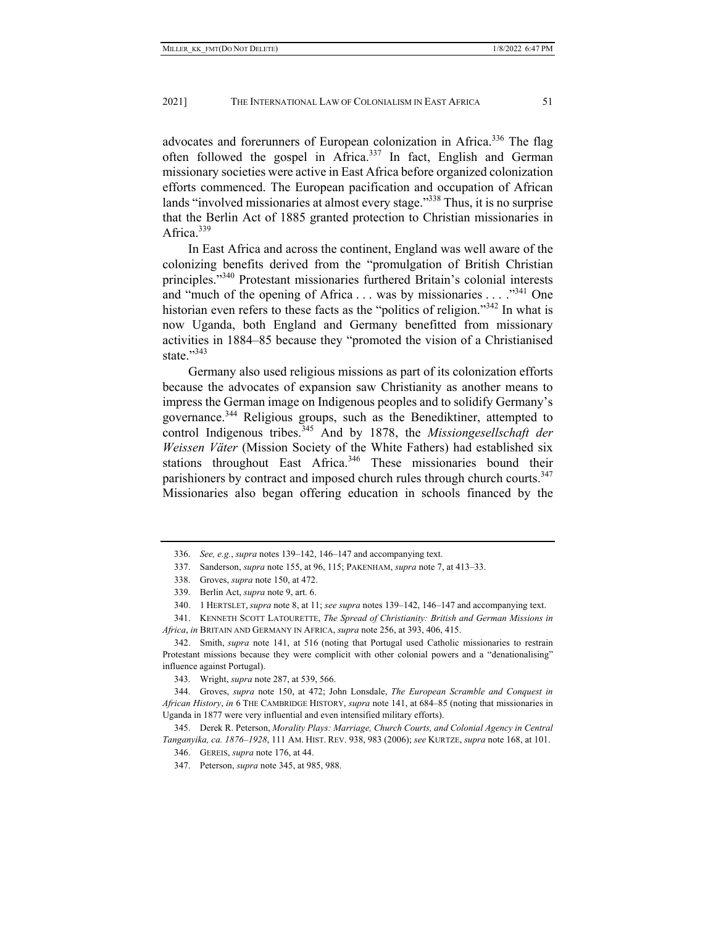advocates and forerunners of European colonization in Africa.<sup>336</sup> The flag often followed the gospel in Africa.337 In fact, English and German missionary societies were active in East Africa before organized colonization efforts commenced. The European pacification and occupation of African lands "involved missionaries at almost every stage."<sup>338</sup> Thus, it is no surprise that the Berlin Act of 1885 granted protection to Christian missionaries in Africa.<sup>339</sup>

In East Africa and across the continent, England was well aware of the colonizing benefits derived from the "promulgation of British Christian principles."340 Protestant missionaries furthered Britain's colonial interests and "much of the opening of Africa  $\dots$  was by missionaries  $\dots$ ."<sup>341</sup> One historian even refers to these facts as the "politics of religion."<sup>342</sup> In what is now Uganda, both England and Germany benefitted from missionary activities in 1884–85 because they "promoted the vision of a Christianised state."343

Germany also used religious missions as part of its colonization efforts because the advocates of expansion saw Christianity as another means to impress the German image on Indigenous peoples and to solidify Germany's governance.344 Religious groups, such as the Benediktiner, attempted to control Indigenous tribes.<sup>345</sup> And by 1878, the *Missiongesellschaft der Weissen Väter* (Mission Society of the White Fathers) had established six stations throughout East Africa.<sup>346</sup> These missionaries bound their parishioners by contract and imposed church rules through church courts.<sup>347</sup> Missionaries also began offering education in schools financed by the

 341. KENNETH SCOTT LATOURETTE, *The Spread of Christianity: British and German Missions in Africa*, *in* BRITAIN AND GERMANY IN AFRICA, *supra* note 256, at 393, 406, 415.

 <sup>336.</sup> *See, e.g.*, *supra* notes 139–142, 146–147 and accompanying text.

 <sup>337.</sup> Sanderson, *supra* note 155, at 96, 115; PAKENHAM, *supra* note 7, at 413–33.

 <sup>338.</sup> Groves, *supra* note 150, at 472.

 <sup>339.</sup> Berlin Act, *supra* note 9, art. 6.

 <sup>340. 1</sup> HERTSLET, *supra* note 8, at 11; *see supra* notes 139–142, 146–147 and accompanying text.

 <sup>342.</sup> Smith, *supra* note 141, at 516 (noting that Portugal used Catholic missionaries to restrain Protestant missions because they were complicit with other colonial powers and a "denationalising" influence against Portugal).

 <sup>343.</sup> Wright, *supra* note 287, at 539, 566.

 <sup>344.</sup> Groves, *supra* note 150, at 472; John Lonsdale, *The European Scramble and Conquest in African History*, *in* 6 THE CAMBRIDGE HISTORY, *supra* note 141, at 684–85 (noting that missionaries in Uganda in 1877 were very influential and even intensified military efforts).

 <sup>345.</sup> Derek R. Peterson, *Morality Plays: Marriage, Church Courts, and Colonial Agency in Central Tanganyika, ca. 1876–1928*, 111 AM. HIST. REV. 938, 983 (2006); *see* KURTZE, *supra* note 168, at 101.

 <sup>346.</sup> GEREIS, *supra* note 176, at 44.

 <sup>347.</sup> Peterson, *supra* note 345, at 985, 988.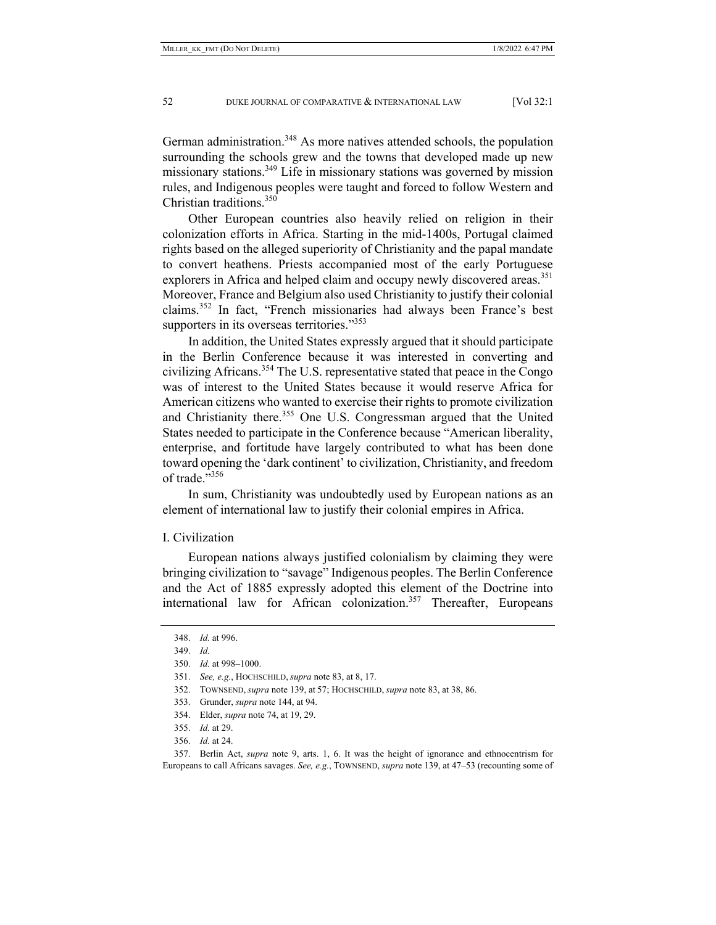German administration.<sup>348</sup> As more natives attended schools, the population surrounding the schools grew and the towns that developed made up new missionary stations.<sup>349</sup> Life in missionary stations was governed by mission rules, and Indigenous peoples were taught and forced to follow Western and Christian traditions.350

Other European countries also heavily relied on religion in their colonization efforts in Africa. Starting in the mid-1400s, Portugal claimed rights based on the alleged superiority of Christianity and the papal mandate to convert heathens. Priests accompanied most of the early Portuguese explorers in Africa and helped claim and occupy newly discovered areas.<sup>351</sup> Moreover, France and Belgium also used Christianity to justify their colonial claims.352 In fact, "French missionaries had always been France's best supporters in its overseas territories."<sup>353</sup>

In addition, the United States expressly argued that it should participate in the Berlin Conference because it was interested in converting and civilizing Africans.354 The U.S. representative stated that peace in the Congo was of interest to the United States because it would reserve Africa for American citizens who wanted to exercise their rights to promote civilization and Christianity there.<sup>355</sup> One U.S. Congressman argued that the United States needed to participate in the Conference because "American liberality, enterprise, and fortitude have largely contributed to what has been done toward opening the 'dark continent' to civilization, Christianity, and freedom of trade."356

In sum, Christianity was undoubtedly used by European nations as an element of international law to justify their colonial empires in Africa.

## I. Civilization

European nations always justified colonialism by claiming they were bringing civilization to "savage" Indigenous peoples. The Berlin Conference and the Act of 1885 expressly adopted this element of the Doctrine into international law for African colonization.<sup>357</sup> Thereafter, Europeans

 357. Berlin Act, *supra* note 9, arts. 1, 6. It was the height of ignorance and ethnocentrism for Europeans to call Africans savages. *See, e.g.*, TOWNSEND, *supra* note 139, at 47–53 (recounting some of

 <sup>348.</sup> *Id.* at 996.

 <sup>349.</sup> *Id.*

 <sup>350.</sup> *Id.* at 998–1000.

 <sup>351.</sup> *See, e.g.*, HOCHSCHILD, *supra* note 83, at 8, 17.

 <sup>352.</sup> TOWNSEND, *supra* note 139, at 57; HOCHSCHILD, *supra* note 83, at 38, 86.

 <sup>353.</sup> Grunder, *supra* note 144, at 94.

 <sup>354.</sup> Elder, *supra* note 74, at 19, 29.

 <sup>355.</sup> *Id.* at 29.

 <sup>356.</sup> *Id.* at 24.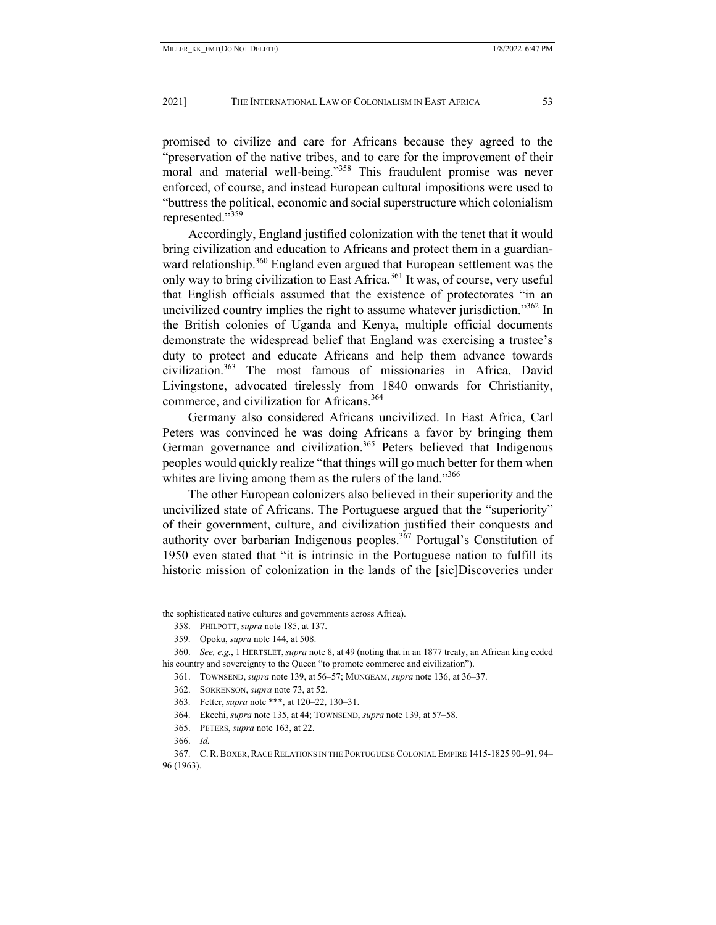promised to civilize and care for Africans because they agreed to the "preservation of the native tribes, and to care for the improvement of their moral and material well-being."<sup>358</sup> This fraudulent promise was never enforced, of course, and instead European cultural impositions were used to "buttress the political, economic and social superstructure which colonialism represented."<sup>359</sup>

Accordingly, England justified colonization with the tenet that it would bring civilization and education to Africans and protect them in a guardianward relationship.<sup>360</sup> England even argued that European settlement was the only way to bring civilization to East Africa.<sup>361</sup> It was, of course, very useful that English officials assumed that the existence of protectorates "in an uncivilized country implies the right to assume whatever jurisdiction."<sup>362</sup> In the British colonies of Uganda and Kenya, multiple official documents demonstrate the widespread belief that England was exercising a trustee's duty to protect and educate Africans and help them advance towards civilization.363 The most famous of missionaries in Africa, David Livingstone, advocated tirelessly from 1840 onwards for Christianity, commerce, and civilization for Africans.<sup>364</sup>

Germany also considered Africans uncivilized. In East Africa, Carl Peters was convinced he was doing Africans a favor by bringing them German governance and civilization.<sup>365</sup> Peters believed that Indigenous peoples would quickly realize "that things will go much better for them when whites are living among them as the rulers of the land."<sup>366</sup>

The other European colonizers also believed in their superiority and the uncivilized state of Africans. The Portuguese argued that the "superiority" of their government, culture, and civilization justified their conquests and authority over barbarian Indigenous peoples.<sup>367</sup> Portugal's Constitution of 1950 even stated that "it is intrinsic in the Portuguese nation to fulfill its historic mission of colonization in the lands of the [sic]Discoveries under

364. Ekechi, *supra* note 135, at 44; TOWNSEND, *supra* note 139, at 57–58.

365. PETERS, *supra* note 163, at 22.

the sophisticated native cultures and governments across Africa).

 <sup>358.</sup> PHILPOTT, *supra* note 185, at 137.

 <sup>359.</sup> Opoku, *supra* note 144, at 508.

 <sup>360.</sup> *See, e.g.*, 1 HERTSLET,*supra* note 8, at 49 (noting that in an 1877 treaty, an African king ceded his country and sovereignty to the Queen "to promote commerce and civilization").

 <sup>361.</sup> TOWNSEND, *supra* note 139, at 56–57; MUNGEAM, *supra* note 136, at 36–37.

 <sup>362.</sup> SORRENSON, *supra* note 73, at 52.

 <sup>363.</sup> Fetter, *supra* note \*\*\*, at 120–22, 130–31.

 <sup>366.</sup> *Id.*

 <sup>367.</sup> C.R.BOXER,RACE RELATIONS IN THE PORTUGUESE COLONIAL EMPIRE 1415-1825 90–91, 94– 96 (1963).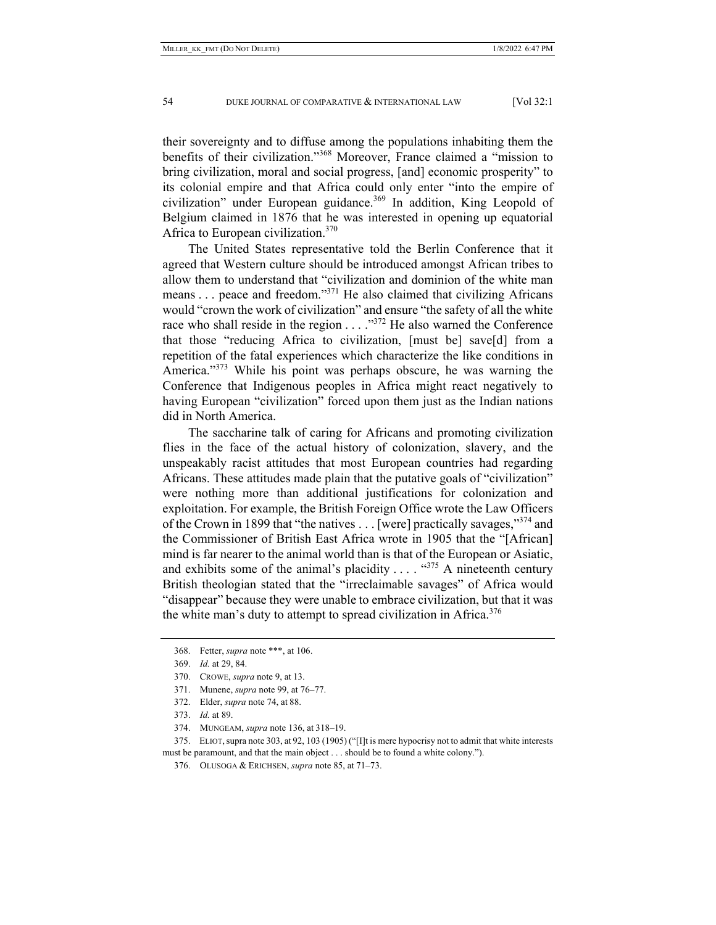their sovereignty and to diffuse among the populations inhabiting them the benefits of their civilization."368 Moreover, France claimed a "mission to bring civilization, moral and social progress, [and] economic prosperity" to its colonial empire and that Africa could only enter "into the empire of civilization" under European guidance.<sup>369</sup> In addition, King Leopold of Belgium claimed in 1876 that he was interested in opening up equatorial Africa to European civilization.<sup>370</sup>

The United States representative told the Berlin Conference that it agreed that Western culture should be introduced amongst African tribes to allow them to understand that "civilization and dominion of the white man means . . . peace and freedom."371 He also claimed that civilizing Africans would "crown the work of civilization" and ensure "the safety of all the white race who shall reside in the region . . . ."372 He also warned the Conference that those "reducing Africa to civilization, [must be] save[d] from a repetition of the fatal experiences which characterize the like conditions in America."<sup>373</sup> While his point was perhaps obscure, he was warning the Conference that Indigenous peoples in Africa might react negatively to having European "civilization" forced upon them just as the Indian nations did in North America.

The saccharine talk of caring for Africans and promoting civilization flies in the face of the actual history of colonization, slavery, and the unspeakably racist attitudes that most European countries had regarding Africans. These attitudes made plain that the putative goals of "civilization" were nothing more than additional justifications for colonization and exploitation. For example, the British Foreign Office wrote the Law Officers of the Crown in 1899 that "the natives  $\dots$  [were] practically savages,"  $374$  and the Commissioner of British East Africa wrote in 1905 that the "[African] mind is far nearer to the animal world than is that of the European or Asiatic, and exhibits some of the animal's placidity ....  $\cdot$   $\cdot$   $\cdot$   $\cdot$   $\cdot$   $\cdot$  A nineteenth century British theologian stated that the "irreclaimable savages" of Africa would "disappear" because they were unable to embrace civilization, but that it was the white man's duty to attempt to spread civilization in Africa. $376$ 

 <sup>368.</sup> Fetter, *supra* note \*\*\*, at 106.

 <sup>369.</sup> *Id.* at 29, 84.

 <sup>370.</sup> CROWE, *supra* note 9, at 13.

 <sup>371.</sup> Munene, *supra* note 99, at 76–77.

 <sup>372.</sup> Elder, *supra* note 74, at 88.

 <sup>373.</sup> *Id.* at 89.

 <sup>374.</sup> MUNGEAM, *supra* note 136, at 318–19.

 <sup>375.</sup> ELIOT,supra note 303, at 92, 103 (1905) ("[I]t is mere hypocrisy not to admit that white interests must be paramount, and that the main object . . . should be to found a white colony.").

 <sup>376.</sup> OLUSOGA & ERICHSEN, *supra* note 85, at 71–73.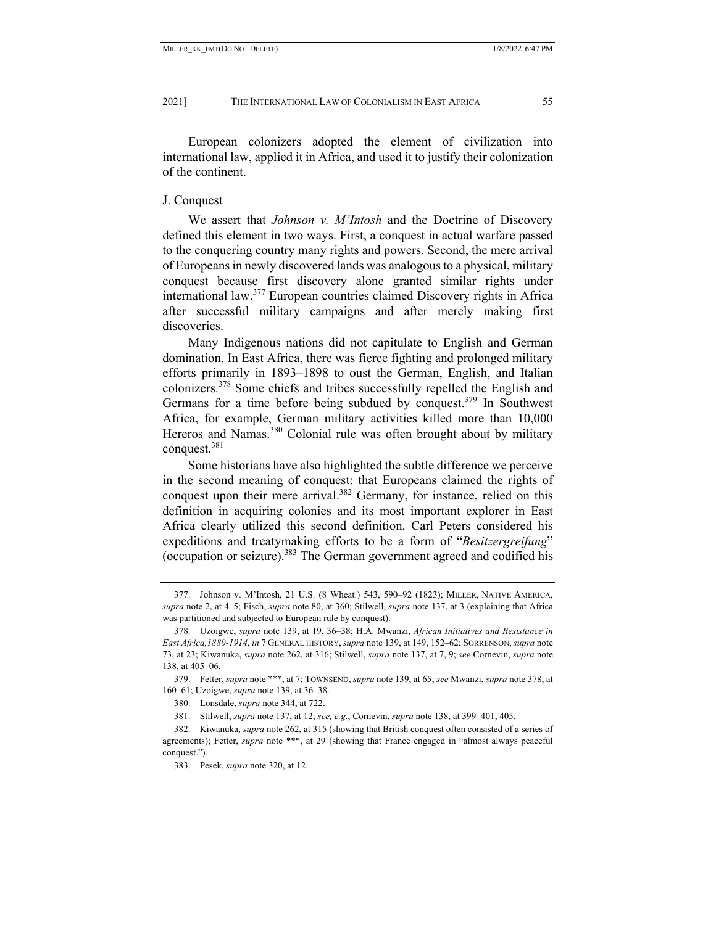European colonizers adopted the element of civilization into international law, applied it in Africa, and used it to justify their colonization of the continent.

## J. Conquest

We assert that *Johnson v. M'Intosh* and the Doctrine of Discovery defined this element in two ways. First, a conquest in actual warfare passed to the conquering country many rights and powers. Second, the mere arrival of Europeans in newly discovered lands was analogous to a physical, military conquest because first discovery alone granted similar rights under international law.377 European countries claimed Discovery rights in Africa after successful military campaigns and after merely making first discoveries.

Many Indigenous nations did not capitulate to English and German domination. In East Africa, there was fierce fighting and prolonged military efforts primarily in 1893–1898 to oust the German, English, and Italian colonizers.378 Some chiefs and tribes successfully repelled the English and Germans for a time before being subdued by conquest.<sup>379</sup> In Southwest Africa, for example, German military activities killed more than 10,000 Hereros and Namas.<sup>380</sup> Colonial rule was often brought about by military conquest.381

Some historians have also highlighted the subtle difference we perceive in the second meaning of conquest: that Europeans claimed the rights of conquest upon their mere arrival.<sup>382</sup> Germany, for instance, relied on this definition in acquiring colonies and its most important explorer in East Africa clearly utilized this second definition. Carl Peters considered his expeditions and treatymaking efforts to be a form of "*Besitzergreifung*" (occupation or seizure).<sup>383</sup> The German government agreed and codified his

 <sup>377.</sup> Johnson v. M'Intosh, 21 U.S. (8 Wheat.) 543, 590–92 (1823); MILLER, NATIVE AMERICA, *supra* note 2, at 4–5; Fisch, *supra* note 80, at 360; Stilwell, *supra* note 137, at 3 (explaining that Africa was partitioned and subjected to European rule by conquest).

 <sup>378.</sup> Uzoigwe, *supra* note 139, at 19, 36–38; H.A. Mwanzi, *African Initiatives and Resistance in East Africa,1880-1914*, *in* 7 GENERAL HISTORY,*supra* note 139, at 149, 152–62; SORRENSON,*supra* note 73, at 23; Kiwanuka, *supra* note 262, at 316; Stilwell, *supra* note 137, at 7, 9; *see* Cornevin, *supra* note 138, at 405–06.

 <sup>379.</sup> Fetter, *supra* note \*\*\*, at 7; TOWNSEND, *supra* note 139, at 65; *see* Mwanzi, *supra* note 378, at 160–61; Uzoigwe, *supra* note 139, at 36–38.

 <sup>380.</sup> Lonsdale, *supra* note 344, at 722.

 <sup>381.</sup> Stilwell, *supra* note 137, at 12; *see, e.g.*, Cornevin, *supra* note 138, at 399–401, 405.

 <sup>382.</sup> Kiwanuka, *supra* note 262, at 315 (showing that British conquest often consisted of a series of agreements); Fetter, *supra* note \*\*\*, at 29 (showing that France engaged in "almost always peaceful conquest.").

 <sup>383.</sup> Pesek, *supra* note 320, at 12.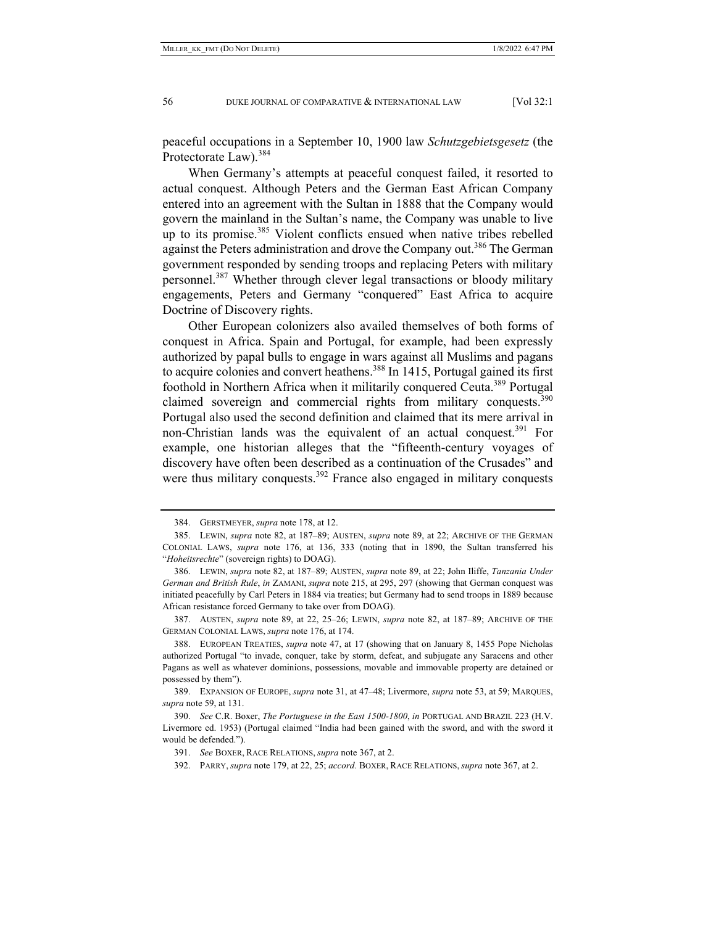peaceful occupations in a September 10, 1900 law *Schutzgebietsgesetz* (the Protectorate Law).<sup>384</sup>

When Germany's attempts at peaceful conquest failed, it resorted to actual conquest. Although Peters and the German East African Company entered into an agreement with the Sultan in 1888 that the Company would govern the mainland in the Sultan's name, the Company was unable to live up to its promise.<sup>385</sup> Violent conflicts ensued when native tribes rebelled against the Peters administration and drove the Company out.386 The German government responded by sending troops and replacing Peters with military personnel.387 Whether through clever legal transactions or bloody military engagements, Peters and Germany "conquered" East Africa to acquire Doctrine of Discovery rights.

Other European colonizers also availed themselves of both forms of conquest in Africa. Spain and Portugal, for example, had been expressly authorized by papal bulls to engage in wars against all Muslims and pagans to acquire colonies and convert heathens.<sup>388</sup> In 1415, Portugal gained its first foothold in Northern Africa when it militarily conquered Ceuta.<sup>389</sup> Portugal claimed sovereign and commercial rights from military conquests.<sup>390</sup> Portugal also used the second definition and claimed that its mere arrival in non-Christian lands was the equivalent of an actual conquest.<sup>391</sup> For example, one historian alleges that the "fifteenth-century voyages of discovery have often been described as a continuation of the Crusades" and were thus military conquests.<sup>392</sup> France also engaged in military conquests

 387. AUSTEN, *supra* note 89, at 22, 25–26; LEWIN, *supra* note 82, at 187–89; ARCHIVE OF THE GERMAN COLONIAL LAWS, *supra* note 176, at 174.

 <sup>384.</sup> GERSTMEYER, *supra* note 178, at 12.

 <sup>385.</sup> LEWIN, *supra* note 82, at 187–89; AUSTEN, *supra* note 89, at 22; ARCHIVE OF THE GERMAN COLONIAL LAWS, *supra* note 176, at 136, 333 (noting that in 1890, the Sultan transferred his "*Hoheitsrechte*" (sovereign rights) to DOAG).

 <sup>386.</sup> LEWIN, *supra* note 82, at 187–89; AUSTEN, *supra* note 89, at 22; John Iliffe, *Tanzania Under German and British Rule*, *in* ZAMANI, *supra* note 215, at 295, 297 (showing that German conquest was initiated peacefully by Carl Peters in 1884 via treaties; but Germany had to send troops in 1889 because African resistance forced Germany to take over from DOAG).

 <sup>388.</sup> EUROPEAN TREATIES, *supra* note 47, at 17 (showing that on January 8, 1455 Pope Nicholas authorized Portugal "to invade, conquer, take by storm, defeat, and subjugate any Saracens and other Pagans as well as whatever dominions, possessions, movable and immovable property are detained or possessed by them").

 <sup>389.</sup> EXPANSION OF EUROPE, *supra* note 31, at 47–48; Livermore, *supra* note 53, at 59; MARQUES, *supra* note 59, at 131.

 <sup>390.</sup> *See* C.R. Boxer, *The Portuguese in the East 1500-1800*, *in* PORTUGAL AND BRAZIL 223 (H.V. Livermore ed. 1953) (Portugal claimed "India had been gained with the sword, and with the sword it would be defended.").

 <sup>391.</sup> *See* BOXER, RACE RELATIONS, *supra* note 367, at 2.

 <sup>392.</sup> PARRY, *supra* note 179, at 22, 25; *accord.* BOXER, RACE RELATIONS, *supra* note 367, at 2.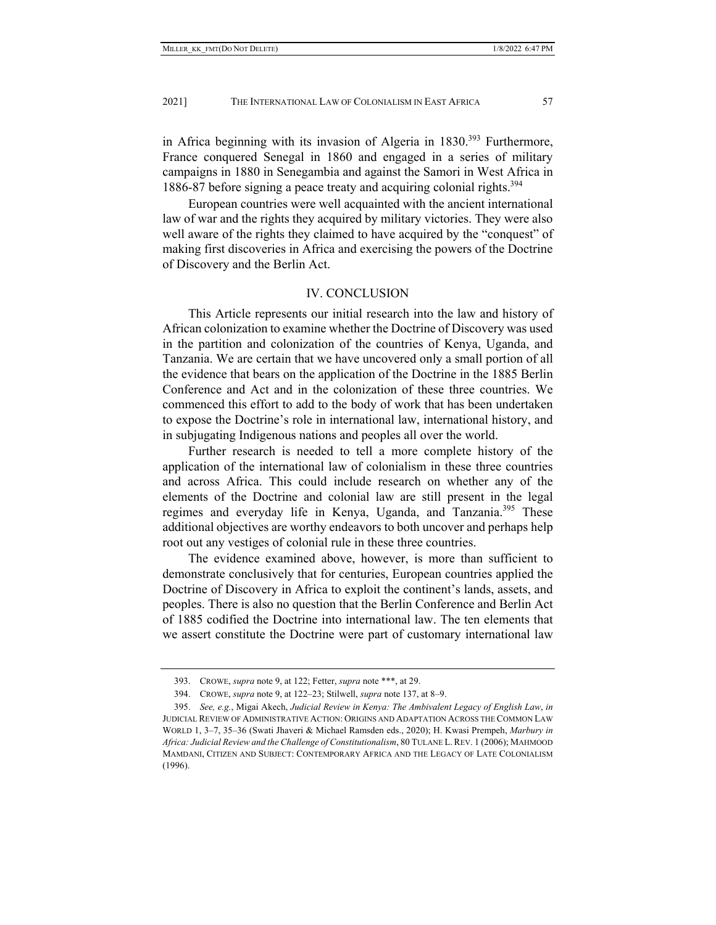in Africa beginning with its invasion of Algeria in 1830.<sup>393</sup> Furthermore, France conquered Senegal in 1860 and engaged in a series of military campaigns in 1880 in Senegambia and against the Samori in West Africa in 1886-87 before signing a peace treaty and acquiring colonial rights.<sup>394</sup>

European countries were well acquainted with the ancient international law of war and the rights they acquired by military victories. They were also well aware of the rights they claimed to have acquired by the "conquest" of making first discoveries in Africa and exercising the powers of the Doctrine of Discovery and the Berlin Act.

## IV. CONCLUSION

This Article represents our initial research into the law and history of African colonization to examine whether the Doctrine of Discovery was used in the partition and colonization of the countries of Kenya, Uganda, and Tanzania. We are certain that we have uncovered only a small portion of all the evidence that bears on the application of the Doctrine in the 1885 Berlin Conference and Act and in the colonization of these three countries. We commenced this effort to add to the body of work that has been undertaken to expose the Doctrine's role in international law, international history, and in subjugating Indigenous nations and peoples all over the world.

Further research is needed to tell a more complete history of the application of the international law of colonialism in these three countries and across Africa. This could include research on whether any of the elements of the Doctrine and colonial law are still present in the legal regimes and everyday life in Kenya, Uganda, and Tanzania.<sup>395</sup> These additional objectives are worthy endeavors to both uncover and perhaps help root out any vestiges of colonial rule in these three countries.

The evidence examined above, however, is more than sufficient to demonstrate conclusively that for centuries, European countries applied the Doctrine of Discovery in Africa to exploit the continent's lands, assets, and peoples. There is also no question that the Berlin Conference and Berlin Act of 1885 codified the Doctrine into international law. The ten elements that we assert constitute the Doctrine were part of customary international law

 <sup>393.</sup> CROWE, *supra* note 9, at 122; Fetter, *supra* note \*\*\*, at 29.

 <sup>394.</sup> CROWE, *supra* note 9, at 122–23; Stilwell, *supra* note 137, at 8–9.

 <sup>395.</sup> *See, e.g.*, Migai Akech, *Judicial Review in Kenya: The Ambivalent Legacy of English Law*, *in* JUDICIAL REVIEW OF ADMINISTRATIVE ACTION: ORIGINS AND ADAPTATION ACROSS THE COMMON LAW WORLD 1, 3–7, 35–36 (Swati Jhaveri & Michael Ramsden eds., 2020); H. Kwasi Prempeh, *Marbury in Africa: Judicial Review and the Challenge of Constitutionalism*, 80 TULANE L.REV. 1 (2006); MAHMOOD MAMDANI, CITIZEN AND SUBJECT: CONTEMPORARY AFRICA AND THE LEGACY OF LATE COLONIALISM (1996).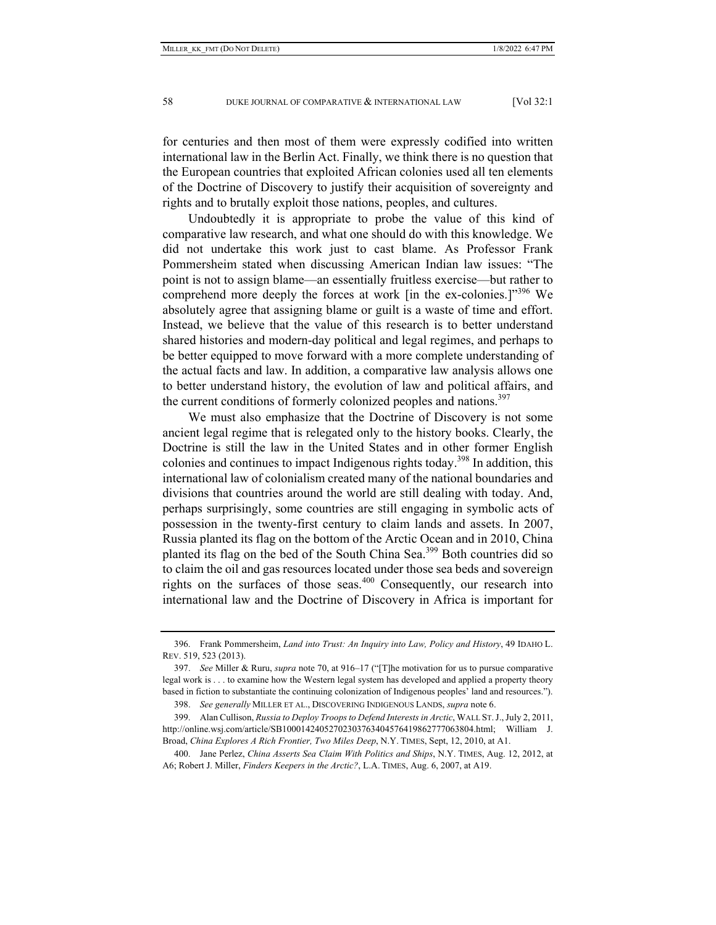for centuries and then most of them were expressly codified into written international law in the Berlin Act. Finally, we think there is no question that the European countries that exploited African colonies used all ten elements of the Doctrine of Discovery to justify their acquisition of sovereignty and rights and to brutally exploit those nations, peoples, and cultures.

Undoubtedly it is appropriate to probe the value of this kind of comparative law research, and what one should do with this knowledge. We did not undertake this work just to cast blame. As Professor Frank Pommersheim stated when discussing American Indian law issues: "The point is not to assign blame—an essentially fruitless exercise—but rather to comprehend more deeply the forces at work [in the ex-colonies.]"<sup>396</sup> We absolutely agree that assigning blame or guilt is a waste of time and effort. Instead, we believe that the value of this research is to better understand shared histories and modern-day political and legal regimes, and perhaps to be better equipped to move forward with a more complete understanding of the actual facts and law. In addition, a comparative law analysis allows one to better understand history, the evolution of law and political affairs, and the current conditions of formerly colonized peoples and nations.<sup>397</sup>

We must also emphasize that the Doctrine of Discovery is not some ancient legal regime that is relegated only to the history books. Clearly, the Doctrine is still the law in the United States and in other former English colonies and continues to impact Indigenous rights today.398 In addition, this international law of colonialism created many of the national boundaries and divisions that countries around the world are still dealing with today. And, perhaps surprisingly, some countries are still engaging in symbolic acts of possession in the twenty-first century to claim lands and assets. In 2007, Russia planted its flag on the bottom of the Arctic Ocean and in 2010, China planted its flag on the bed of the South China Sea.399 Both countries did so to claim the oil and gas resources located under those sea beds and sovereign rights on the surfaces of those seas.<sup>400</sup> Consequently, our research into international law and the Doctrine of Discovery in Africa is important for

 <sup>396.</sup> Frank Pommersheim, *Land into Trust: An Inquiry into Law, Policy and History*, 49 IDAHO L. REV. 519, 523 (2013).

 <sup>397.</sup> *See* Miller & Ruru, *supra* note 70, at 916–17 ("[T]he motivation for us to pursue comparative legal work is . . . to examine how the Western legal system has developed and applied a property theory based in fiction to substantiate the continuing colonization of Indigenous peoples' land and resources.").

 <sup>398.</sup> *See generally* MILLER ET AL., DISCOVERING INDIGENOUS LANDS, *supra* note 6.

 <sup>399.</sup> Alan Cullison, *Russia to Deploy Troops to Defend Interests in Arctic*, WALL ST.J., July 2, 2011, http://online.wsj.com/article/SB10001424052702303763404576419862777063804.html; William J. Broad, *China Explores A Rich Frontier, Two Miles Deep*, N.Y. TIMES, Sept, 12, 2010, at A1.

 <sup>400.</sup> Jane Perlez, *China Asserts Sea Claim With Politics and Ships*, N.Y. TIMES, Aug. 12, 2012, at A6; Robert J. Miller, *Finders Keepers in the Arctic?*, L.A. TIMES, Aug. 6, 2007, at A19.